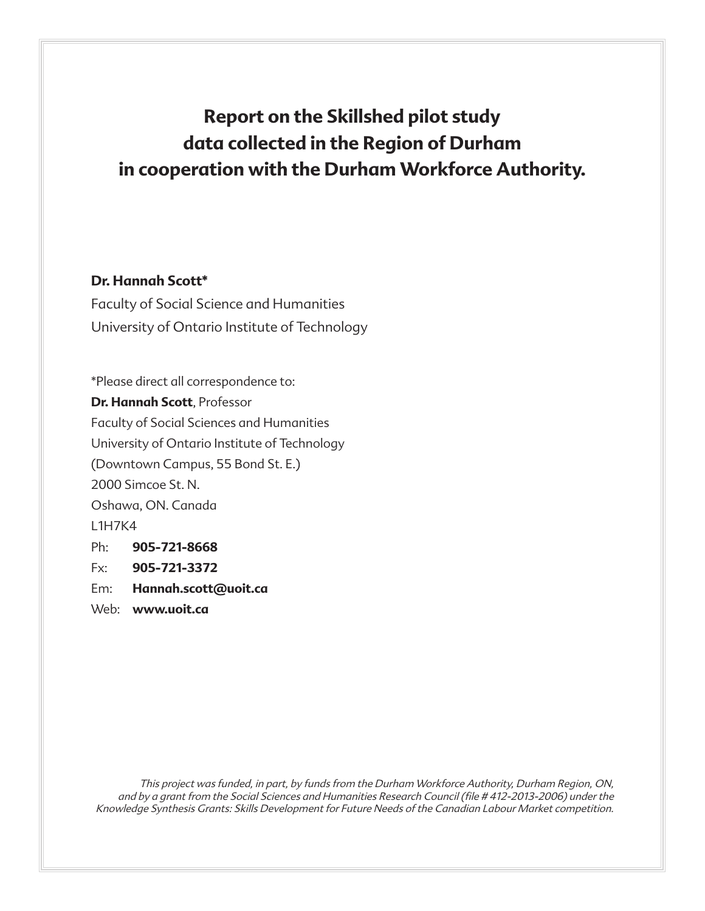# **Report on the Skillshed pilot study data collected in the Region of Durham in cooperation with the Durham Workforce Authority.**

## **Dr. Hannah Scott\***

Faculty of Social Science and Humanities University of Ontario Institute of Technology

\*Please direct all correspondence to: **Dr. Hannah Scott**, Professor Faculty of Social Sciences and Humanities University of Ontario Institute of Technology (Downtown Campus, 55 Bond St. E.) 2000 Simcoe St. N. Oshawa, ON. Canada L1H7K4 Ph: **905-721-8668** Fx: **905-721-3372** Em: **Hannah.scott@uoit.ca**

Web: **www.uoit.ca**

This project was funded, in part, by funds from the Durham Workforce Authority, Durham Region, ON, and by a grant from the Social Sciences and Humanities Research Council (file # 412-2013-2006) under the Knowledge Synthesis Grants: Skills Development for Future Needs of the Canadian Labour Market competition.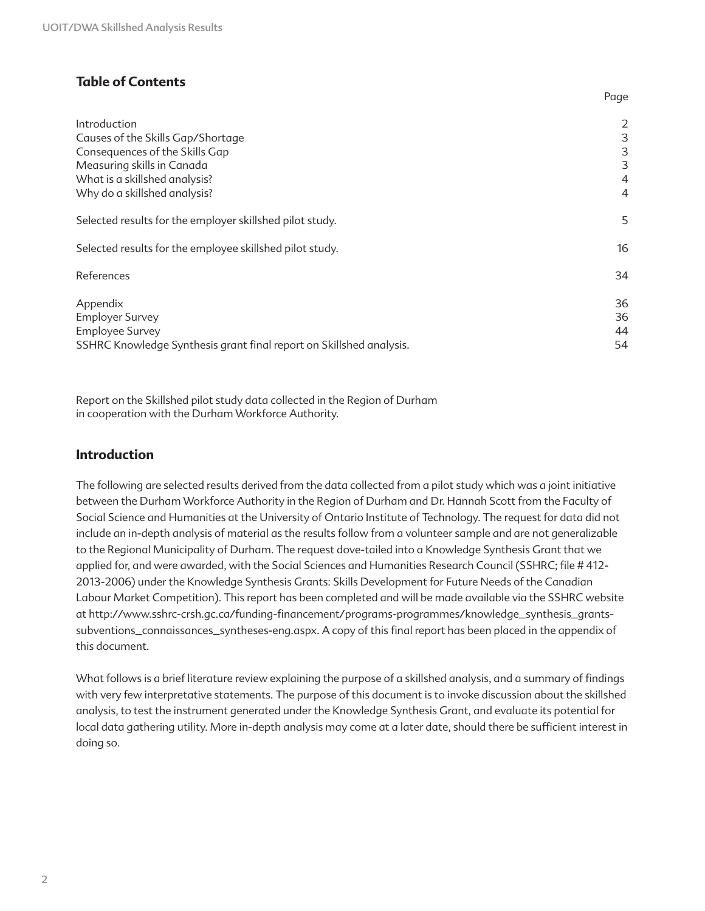#### **Table of Contents**

| 2  |
|----|
| 3  |
| 3  |
| 3  |
| 4  |
| 4  |
| 5  |
| 16 |
| 34 |
| 36 |
| 36 |
| 44 |
| 54 |
|    |

Page

Report on the Skillshed pilot study data collected in the Region of Durham in cooperation with the Durham Workforce Authority.

#### **Introduction**

The following are selected results derived from the data collected from a pilot study which was a joint initiative between the Durham Workforce Authority in the Region of Durham and Dr. Hannah Scott from the Faculty of Social Science and Humanities at the University of Ontario Institute of Technology. The request for data did not include an in-depth analysis of material as the results follow from a volunteer sample and are not generalizable to the Regional Municipality of Durham. The request dove-tailed into a Knowledge Synthesis Grant that we applied for, and were awarded, with the Social Sciences and Humanities Research Council (SSHRC; file # 412- 2013-2006) under the Knowledge Synthesis Grants: Skills Development for Future Needs of the Canadian Labour Market Competition). This report has been completed and will be made available via the SSHRC website at http://www.sshrc-crsh.gc.ca/funding-financement/programs-programmes/knowledge\_synthesis\_grantssubventions\_connaissances\_syntheses-eng.aspx. A copy of this final report has been placed in the appendix of this document.

What follows is a brief literature review explaining the purpose of a skillshed analysis, and a summary of findings with very few interpretative statements. The purpose of this document is to invoke discussion about the skillshed analysis, to test the instrument generated under the Knowledge Synthesis Grant, and evaluate its potential for local data gathering utility. More in-depth analysis may come at a later date, should there be sufficient interest in doing so.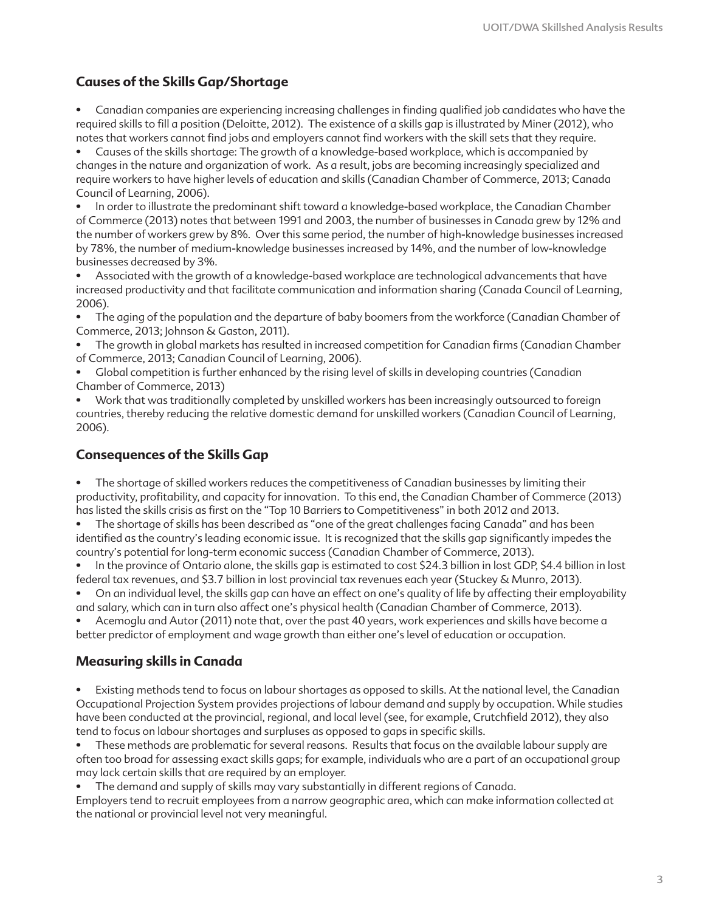#### **Causes of the Skills Gap/Shortage**

• Canadian companies are experiencing increasing challenges in finding qualified job candidates who have the required skills to fill a position (Deloitte, 2012). The existence of a skills gap is illustrated by Miner (2012), who notes that workers cannot find jobs and employers cannot find workers with the skill sets that they require.

• Causes of the skills shortage: The growth of a knowledge-based workplace, which is accompanied by changes in the nature and organization of work. As a result, jobs are becoming increasingly specialized and require workers to have higher levels of education and skills (Canadian Chamber of Commerce, 2013; Canada Council of Learning, 2006).

• In order to illustrate the predominant shift toward a knowledge-based workplace, the Canadian Chamber of Commerce (2013) notes that between 1991 and 2003, the number of businesses in Canada grew by 12% and the number of workers grew by 8%. Over this same period, the number of high-knowledge businesses increased by 78%, the number of medium-knowledge businesses increased by 14%, and the number of low-knowledge businesses decreased by 3%.

• Associated with the growth of a knowledge-based workplace are technological advancements that have increased productivity and that facilitate communication and information sharing (Canada Council of Learning, 2006).

• The aging of the population and the departure of baby boomers from the workforce (Canadian Chamber of Commerce, 2013; Johnson & Gaston, 2011).

• The growth in global markets has resulted in increased competition for Canadian firms (Canadian Chamber of Commerce, 2013; Canadian Council of Learning, 2006).

• Global competition is further enhanced by the rising level of skills in developing countries (Canadian Chamber of Commerce, 2013)

• Work that was traditionally completed by unskilled workers has been increasingly outsourced to foreign countries, thereby reducing the relative domestic demand for unskilled workers (Canadian Council of Learning, 2006).

#### **Consequences of the Skills Gap**

• The shortage of skilled workers reduces the competitiveness of Canadian businesses by limiting their productivity, profitability, and capacity for innovation. To this end, the Canadian Chamber of Commerce (2013) has listed the skills crisis as first on the "Top 10 Barriers to Competitiveness" in both 2012 and 2013.

• The shortage of skills has been described as "one of the great challenges facing Canada" and has been identified as the country's leading economic issue. It is recognized that the skills gap significantly impedes the country's potential for long-term economic success (Canadian Chamber of Commerce, 2013).

• In the province of Ontario alone, the skills gap is estimated to cost \$24.3 billion in lost GDP, \$4.4 billion in lost federal tax revenues, and \$3.7 billion in lost provincial tax revenues each year (Stuckey & Munro, 2013).

• On an individual level, the skills gap can have an effect on one's quality of life by affecting their employability and salary, which can in turn also affect one's physical health (Canadian Chamber of Commerce, 2013).

• Acemoglu and Autor (2011) note that, over the past 40 years, work experiences and skills have become a better predictor of employment and wage growth than either one's level of education or occupation.

#### **Measuring skills in Canada**

• Existing methods tend to focus on labour shortages as opposed to skills. At the national level, the Canadian Occupational Projection System provides projections of labour demand and supply by occupation. While studies have been conducted at the provincial, regional, and local level (see, for example, Crutchfield 2012), they also tend to focus on labour shortages and surpluses as opposed to gaps in specific skills.

• These methods are problematic for several reasons. Results that focus on the available labour supply are often too broad for assessing exact skills gaps; for example, individuals who are a part of an occupational group may lack certain skills that are required by an employer.

• The demand and supply of skills may vary substantially in different regions of Canada.

Employers tend to recruit employees from a narrow geographic area, which can make information collected at the national or provincial level not very meaningful.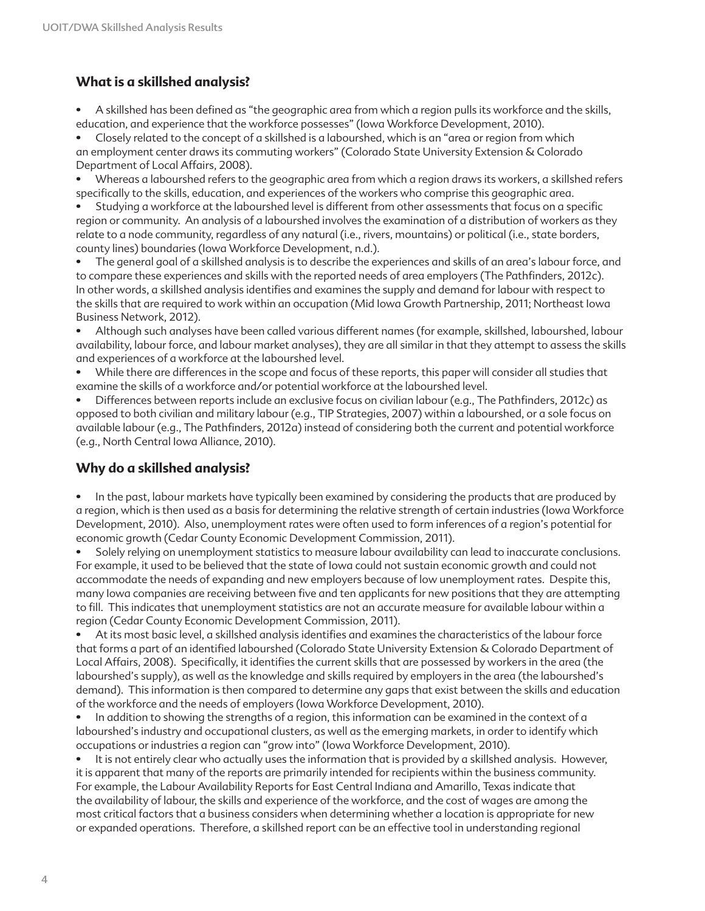## **What is a skillshed analysis?**

• A skillshed has been defined as "the geographic area from which a region pulls its workforce and the skills, education, and experience that the workforce possesses" (Iowa Workforce Development, 2010).

• Closely related to the concept of a skillshed is a labourshed, which is an "area or region from which an employment center draws its commuting workers" (Colorado State University Extension & Colorado Department of Local Affairs, 2008).

• Whereas a labourshed refers to the geographic area from which a region draws its workers, a skillshed refers specifically to the skills, education, and experiences of the workers who comprise this geographic area.

• Studying a workforce at the labourshed level is different from other assessments that focus on a specific region or community. An analysis of a labourshed involves the examination of a distribution of workers as they relate to a node community, regardless of any natural (i.e., rivers, mountains) or political (i.e., state borders, county lines) boundaries (Iowa Workforce Development, n.d.).

• The general goal of a skillshed analysis is to describe the experiences and skills of an area's labour force, and to compare these experiences and skills with the reported needs of area employers (The Pathfinders, 2012c). In other words, a skillshed analysis identifies and examines the supply and demand for labour with respect to the skills that are required to work within an occupation (Mid Iowa Growth Partnership, 2011; Northeast Iowa Business Network, 2012).

• Although such analyses have been called various different names (for example, skillshed, labourshed, labour availability, labour force, and labour market analyses), they are all similar in that they attempt to assess the skills and experiences of a workforce at the labourshed level.

• While there are differences in the scope and focus of these reports, this paper will consider all studies that examine the skills of a workforce and/or potential workforce at the labourshed level.

• Differences between reports include an exclusive focus on civilian labour (e.g., The Pathfinders, 2012c) as opposed to both civilian and military labour (e.g., TIP Strategies, 2007) within a labourshed, or a sole focus on available labour (e.g., The Pathfinders, 2012a) instead of considering both the current and potential workforce (e.g., North Central Iowa Alliance, 2010).

#### **Why do a skillshed analysis?**

• In the past, labour markets have typically been examined by considering the products that are produced by a region, which is then used as a basis for determining the relative strength of certain industries (Iowa Workforce Development, 2010). Also, unemployment rates were often used to form inferences of a region's potential for economic growth (Cedar County Economic Development Commission, 2011).

• Solely relying on unemployment statistics to measure labour availability can lead to inaccurate conclusions. For example, it used to be believed that the state of Iowa could not sustain economic growth and could not accommodate the needs of expanding and new employers because of low unemployment rates. Despite this, many Iowa companies are receiving between five and ten applicants for new positions that they are attempting to fill. This indicates that unemployment statistics are not an accurate measure for available labour within a region (Cedar County Economic Development Commission, 2011).

• At its most basic level, a skillshed analysis identifies and examines the characteristics of the labour force that forms a part of an identified labourshed (Colorado State University Extension & Colorado Department of Local Affairs, 2008). Specifically, it identifies the current skills that are possessed by workers in the area (the labourshed's supply), as well as the knowledge and skills required by employers in the area (the labourshed's demand). This information is then compared to determine any gaps that exist between the skills and education of the workforce and the needs of employers (Iowa Workforce Development, 2010).

• In addition to showing the strengths of a region, this information can be examined in the context of a labourshed's industry and occupational clusters, as well as the emerging markets, in order to identify which occupations or industries a region can "grow into" (Iowa Workforce Development, 2010).

• It is not entirely clear who actually uses the information that is provided by a skillshed analysis. However, it is apparent that many of the reports are primarily intended for recipients within the business community. For example, the Labour Availability Reports for East Central Indiana and Amarillo, Texas indicate that the availability of labour, the skills and experience of the workforce, and the cost of wages are among the most critical factors that a business considers when determining whether a location is appropriate for new or expanded operations. Therefore, a skillshed report can be an effective tool in understanding regional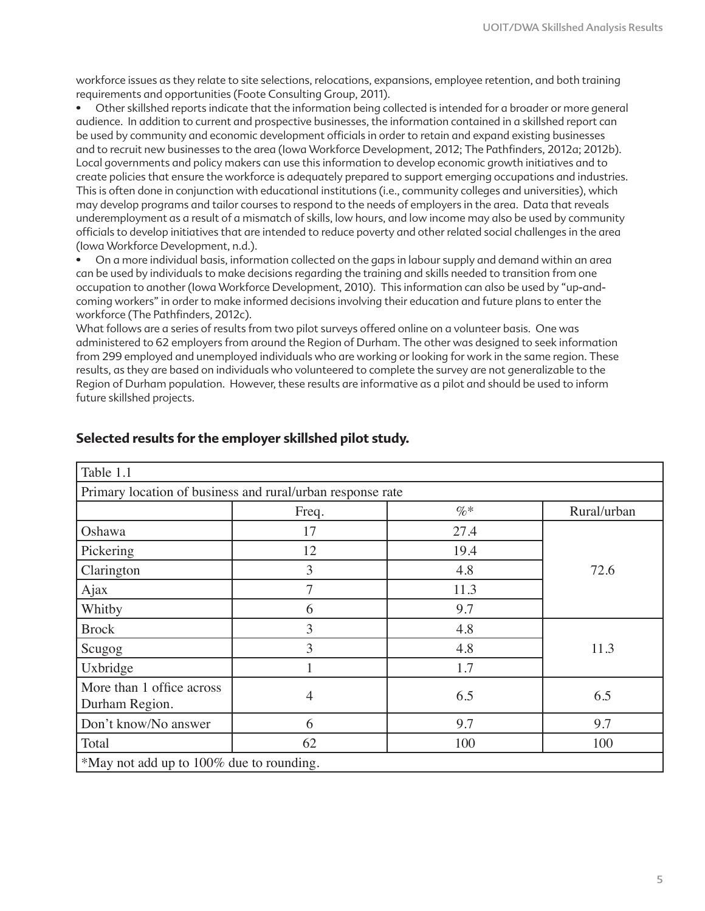workforce issues as they relate to site selections, relocations, expansions, employee retention, and both training requirements and opportunities (Foote Consulting Group, 2011).

• Other skillshed reports indicate that the information being collected is intended for a broader or more general audience. In addition to current and prospective businesses, the information contained in a skillshed report can be used by community and economic development officials in order to retain and expand existing businesses and to recruit new businesses to the area (Iowa Workforce Development, 2012; The Pathfinders, 2012a; 2012b). Local governments and policy makers can use this information to develop economic growth initiatives and to create policies that ensure the workforce is adequately prepared to support emerging occupations and industries. This is often done in conjunction with educational institutions (i.e., community colleges and universities), which may develop programs and tailor courses to respond to the needs of employers in the area. Data that reveals underemployment as a result of a mismatch of skills, low hours, and low income may also be used by community officials to develop initiatives that are intended to reduce poverty and other related social challenges in the area (Iowa Workforce Development, n.d.).

• On a more individual basis, information collected on the gaps in labour supply and demand within an area can be used by individuals to make decisions regarding the training and skills needed to transition from one occupation to another (Iowa Workforce Development, 2010). This information can also be used by "up-andcoming workers" in order to make informed decisions involving their education and future plans to enter the workforce (The Pathfinders, 2012c).

What follows are a series of results from two pilot surveys offered online on a volunteer basis. One was administered to 62 employers from around the Region of Durham. The other was designed to seek information from 299 employed and unemployed individuals who are working or looking for work in the same region. These results, as they are based on individuals who volunteered to complete the survey are not generalizable to the Region of Durham population. However, these results are informative as a pilot and should be used to inform future skillshed projects.

| Table 1.1                                                  |                |        |             |
|------------------------------------------------------------|----------------|--------|-------------|
| Primary location of business and rural/urban response rate |                |        |             |
|                                                            | Freq.          | $\%$ * | Rural/urban |
| Oshawa                                                     | 17             | 27.4   |             |
| Pickering                                                  | 12             | 19.4   |             |
| Clarington                                                 | 3              | 4.8    | 72.6        |
| Ajax                                                       | 7              | 11.3   |             |
| Whitby                                                     | 6              | 9.7    |             |
| <b>Brock</b>                                               | 3              | 4.8    |             |
| Scugog                                                     | 3              | 4.8    | 11.3        |
| Uxbridge                                                   |                | 1.7    |             |
| More than 1 office across<br>Durham Region.                | $\overline{4}$ | 6.5    | 6.5         |
| Don't know/No answer                                       | 6              | 9.7    | 9.7         |
| Total                                                      | 62             | 100    | 100         |
| *May not add up to 100% due to rounding.                   |                |        |             |

#### **Selected results for the employer skillshed pilot study.**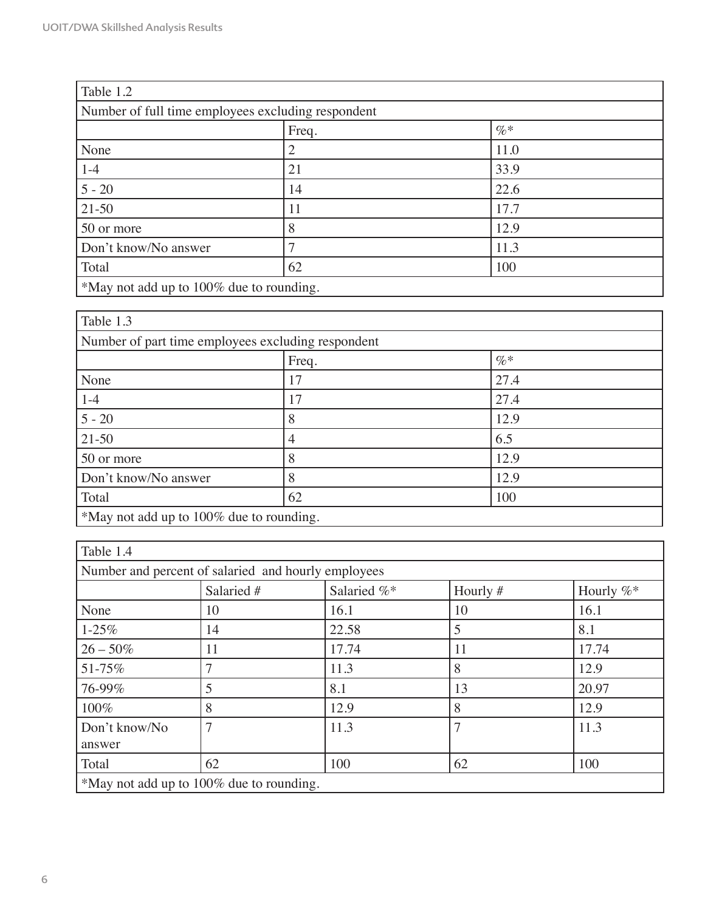| Table 1.2                                          |       |        |  |  |
|----------------------------------------------------|-------|--------|--|--|
| Number of full time employees excluding respondent |       |        |  |  |
|                                                    | Freq. | $\% *$ |  |  |
| None                                               |       | 11.0   |  |  |
| $1 - 4$                                            | 21    | 33.9   |  |  |
| $5 - 20$                                           | 14    | 22.6   |  |  |
| $21-50$                                            | 11    | 17.7   |  |  |
| 50 or more                                         | 8     | 12.9   |  |  |
| Don't know/No answer                               |       | 11.3   |  |  |
| Total                                              | 62    | 100    |  |  |
| *May not add up to 100% due to rounding.           |       |        |  |  |

| Table 1.3                                          |                |      |  |
|----------------------------------------------------|----------------|------|--|
| Number of part time employees excluding respondent |                |      |  |
|                                                    | $\%*$<br>Freq. |      |  |
| None                                               | 17             | 27.4 |  |
| $1 - 4$                                            | 17             | 27.4 |  |
| $5 - 20$                                           | 8              | 12.9 |  |
| $21 - 50$                                          | 4              | 6.5  |  |
| 50 or more                                         | 8              | 12.9 |  |
| Don't know/No answer                               | 8              | 12.9 |  |
| Total                                              | 62             | 100  |  |
| *May not add up to 100% due to rounding.           |                |      |  |

| Table 1.4                                |                                                     |             |            |              |
|------------------------------------------|-----------------------------------------------------|-------------|------------|--------------|
|                                          | Number and percent of salaried and hourly employees |             |            |              |
|                                          | Salaried #                                          | Salaried %* | Hourly $#$ | Hourly $%^*$ |
| None                                     | 10                                                  | 16.1        | 10         | 16.1         |
| $1 - 25\%$                               | 14                                                  | 22.58       | 5          | 8.1          |
| $26 - 50\%$                              | 11                                                  | 17.74       | 11         | 17.74        |
| 51-75%                                   | 7                                                   | 11.3        | 8          | 12.9         |
| 76-99%                                   | 5                                                   | 8.1         | 13         | 20.97        |
| 100%                                     | 8                                                   | 12.9        | 8          | 12.9         |
| Don't know/No<br>answer                  | 7                                                   | 11.3        | 7          | 11.3         |
| Total                                    | 62                                                  | 100         | 62         | 100          |
| *May not add up to 100% due to rounding. |                                                     |             |            |              |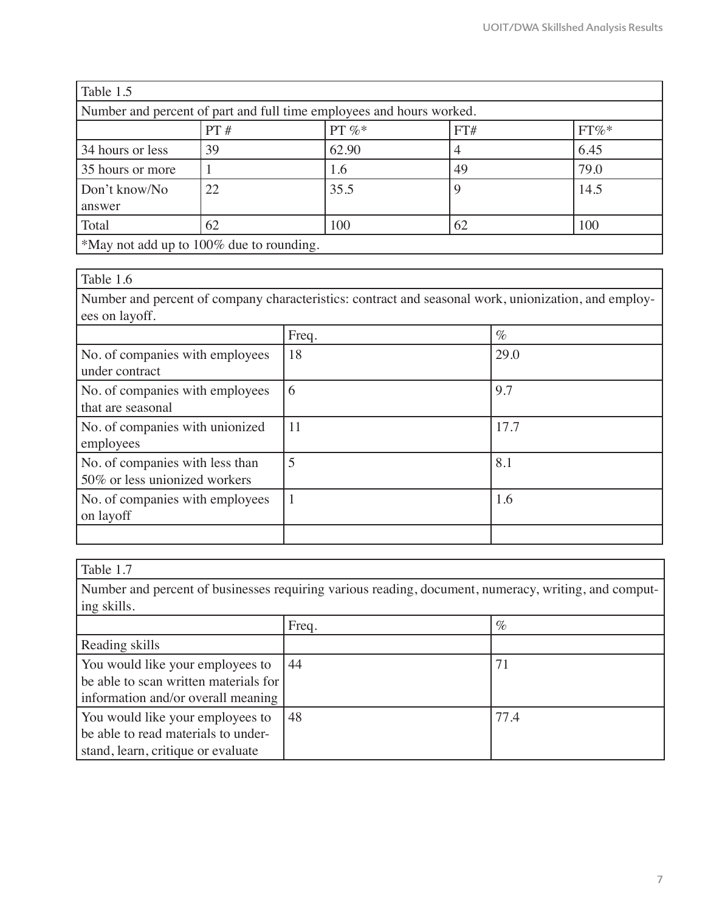| Table 1.5                                |                                                                      |           |     |         |
|------------------------------------------|----------------------------------------------------------------------|-----------|-----|---------|
|                                          | Number and percent of part and full time employees and hours worked. |           |     |         |
|                                          | PT#                                                                  | PT $\%$ * | FT# | $FT\%*$ |
| 34 hours or less                         | 39                                                                   | 62.90     |     | 6.45    |
| 35 hours or more                         |                                                                      | 1.6       | 49  | 79.0    |
| Don't know/No                            | 22                                                                   | 35.5      | 9   | 14.5    |
| answer                                   |                                                                      |           |     |         |
| Total                                    | 62                                                                   | 100       | 62  | 100     |
| *May not add up to 100% due to rounding. |                                                                      |           |     |         |

Table 1.6

Number and percent of company characteristics: contract and seasonal work, unionization, and employees on layoff.

|                                                                  | Freq. | $\%$ |
|------------------------------------------------------------------|-------|------|
| No. of companies with employees<br>under contract                | 18    | 29.0 |
| No. of companies with employees<br>that are seasonal             | 6     | 9.7  |
| No. of companies with unionized<br>employees                     | 11    | 17.7 |
| No. of companies with less than<br>50% or less unionized workers | 5     | 8.1  |
| No. of companies with employees<br>on layoff                     |       | 1.6  |
|                                                                  |       |      |

#### Table 1.7

Number and percent of businesses requiring various reading, document, numeracy, writing, and computing skills.

|                                                                                                                 | Freq. | $\%$ |
|-----------------------------------------------------------------------------------------------------------------|-------|------|
| Reading skills                                                                                                  |       |      |
| You would like your employees to<br>be able to scan written materials for<br>information and/or overall meaning | 44    |      |
| You would like your employees to<br>be able to read materials to under-<br>stand, learn, critique or evaluate   | 48    | 77.4 |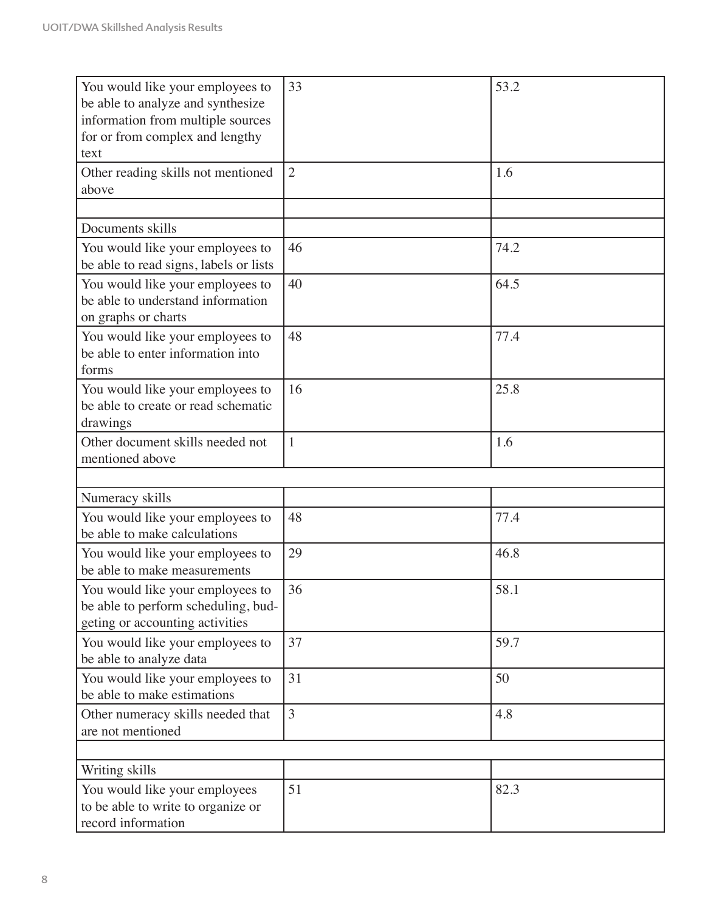| You would like your employees to<br>be able to analyze and synthesize<br>information from multiple sources<br>for or from complex and lengthy | 33             | 53.2 |
|-----------------------------------------------------------------------------------------------------------------------------------------------|----------------|------|
| text                                                                                                                                          |                |      |
| Other reading skills not mentioned<br>above                                                                                                   | $\overline{2}$ | 1.6  |
|                                                                                                                                               |                |      |
| Documents skills                                                                                                                              |                |      |
| You would like your employees to<br>be able to read signs, labels or lists                                                                    | 46             | 74.2 |
| You would like your employees to<br>be able to understand information<br>on graphs or charts                                                  | 40             | 64.5 |
| You would like your employees to<br>be able to enter information into<br>forms                                                                | 48             | 77.4 |
| You would like your employees to<br>be able to create or read schematic<br>drawings                                                           | 16             | 25.8 |
| Other document skills needed not<br>mentioned above                                                                                           | $\mathbf{1}$   | 1.6  |
|                                                                                                                                               |                |      |
| Numeracy skills                                                                                                                               |                |      |
| You would like your employees to<br>be able to make calculations                                                                              | 48             | 77.4 |
| You would like your employees to<br>be able to make measurements                                                                              | 29             | 46.8 |
| You would like your employees to<br>be able to perform scheduling, bud-<br>geting or accounting activities                                    | 36             | 58.1 |
| You would like your employees to<br>be able to analyze data                                                                                   | 37             | 59.7 |
| You would like your employees to<br>be able to make estimations                                                                               | 31             | 50   |
| Other numeracy skills needed that<br>are not mentioned                                                                                        | $\overline{3}$ | 4.8  |
|                                                                                                                                               |                |      |
| Writing skills                                                                                                                                |                |      |
| You would like your employees<br>to be able to write to organize or<br>record information                                                     | 51             | 82.3 |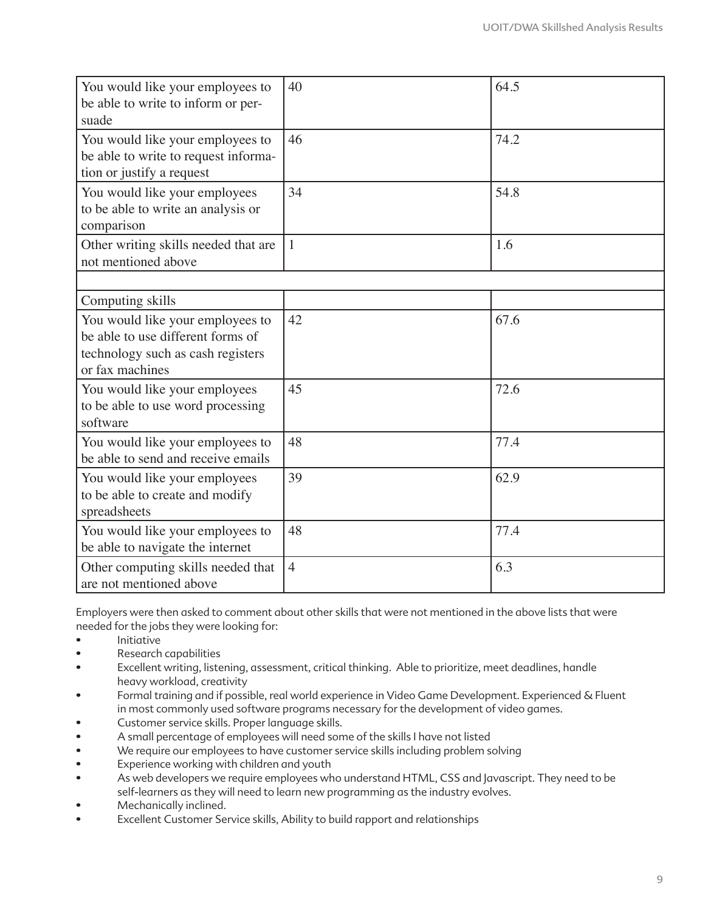| You would like your employees to<br>be able to write to inform or per-<br>suade                                               | 40             | 64.5 |
|-------------------------------------------------------------------------------------------------------------------------------|----------------|------|
| You would like your employees to<br>be able to write to request informa-<br>tion or justify a request                         | 46             | 74.2 |
| You would like your employees<br>to be able to write an analysis or<br>comparison                                             | 34             | 54.8 |
| Other writing skills needed that are<br>not mentioned above                                                                   | $\mathbf{1}$   | 1.6  |
|                                                                                                                               |                |      |
| Computing skills                                                                                                              |                |      |
| You would like your employees to<br>be able to use different forms of<br>technology such as cash registers<br>or fax machines | 42             | 67.6 |
| You would like your employees<br>to be able to use word processing<br>software                                                | 45             | 72.6 |
| You would like your employees to<br>be able to send and receive emails                                                        | 48             | 77.4 |
| You would like your employees<br>to be able to create and modify<br>spreadsheets                                              | 39             | 62.9 |
| You would like your employees to<br>be able to navigate the internet                                                          | 48             | 77.4 |
| Other computing skills needed that<br>are not mentioned above                                                                 | $\overline{4}$ | 6.3  |

Employers were then asked to comment about other skills that were not mentioned in the above lists that were needed for the jobs they were looking for:

- Initiative
- Research capabilities
- Excellent writing, listening, assessment, critical thinking. Able to prioritize, meet deadlines, handle heavy workload, creativity
- Formal training and if possible, real world experience in Video Game Development. Experienced & Fluent in most commonly used software programs necessary for the development of video games.
- Customer service skills. Proper language skills.
- A small percentage of employees will need some of the skills I have not listed
- We require our employees to have customer service skills including problem solving
- Experience working with children and youth
- As web developers we require employees who understand HTML, CSS and Javascript. They need to be self-learners as they will need to learn new programming as the industry evolves.
- Mechanically inclined.
- Excellent Customer Service skills, Ability to build rapport and relationships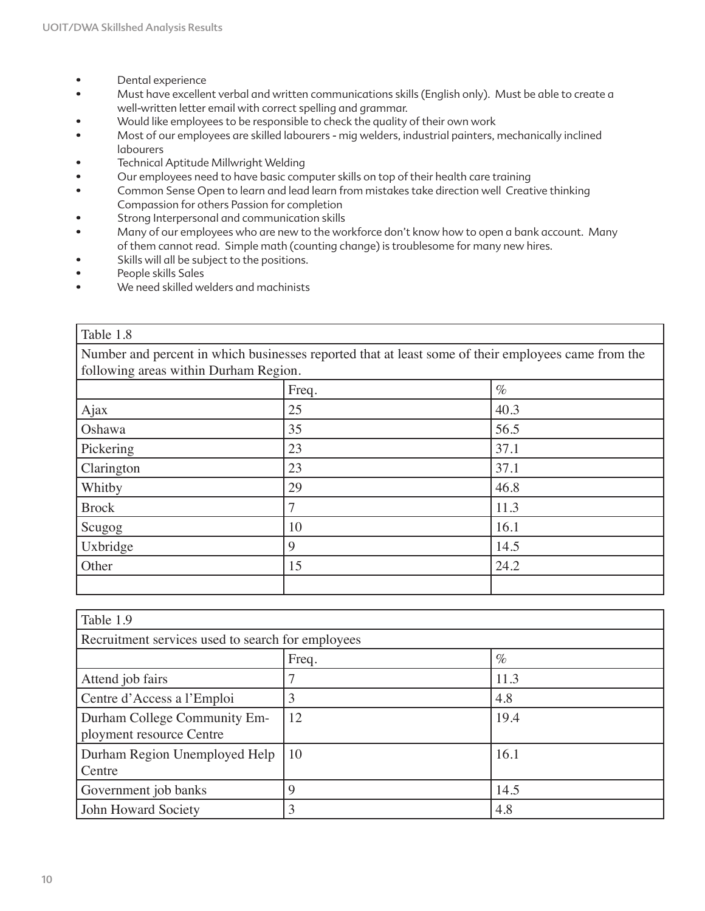- Dental experience
- Must have excellent verbal and written communications skills (English only). Must be able to create a well-written letter email with correct spelling and grammar.
- Would like employees to be responsible to check the quality of their own work
- Most of our employees are skilled labourers mig welders, industrial painters, mechanically inclined labourers
- Technical Aptitude Millwright Welding
- Our employees need to have basic computer skills on top of their health care training
- Common Sense Open to learn and lead learn from mistakes take direction well Creative thinking Compassion for others Passion for completion
- Strong Interpersonal and communication skills
- Many of our employees who are new to the workforce don't know how to open a bank account. Many of them cannot read. Simple math (counting change) is troublesome for many new hires.
- Skills will all be subject to the positions.
- People skills Sales
- We need skilled welders and machinists

#### Table 1.8

Number and percent in which businesses reported that at least some of their employees came from the following areas within Durham Region.

| rono wing areas within Duriam Region. |       |      |  |
|---------------------------------------|-------|------|--|
|                                       | Freq. | $\%$ |  |
| Ajax                                  | 25    | 40.3 |  |
| Oshawa                                | 35    | 56.5 |  |
| Pickering                             | 23    | 37.1 |  |
| Clarington                            | 23    | 37.1 |  |
| Whitby                                | 29    | 46.8 |  |
| <b>Brock</b>                          |       | 11.3 |  |
| Scugog                                | 10    | 16.1 |  |
| Uxbridge                              | 9     | 14.5 |  |
| Other                                 | 15    | 24.2 |  |
|                                       |       |      |  |

| Table 1.9                                         |               |      |  |
|---------------------------------------------------|---------------|------|--|
| Recruitment services used to search for employees |               |      |  |
|                                                   | $\%$<br>Freq. |      |  |
| Attend job fairs                                  |               | 11.3 |  |
| Centre d'Access a l'Emploi                        |               | 4.8  |  |
| Durham College Community Em-                      | 12            | 19.4 |  |
| ployment resource Centre                          |               |      |  |
| Durham Region Unemployed Help<br>Centre           | 10            | 16.1 |  |
| Government job banks                              | 9             | 14.5 |  |
| John Howard Society                               | 3             | 4.8  |  |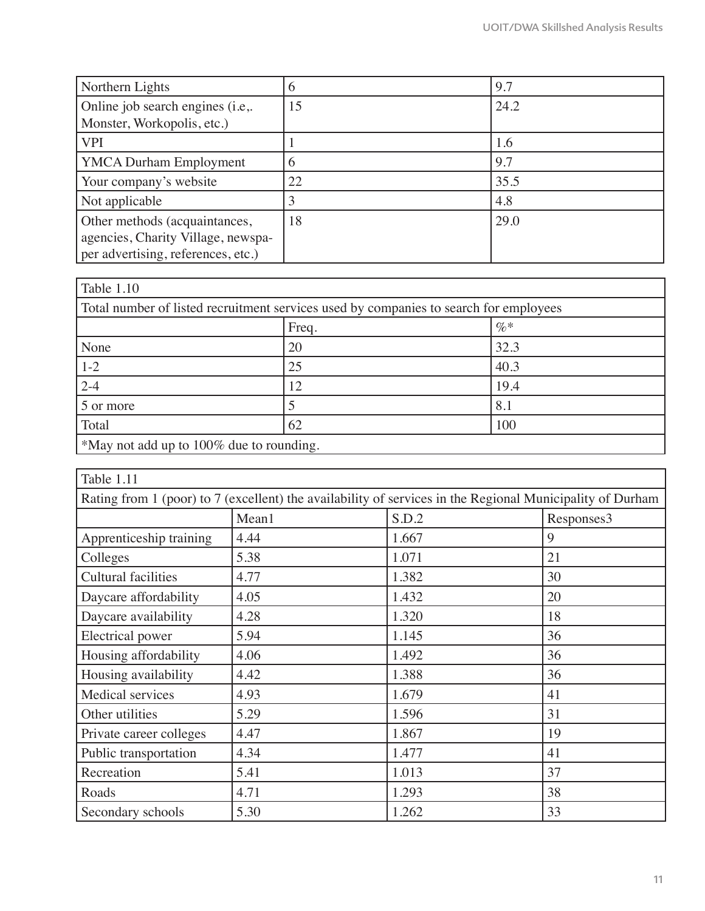| Northern Lights                    | O  | 9.7  |
|------------------------------------|----|------|
| Online job search engines (i.e.    | 15 | 24.2 |
| Monster, Workopolis, etc.)         |    |      |
| <b>VPI</b>                         |    | 1.6  |
| <b>YMCA Durham Employment</b>      | 6  | 9.7  |
| Your company's website             | 22 | 35.5 |
| Not applicable                     |    | 4.8  |
| Other methods (acquaintances,      | 18 | 29.0 |
| agencies, Charity Village, newspa- |    |      |
| per advertising, references, etc.) |    |      |

| <b>Table 1.10</b>                        |                                                                                       |      |  |  |
|------------------------------------------|---------------------------------------------------------------------------------------|------|--|--|
|                                          | Total number of listed recruitment services used by companies to search for employees |      |  |  |
| $\%$<br>Freq.                            |                                                                                       |      |  |  |
| None                                     | 20                                                                                    | 32.3 |  |  |
| $1 - 2$                                  | 25                                                                                    | 40.3 |  |  |
| $2 - 4$                                  | 12                                                                                    | 19.4 |  |  |
| 5 or more                                |                                                                                       | 8.1  |  |  |
| Total                                    | 62                                                                                    | 100  |  |  |
| *May not add up to 100% due to rounding. |                                                                                       |      |  |  |

| Table 1.11                                                                                                |       |       |            |  |
|-----------------------------------------------------------------------------------------------------------|-------|-------|------------|--|
| Rating from 1 (poor) to 7 (excellent) the availability of services in the Regional Municipality of Durham |       |       |            |  |
|                                                                                                           | Mean1 | S.D.2 | Responses3 |  |
| Apprenticeship training                                                                                   | 4.44  | 1.667 | 9          |  |
| Colleges                                                                                                  | 5.38  | 1.071 | 21         |  |
| <b>Cultural facilities</b>                                                                                | 4.77  | 1.382 | 30         |  |
| Daycare affordability                                                                                     | 4.05  | 1.432 | 20         |  |
| Daycare availability                                                                                      | 4.28  | 1.320 | 18         |  |
| Electrical power                                                                                          | 5.94  | 1.145 | 36         |  |
| Housing affordability                                                                                     | 4.06  | 1.492 | 36         |  |
| Housing availability                                                                                      | 4.42  | 1.388 | 36         |  |
| Medical services                                                                                          | 4.93  | 1.679 | 41         |  |
| Other utilities                                                                                           | 5.29  | 1.596 | 31         |  |
| Private career colleges                                                                                   | 4.47  | 1.867 | 19         |  |
| Public transportation                                                                                     | 4.34  | 1.477 | 41         |  |
| Recreation                                                                                                | 5.41  | 1.013 | 37         |  |
| Roads                                                                                                     | 4.71  | 1.293 | 38         |  |
| Secondary schools                                                                                         | 5.30  | 1.262 | 33         |  |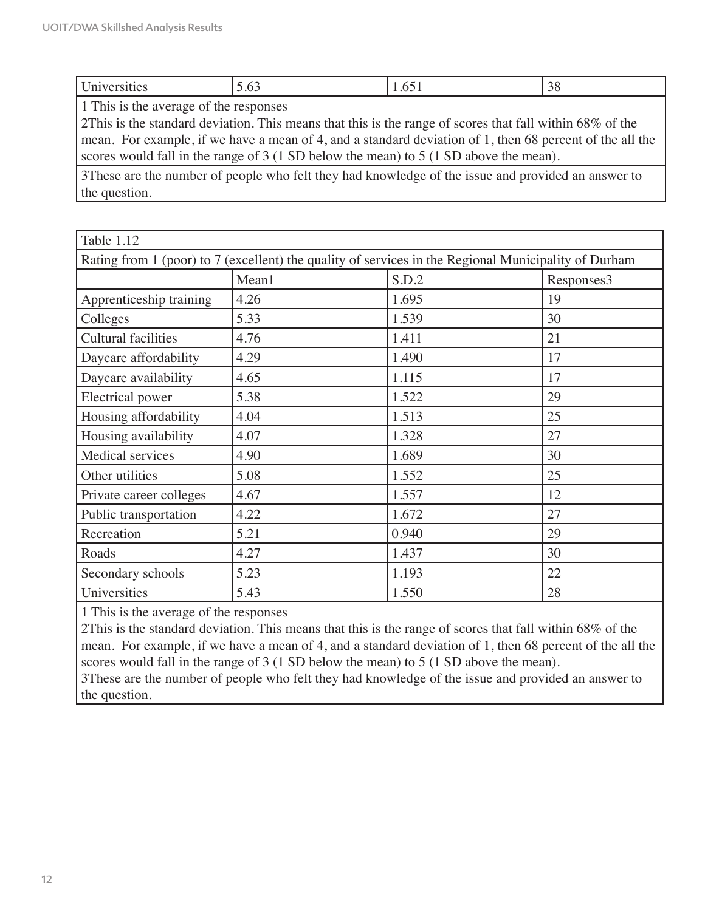|  | $\sim$ $\sim$ |
|--|---------------|
|  |               |

1 This is the average of the responses

2This is the standard deviation. This means that this is the range of scores that fall within 68% of the mean. For example, if we have a mean of 4, and a standard deviation of 1, then 68 percent of the all the scores would fall in the range of 3 (1 SD below the mean) to 5 (1 SD above the mean).

3These are the number of people who felt they had knowledge of the issue and provided an answer to the question.

| Table 1.12                                                                                           |                              |       |    |  |  |
|------------------------------------------------------------------------------------------------------|------------------------------|-------|----|--|--|
| Rating from 1 (poor) to 7 (excellent) the quality of services in the Regional Municipality of Durham |                              |       |    |  |  |
|                                                                                                      | S.D.2<br>Mean1<br>Responses3 |       |    |  |  |
| Apprenticeship training                                                                              | 4.26                         | 1.695 | 19 |  |  |
| Colleges                                                                                             | 5.33                         | 1.539 | 30 |  |  |
| <b>Cultural facilities</b>                                                                           | 4.76                         | 1.411 | 21 |  |  |
| Daycare affordability                                                                                | 4.29                         | 1.490 | 17 |  |  |
| Daycare availability                                                                                 | 4.65                         | 1.115 | 17 |  |  |
| <b>Electrical</b> power                                                                              | 5.38                         | 1.522 | 29 |  |  |
| Housing affordability                                                                                | 4.04                         | 1.513 | 25 |  |  |
| Housing availability                                                                                 | 4.07                         | 1.328 | 27 |  |  |
| Medical services                                                                                     | 4.90                         | 1.689 | 30 |  |  |
| Other utilities                                                                                      | 5.08                         | 1.552 | 25 |  |  |
| Private career colleges                                                                              | 4.67                         | 1.557 | 12 |  |  |
| Public transportation                                                                                | 4.22                         | 1.672 | 27 |  |  |
| Recreation                                                                                           | 5.21                         | 0.940 | 29 |  |  |
| Roads                                                                                                | 4.27                         | 1.437 | 30 |  |  |
| Secondary schools                                                                                    | 5.23                         | 1.193 | 22 |  |  |
| Universities                                                                                         | 5.43                         | 1.550 | 28 |  |  |

1 This is the average of the responses

2This is the standard deviation. This means that this is the range of scores that fall within 68% of the mean. For example, if we have a mean of 4, and a standard deviation of 1, then 68 percent of the all the scores would fall in the range of 3 (1 SD below the mean) to 5 (1 SD above the mean). 3These are the number of people who felt they had knowledge of the issue and provided an answer to

the question.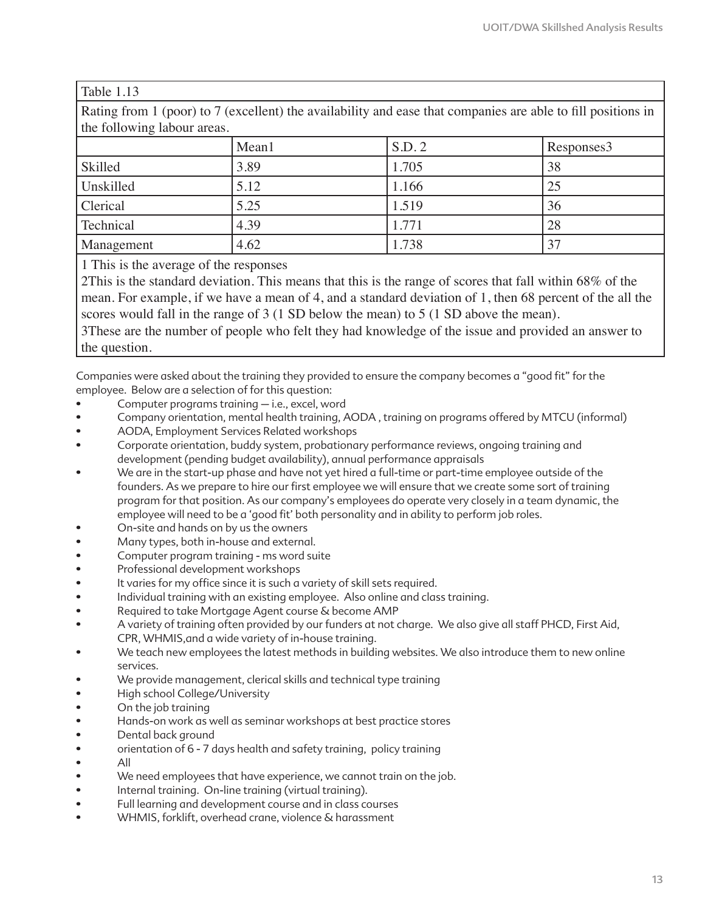| Rating from 1 (poor) to 7 (excellent) the availability and ease that companies are able to fill positions in |      |       |    |  |  |
|--------------------------------------------------------------------------------------------------------------|------|-------|----|--|--|
| the following labour areas.                                                                                  |      |       |    |  |  |
| S.D. 2<br>Mean1<br>Responses3                                                                                |      |       |    |  |  |
| Skilled                                                                                                      | 3.89 | 1.705 | 38 |  |  |
| Unskilled                                                                                                    | 5.12 | 1.166 | 25 |  |  |
| Clerical                                                                                                     | 5.25 | 1.519 | 36 |  |  |
| 4.39<br>Technical<br>1.771<br>28                                                                             |      |       |    |  |  |
| Management                                                                                                   | 4.62 | 1.738 | 37 |  |  |

#### Table 1.13

1 This is the average of the responses

2This is the standard deviation. This means that this is the range of scores that fall within 68% of the mean. For example, if we have a mean of 4, and a standard deviation of 1, then 68 percent of the all the scores would fall in the range of 3 (1 SD below the mean) to 5 (1 SD above the mean).

3These are the number of people who felt they had knowledge of the issue and provided an answer to the question.

Companies were asked about the training they provided to ensure the company becomes a "good fit" for the employee. Below are a selection of for this question:

- Computer programs training i.e., excel, word
- Company orientation, mental health training, AODA , training on programs offered by MTCU (informal)
- AODA, Employment Services Related workshops
- Corporate orientation, buddy system, probationary performance reviews, ongoing training and development (pending budget availability), annual performance appraisals
- We are in the start-up phase and have not yet hired a full-time or part-time employee outside of the founders. As we prepare to hire our first employee we will ensure that we create some sort of training program for that position. As our company's employees do operate very closely in a team dynamic, the employee will need to be a 'good fit' both personality and in ability to perform job roles.
- On-site and hands on by us the owners
- Many types, both in-house and external.
- Computer program training ms word suite
- Professional development workshops
- It varies for my office since it is such a variety of skill sets required.
- Individual training with an existing employee. Also online and class training.
- Required to take Mortgage Agent course & become AMP
- A variety of training often provided by our funders at not charge. We also give all staff PHCD, First Aid, CPR, WHMIS,and a wide variety of in-house training.
- We teach new employees the latest methods in building websites. We also introduce them to new online services.
- We provide management, clerical skills and technical type training
- High school College/University
- On the job training
- Hands-on work as well as seminar workshops at best practice stores
- Dental back ground
- orientation of 6 7 days health and safety training, policy training
- All
- We need employees that have experience, we cannot train on the job.
- Internal training. On-line training (virtual training).
- Full learning and development course and in class courses
- WHMIS, forklift, overhead crane, violence & harassment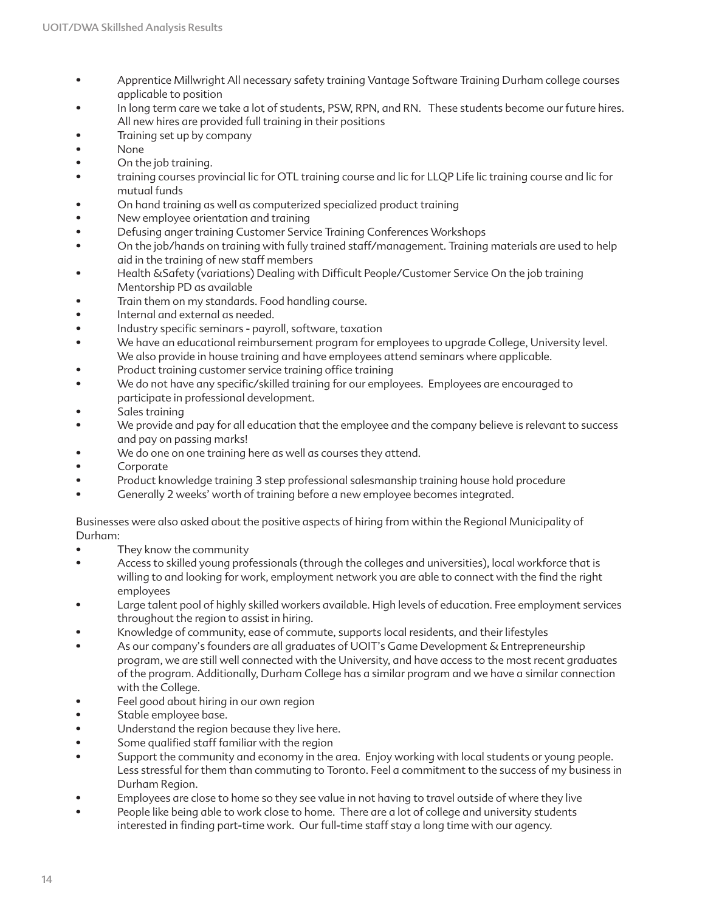- Apprentice Millwright All necessary safety training Vantage Software Training Durham college courses applicable to position
- In long term care we take a lot of students, PSW, RPN, and RN. These students become our future hires. All new hires are provided full training in their positions
- Training set up by company
- None
- On the job training.
- training courses provincial lic for OTL training course and lic for LLQP Life lic training course and lic for mutual funds
- On hand training as well as computerized specialized product training
- New employee orientation and training
- Defusing anger training Customer Service Training Conferences Workshops
- On the job/hands on training with fully trained staff/management. Training materials are used to help aid in the training of new staff members
- Health &Safety (variations) Dealing with Difficult People/Customer Service On the job training Mentorship PD as available
- Train them on my standards. Food handling course.
- Internal and external as needed.
- Industry specific seminars payroll, software, taxation
- We have an educational reimbursement program for employees to upgrade College, University level. We also provide in house training and have employees attend seminars where applicable.
- Product training customer service training office training
- We do not have any specific/skilled training for our employees. Employees are encouraged to participate in professional development.
- Sales training
- We provide and pay for all education that the employee and the company believe is relevant to success and pay on passing marks!
- We do one on one training here as well as courses they attend.
- **Corporate**
- Product knowledge training 3 step professional salesmanship training house hold procedure
- Generally 2 weeks' worth of training before a new employee becomes integrated.

Businesses were also asked about the positive aspects of hiring from within the Regional Municipality of Durham:

- They know the community
- Access to skilled young professionals (through the colleges and universities), local workforce that is willing to and looking for work, employment network you are able to connect with the find the right employees
- Large talent pool of highly skilled workers available. High levels of education. Free employment services throughout the region to assist in hiring.
- Knowledge of community, ease of commute, supports local residents, and their lifestyles
- As our company's founders are all graduates of UOIT's Game Development & Entrepreneurship program, we are still well connected with the University, and have access to the most recent graduates of the program. Additionally, Durham College has a similar program and we have a similar connection with the College.
- Feel good about hiring in our own region
- Stable employee base.
- Understand the region because they live here.
- Some qualified staff familiar with the region
- Support the community and economy in the area. Enjoy working with local students or young people. Less stressful for them than commuting to Toronto. Feel a commitment to the success of my business in Durham Region.
- Employees are close to home so they see value in not having to travel outside of where they live
- People like being able to work close to home. There are a lot of college and university students interested in finding part-time work. Our full-time staff stay a long time with our agency.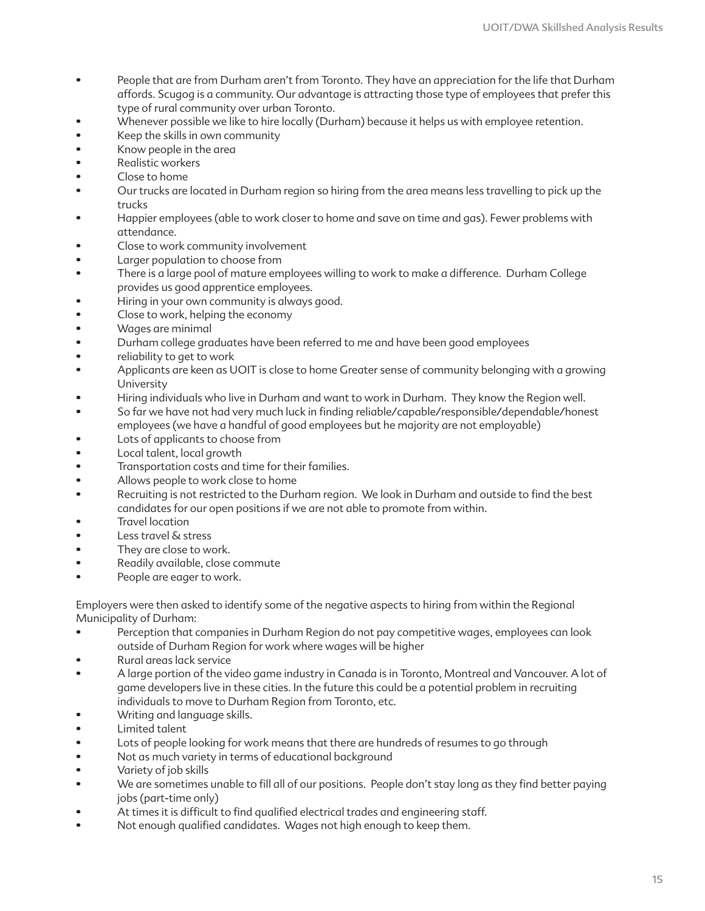- People that are from Durham aren't from Toronto. They have an appreciation for the life that Durham affords. Scugog is a community. Our advantage is attracting those type of employees that prefer this type of rural community over urban Toronto.
- Whenever possible we like to hire locally (Durham) because it helps us with employee retention.
- Keep the skills in own community
- Know people in the area
- Realistic workers
- Close to home
- Our trucks are located in Durham region so hiring from the area means less travelling to pick up the trucks
- Happier employees (able to work closer to home and save on time and gas). Fewer problems with attendance.
- Close to work community involvement
- Larger population to choose from
- There is a large pool of mature employees willing to work to make a difference. Durham College provides us good apprentice employees.
- Hiring in your own community is always good.
- Close to work, helping the economy
- Wages are minimal
- Durham college graduates have been referred to me and have been good employees
- reliability to get to work
- Applicants are keen as UOIT is close to home Greater sense of community belonging with a growing University
- Hiring individuals who live in Durham and want to work in Durham. They know the Region well.
- So far we have not had very much luck in finding reliable/capable/responsible/dependable/honest employees (we have a handful of good employees but he majority are not employable)
- Lots of applicants to choose from
- Local talent, local growth
- Transportation costs and time for their families.
- Allows people to work close to home
- Recruiting is not restricted to the Durham region. We look in Durham and outside to find the best candidates for our open positions if we are not able to promote from within.
- Travel location
- Less travel & stress
- They are close to work.
- Readily available, close commute
- People are eager to work.

Employers were then asked to identify some of the negative aspects to hiring from within the Regional Municipality of Durham:

- Perception that companies in Durham Region do not pay competitive wages, employees can look outside of Durham Region for work where wages will be higher
- Rural areas lack service
- A large portion of the video game industry in Canada is in Toronto, Montreal and Vancouver. A lot of game developers live in these cities. In the future this could be a potential problem in recruiting individuals to move to Durham Region from Toronto, etc.
- Writing and language skills.
- Limited talent
- Lots of people looking for work means that there are hundreds of resumes to go through
- Not as much variety in terms of educational background
- Variety of job skills
- We are sometimes unable to fill all of our positions. People don't stay long as they find better paying jobs (part-time only)
- At times it is difficult to find qualified electrical trades and engineering staff.
- Not enough qualified candidates. Wages not high enough to keep them.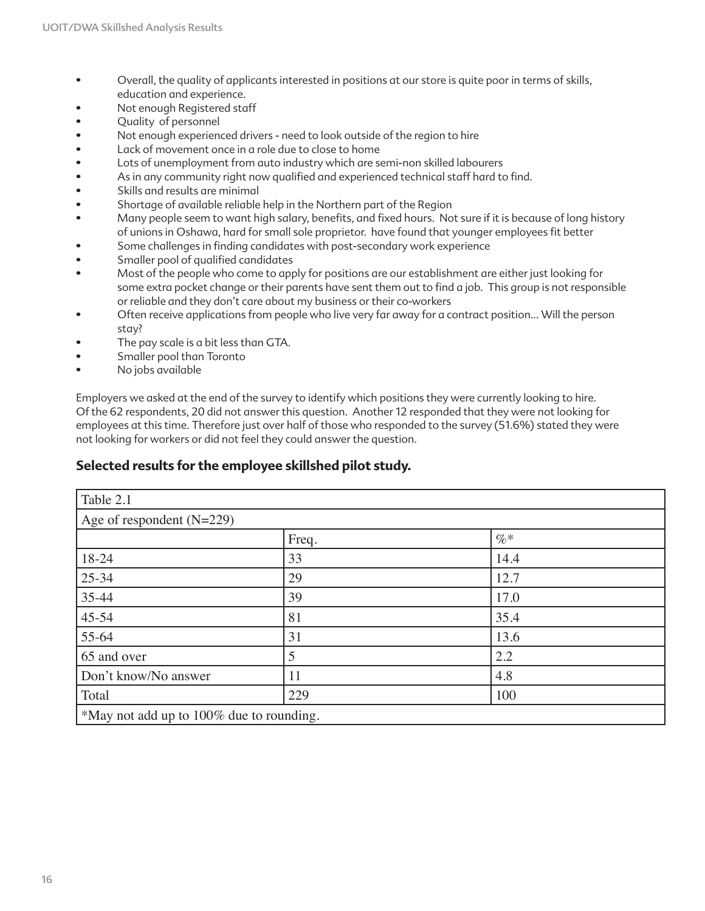- Overall, the quality of applicants interested in positions at our store is quite poor in terms of skills, education and experience.
- Not enough Registered staff
- Quality of personnel
- Not enough experienced drivers need to look outside of the region to hire
- Lack of movement once in a role due to close to home
- Lots of unemployment from auto industry which are semi-non skilled labourers
- As in any community right now qualified and experienced technical staff hard to find.
- Skills and results are minimal
- Shortage of available reliable help in the Northern part of the Region
- Many people seem to want high salary, benefits, and fixed hours. Not sure if it is because of long history of unions in Oshawa, hard for small sole proprietor. have found that younger employees fit better
- Some challenges in finding candidates with post-secondary work experience
- Smaller pool of qualified candidates
- Most of the people who come to apply for positions are our establishment are either just looking for some extra pocket change or their parents have sent them out to find a job. This group is not responsible or reliable and they don't care about my business or their co-workers
- Often receive applications from people who live very far away for a contract position... Will the person stay?
- The pay scale is a bit less than GTA.
- Smaller pool than Toronto
- No jobs available

Employers we asked at the end of the survey to identify which positions they were currently looking to hire. Of the 62 respondents, 20 did not answer this question. Another 12 responded that they were not looking for employees at this time. Therefore just over half of those who responded to the survey (51.6%) stated they were not looking for workers or did not feel they could answer the question.

#### **Selected results for the employee skillshed pilot study.**

| Table 2.1                                |       |        |  |
|------------------------------------------|-------|--------|--|
| Age of respondent $(N=229)$              |       |        |  |
|                                          | Freq. | $\% *$ |  |
| 18-24                                    | 33    | 14.4   |  |
| 25-34                                    | 29    | 12.7   |  |
| 35-44                                    | 39    | 17.0   |  |
| 45-54                                    | 81    | 35.4   |  |
| 55-64                                    | 31    | 13.6   |  |
| 65 and over                              | 5     | 2.2    |  |
| Don't know/No answer                     | 11    | 4.8    |  |
| Total                                    | 229   | 100    |  |
| *May not add up to 100% due to rounding. |       |        |  |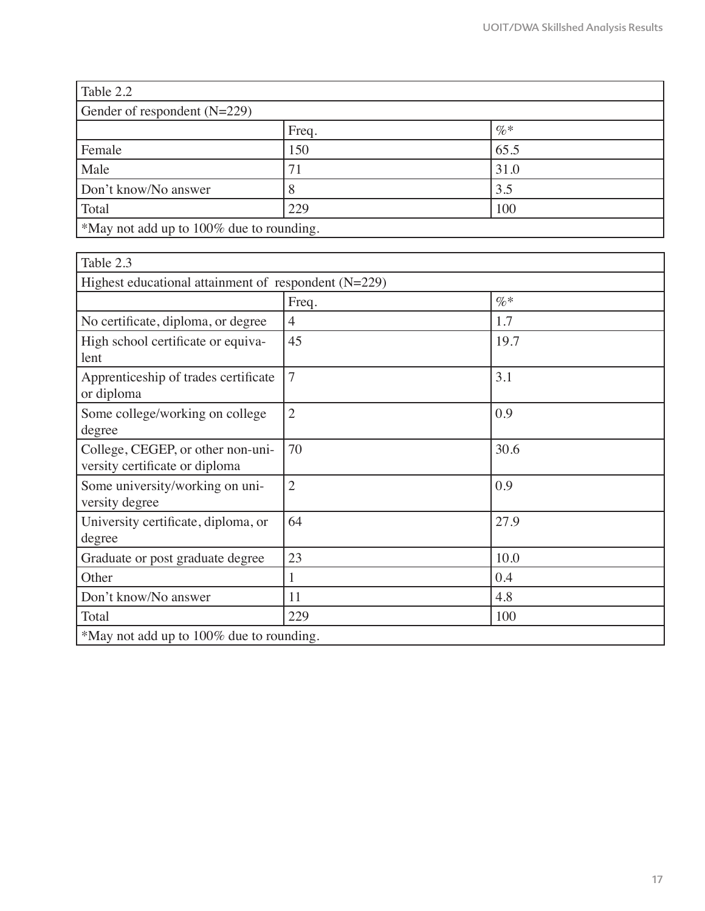| Table 2.2                                |     |      |  |  |
|------------------------------------------|-----|------|--|--|
| Gender of respondent $(N=229)$           |     |      |  |  |
| $\% *$<br>Freq.                          |     |      |  |  |
| Female                                   | 150 | 65.5 |  |  |
| Male                                     | 71  | 31.0 |  |  |
| Don't know/No answer                     |     | 3.5  |  |  |
| Total<br>229<br>100                      |     |      |  |  |
| *May not add up to 100% due to rounding. |     |      |  |  |

| Table 2.3                                                           |                |        |  |
|---------------------------------------------------------------------|----------------|--------|--|
| Highest educational attainment of respondent $(N=229)$              |                |        |  |
|                                                                     | Freq.          | $\% *$ |  |
| No certificate, diploma, or degree                                  | $\overline{4}$ | 1.7    |  |
| High school certificate or equiva-<br>lent                          | 45             | 19.7   |  |
| Apprenticeship of trades certificate<br>or diploma                  | $\overline{7}$ | 3.1    |  |
| Some college/working on college<br>degree                           | $\overline{2}$ | 0.9    |  |
| College, CEGEP, or other non-uni-<br>versity certificate or diploma | 70             | 30.6   |  |
| Some university/working on uni-<br>versity degree                   | $\overline{2}$ | 0.9    |  |
| University certificate, diploma, or<br>degree                       | 64             | 27.9   |  |
| Graduate or post graduate degree                                    | 23             | 10.0   |  |
| Other                                                               | 1              | 0.4    |  |
| Don't know/No answer                                                | 11             | 4.8    |  |
| Total                                                               | 229            | 100    |  |
| *May not add up to 100% due to rounding.                            |                |        |  |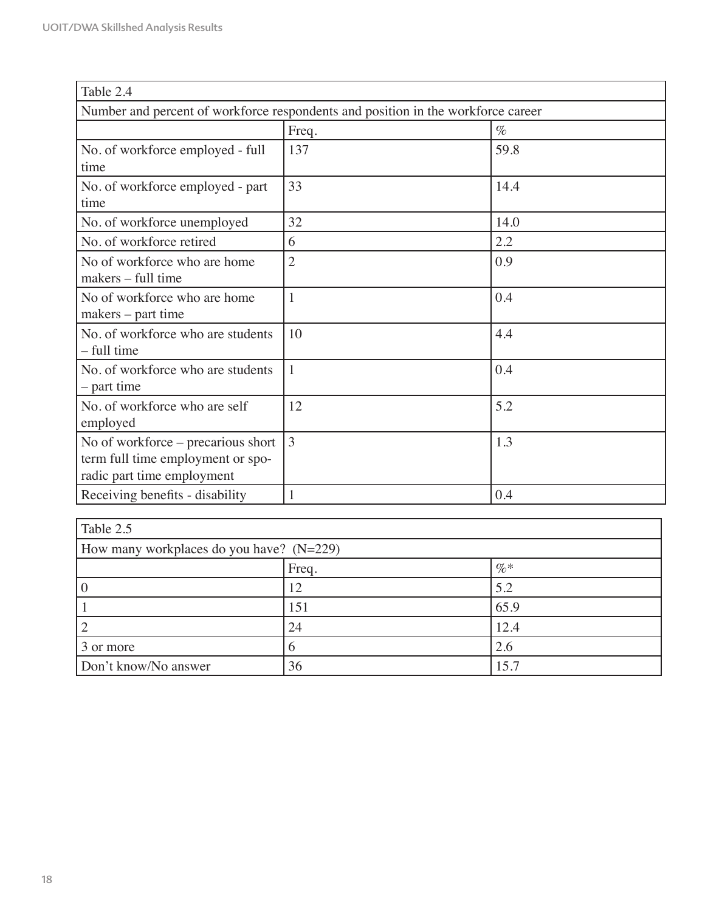| Table 2.4                                                                                             |                |      |  |
|-------------------------------------------------------------------------------------------------------|----------------|------|--|
| Number and percent of workforce respondents and position in the workforce career                      |                |      |  |
|                                                                                                       | Freq.          | $\%$ |  |
| No. of workforce employed - full<br>time                                                              | 137            | 59.8 |  |
| No. of workforce employed - part<br>time                                                              | 33             | 14.4 |  |
| No. of workforce unemployed                                                                           | 32             | 14.0 |  |
| No. of workforce retired                                                                              | 6              | 2.2  |  |
| No of workforce who are home<br>makers – full time                                                    | $\overline{2}$ | 0.9  |  |
| No of workforce who are home<br>$makes - part time$                                                   | $\mathbf{1}$   | 0.4  |  |
| No. of workforce who are students<br>- full time                                                      | 10             | 4.4  |  |
| No. of workforce who are students<br>- part time                                                      | $\mathbf{1}$   | 0.4  |  |
| No. of workforce who are self<br>employed                                                             | 12             | 5.2  |  |
| No of workforce – precarious short<br>term full time employment or spo-<br>radic part time employment | $\overline{3}$ | 1.3  |  |
| Receiving benefits - disability                                                                       | 1              | 0.4  |  |

| Table 2.5            |                                            |      |  |  |
|----------------------|--------------------------------------------|------|--|--|
|                      | How many workplaces do you have? $(N=229)$ |      |  |  |
|                      | Freq.                                      | $\%$ |  |  |
|                      | 12                                         | 5.2  |  |  |
|                      | 151                                        | 65.9 |  |  |
|                      | 24                                         | 12.4 |  |  |
| 3 or more            |                                            | 2.6  |  |  |
| Don't know/No answer | 36                                         | 15.7 |  |  |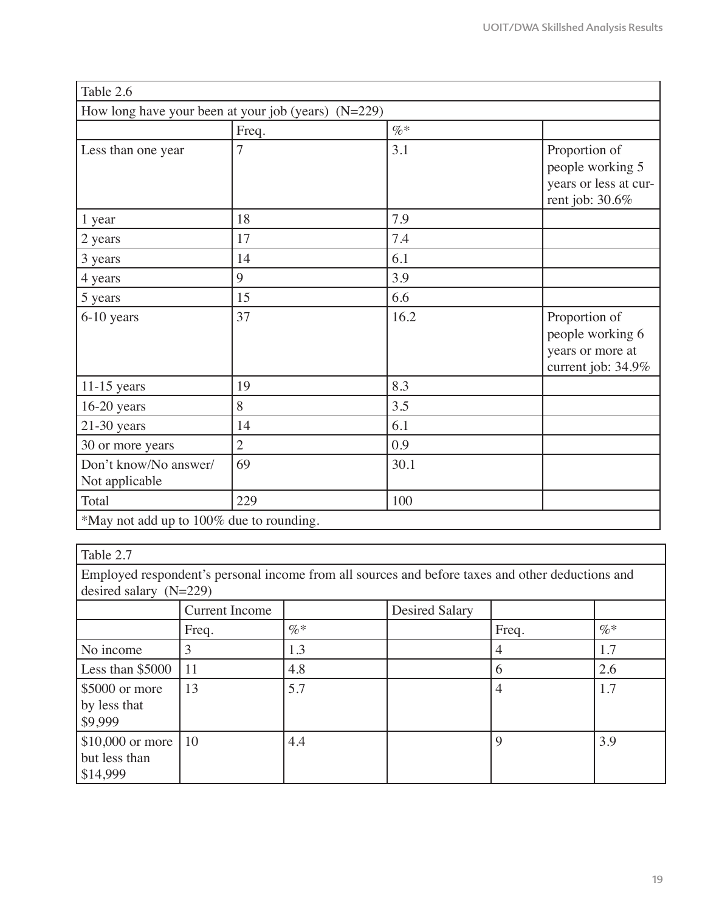| Table 2.6                                             |                |        |                                                                               |
|-------------------------------------------------------|----------------|--------|-------------------------------------------------------------------------------|
| How long have your been at your job (years) $(N=229)$ |                |        |                                                                               |
|                                                       | Freq.          | $\% *$ |                                                                               |
| Less than one year                                    | $\overline{7}$ | 3.1    | Proportion of<br>people working 5<br>years or less at cur-<br>rent job: 30.6% |
| 1 year                                                | 18             | 7.9    |                                                                               |
| 2 years                                               | 17             | 7.4    |                                                                               |
| 3 years                                               | 14             | 6.1    |                                                                               |
| 4 years                                               | 9              | 3.9    |                                                                               |
| 5 years                                               | 15             | 6.6    |                                                                               |
| 6-10 years                                            | 37             | 16.2   | Proportion of<br>people working 6<br>years or more at<br>current job: 34.9%   |
| $11-15$ years                                         | 19             | 8.3    |                                                                               |
| $16-20$ years                                         | 8              | 3.5    |                                                                               |
| $21-30$ years                                         | 14             | 6.1    |                                                                               |
| 30 or more years                                      | $\overline{2}$ | 0.9    |                                                                               |
| Don't know/No answer/<br>Not applicable               | 69             | 30.1   |                                                                               |
| Total                                                 | 229            | 100    |                                                                               |
| *May not add up to 100% due to rounding.              |                |        |                                                                               |

## Table 2.7

Employed respondent's personal income from all sources and before taxes and other deductions and desired salary  $(N=229)$ 

|                                                     | <b>Current Income</b> |        | <b>Desired Salary</b> |       |        |
|-----------------------------------------------------|-----------------------|--------|-----------------------|-------|--------|
|                                                     | Freq.                 | $\%$ * |                       | Freq. | $\%$ * |
| No income                                           |                       | 1.3    |                       | 4     | 1.7    |
| Less than $$5000$                                   | 11                    | 4.8    |                       | 6     | 2.6    |
| $$5000$ or more                                     | 13                    | 5.7    |                       | 4     | 1.7    |
| by less that<br>\$9,999                             |                       |        |                       |       |        |
| $$10,000$ or more   10<br>but less than<br>\$14,999 |                       | 4.4    |                       | 9     | 3.9    |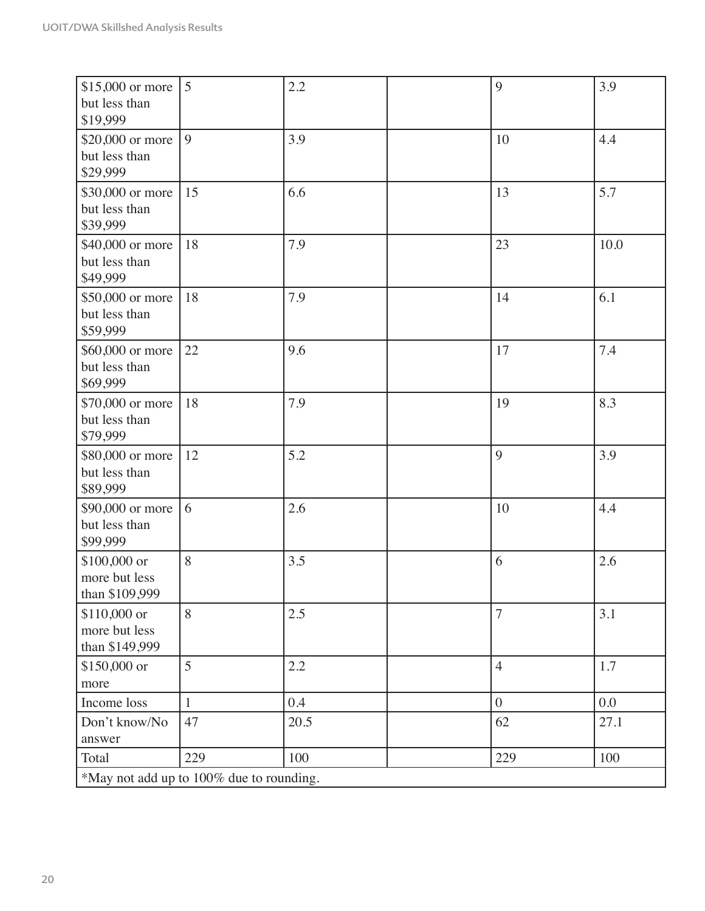| \$15,000 or more<br>but less than<br>\$19,999   | 5            | 2.2  | 9              | 3.9  |
|-------------------------------------------------|--------------|------|----------------|------|
| \$20,000 or more<br>but less than<br>\$29,999   | 9            | 3.9  | 10             | 4.4  |
| \$30,000 or more<br>but less than<br>\$39,999   | 15           | 6.6  | 13             | 5.7  |
| \$40,000 or more<br>but less than<br>\$49,999   | 18           | 7.9  | 23             | 10.0 |
| \$50,000 or more<br>but less than<br>\$59,999   | 18           | 7.9  | 14             | 6.1  |
| \$60,000 or more<br>but less than<br>\$69,999   | 22           | 9.6  | 17             | 7.4  |
| \$70,000 or more<br>but less than<br>\$79,999   | 18           | 7.9  | 19             | 8.3  |
| \$80,000 or more<br>but less than<br>\$89,999   | 12           | 5.2  | 9              | 3.9  |
| \$90,000 or more<br>but less than<br>\$99,999   | 6            | 2.6  | 10             | 4.4  |
| \$100,000 or<br>more but less<br>than \$109,999 | 8            | 3.5  | 6              | 2.6  |
| \$110,000 or<br>more but less<br>than \$149,999 | 8            | 2.5  | $\overline{7}$ | 3.1  |
| \$150,000 or<br>more                            | 5            | 2.2  | $\overline{4}$ | 1.7  |
| Income loss                                     | $\mathbf{1}$ | 0.4  | $\overline{0}$ | 0.0  |
| Don't know/No<br>answer                         | 47           | 20.5 | 62             | 27.1 |
| Total                                           | 229          | 100  | 229            | 100  |
| *May not add up to 100% due to rounding.        |              |      |                |      |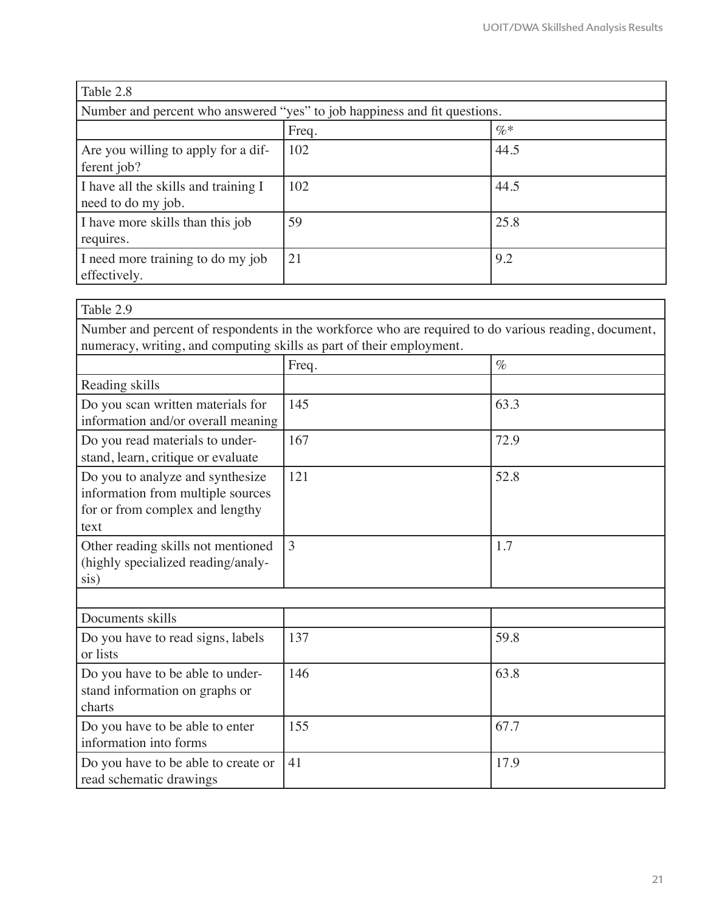| Table 2.8                                                                 |       |        |  |
|---------------------------------------------------------------------------|-------|--------|--|
| Number and percent who answered "yes" to job happiness and fit questions. |       |        |  |
|                                                                           | Freq. | $\%$ * |  |
| Are you willing to apply for a dif-<br>ferent job?                        | 102   | 44.5   |  |
| I have all the skills and training I<br>need to do my job.                | 102   | 44.5   |  |
| I have more skills than this job<br>requires.                             | 59    | 25.8   |  |
| I need more training to do my job<br>effectively.                         | 21    | 9.2    |  |

| Table 2.9                                                                                                        |                                                                                                      |      |
|------------------------------------------------------------------------------------------------------------------|------------------------------------------------------------------------------------------------------|------|
| numeracy, writing, and computing skills as part of their employment.                                             | Number and percent of respondents in the workforce who are required to do various reading, document, |      |
|                                                                                                                  | Freq.                                                                                                | $\%$ |
| Reading skills                                                                                                   |                                                                                                      |      |
| Do you scan written materials for<br>information and/or overall meaning                                          | 145                                                                                                  | 63.3 |
| Do you read materials to under-<br>stand, learn, critique or evaluate                                            | 167                                                                                                  | 72.9 |
| Do you to analyze and synthesize<br>information from multiple sources<br>for or from complex and lengthy<br>text | 121                                                                                                  | 52.8 |
| Other reading skills not mentioned<br>(highly specialized reading/analy-<br>sis)                                 | 3                                                                                                    | 1.7  |
|                                                                                                                  |                                                                                                      |      |
| Documents skills                                                                                                 |                                                                                                      |      |
| Do you have to read signs, labels<br>or lists                                                                    | 137                                                                                                  | 59.8 |
| Do you have to be able to under-<br>stand information on graphs or<br>charts                                     | 146                                                                                                  | 63.8 |
| Do you have to be able to enter<br>information into forms                                                        | 155                                                                                                  | 67.7 |
| Do you have to be able to create or<br>read schematic drawings                                                   | 41                                                                                                   | 17.9 |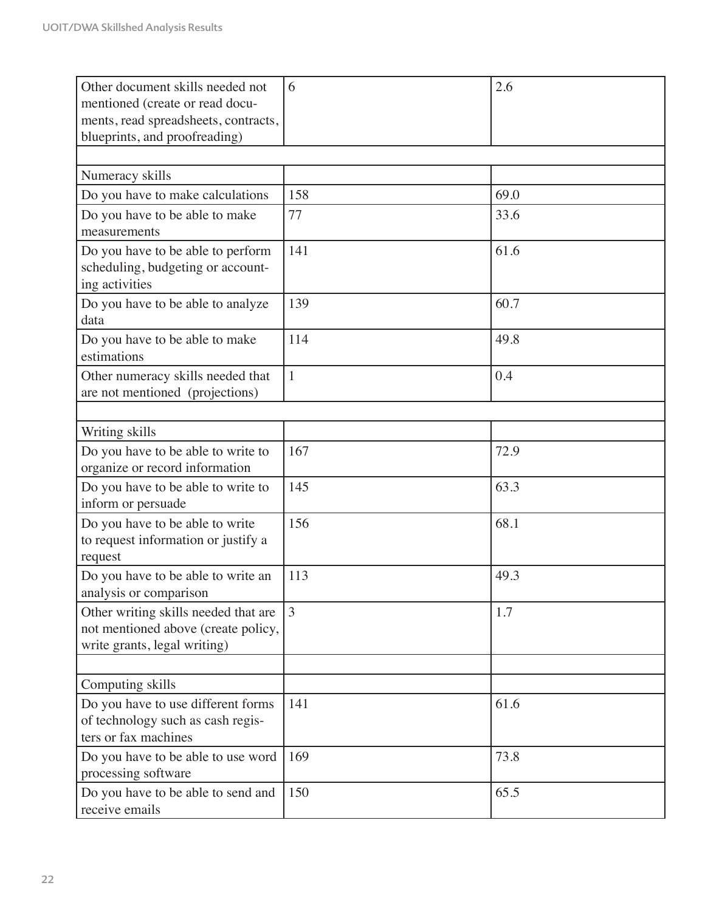| Other document skills needed not<br>mentioned (create or read docu-<br>ments, read spreadsheets, contracts,<br>blueprints, and proofreading) | 6            | 2.6  |
|----------------------------------------------------------------------------------------------------------------------------------------------|--------------|------|
|                                                                                                                                              |              |      |
| Numeracy skills                                                                                                                              |              |      |
| Do you have to make calculations                                                                                                             | 158          | 69.0 |
| Do you have to be able to make<br>measurements                                                                                               | 77           | 33.6 |
| Do you have to be able to perform<br>scheduling, budgeting or account-<br>ing activities                                                     | 141          | 61.6 |
| Do you have to be able to analyze<br>data                                                                                                    | 139          | 60.7 |
| Do you have to be able to make<br>estimations                                                                                                | 114          | 49.8 |
| Other numeracy skills needed that<br>are not mentioned (projections)                                                                         | $\mathbf{1}$ | 0.4  |
|                                                                                                                                              |              |      |
| Writing skills                                                                                                                               | 167          | 72.9 |
| Do you have to be able to write to<br>organize or record information                                                                         |              |      |
| Do you have to be able to write to<br>inform or persuade                                                                                     | 145          | 63.3 |
| Do you have to be able to write<br>to request information or justify a<br>request                                                            | 156          | 68.1 |
| Do you have to be able to write an<br>analysis or comparison                                                                                 | 113          | 49.3 |
| Other writing skills needed that are<br>not mentioned above (create policy,<br>write grants, legal writing)                                  | 3            | 1.7  |
| Computing skills                                                                                                                             |              |      |
| Do you have to use different forms<br>of technology such as cash regis-<br>ters or fax machines                                              | 141          | 61.6 |
| Do you have to be able to use word<br>processing software                                                                                    | 169          | 73.8 |
| Do you have to be able to send and<br>receive emails                                                                                         | 150          | 65.5 |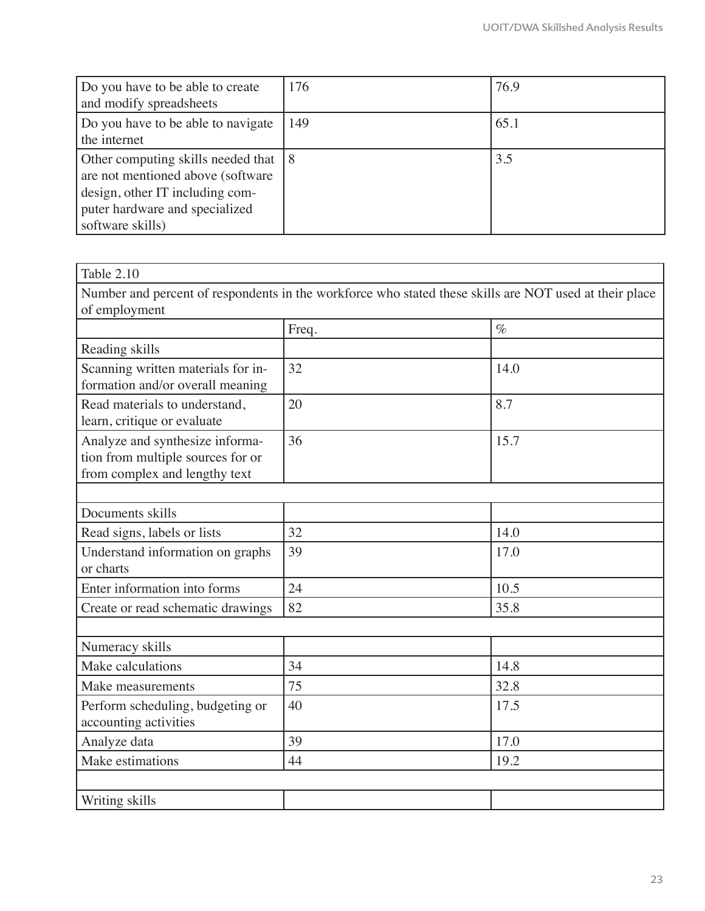| Do you have to be able to create<br>and modify spreadsheets                                                                                                          | 176 | 76.9 |
|----------------------------------------------------------------------------------------------------------------------------------------------------------------------|-----|------|
| Do you have to be able to navigate<br>the internet                                                                                                                   | 149 | 65.1 |
| Other computing skills needed that 18<br>are not mentioned above (software)<br>design, other IT including com-<br>puter hardware and specialized<br>software skills) |     | 3.5  |

| Table 2.10                                                                                             |       |      |  |  |
|--------------------------------------------------------------------------------------------------------|-------|------|--|--|
| Number and percent of respondents in the workforce who stated these skills are NOT used at their place |       |      |  |  |
| of employment                                                                                          |       |      |  |  |
|                                                                                                        | Freq. | $\%$ |  |  |
| Reading skills                                                                                         |       |      |  |  |
| Scanning written materials for in-<br>formation and/or overall meaning                                 | 32    | 14.0 |  |  |
| Read materials to understand,<br>learn, critique or evaluate                                           | 20    | 8.7  |  |  |
| Analyze and synthesize informa-<br>tion from multiple sources for or<br>from complex and lengthy text  | 36    | 15.7 |  |  |
| Documents skills                                                                                       |       |      |  |  |
| Read signs, labels or lists                                                                            | 32    | 14.0 |  |  |
| Understand information on graphs<br>or charts                                                          | 39    | 17.0 |  |  |
| Enter information into forms                                                                           | 24    | 10.5 |  |  |
| Create or read schematic drawings                                                                      | 82    | 35.8 |  |  |
|                                                                                                        |       |      |  |  |
| Numeracy skills                                                                                        |       |      |  |  |
| Make calculations                                                                                      | 34    | 14.8 |  |  |
| Make measurements                                                                                      | 75    | 32.8 |  |  |
| Perform scheduling, budgeting or<br>accounting activities                                              | 40    | 17.5 |  |  |
| Analyze data                                                                                           | 39    | 17.0 |  |  |
| Make estimations                                                                                       | 44    | 19.2 |  |  |
| Writing skills                                                                                         |       |      |  |  |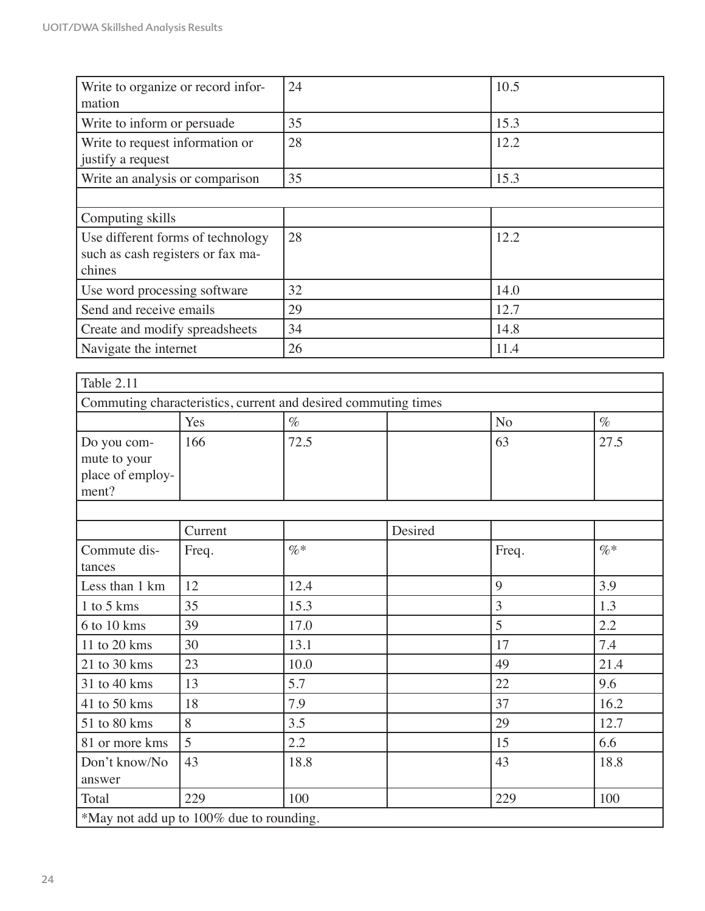| Write to organize or record infor-<br>mation                                     |                    | 24                                                             |                      | 10.5           |      |  |
|----------------------------------------------------------------------------------|--------------------|----------------------------------------------------------------|----------------------|----------------|------|--|
| Write to inform or persuade                                                      |                    | 35                                                             |                      | 15.3           |      |  |
| Write to request information or<br>justify a request                             |                    | 28                                                             |                      | 12.2           |      |  |
| Write an analysis or comparison                                                  |                    | 35                                                             |                      | 15.3           |      |  |
|                                                                                  |                    |                                                                |                      |                |      |  |
| Computing skills                                                                 |                    |                                                                |                      |                |      |  |
| Use different forms of technology<br>such as cash registers or fax ma-<br>chines |                    | 28                                                             |                      | 12.2           |      |  |
| Use word processing software                                                     |                    | 32                                                             |                      | 14.0           |      |  |
| Send and receive emails                                                          |                    | 29                                                             |                      | 12.7           |      |  |
| Create and modify spreadsheets                                                   |                    | 34                                                             |                      | 14.8           |      |  |
| Navigate the internet                                                            |                    | 26<br>11.4                                                     |                      |                |      |  |
| Table 2.11                                                                       |                    |                                                                |                      |                |      |  |
|                                                                                  |                    | Commuting characteristics, current and desired commuting times |                      |                |      |  |
|                                                                                  | Yes                | $\%$                                                           |                      | N <sub>o</sub> | $\%$ |  |
| Do you com-<br>mute to your<br>place of employ-<br>ment?                         | 166                | 72.5                                                           |                      | 63             | 27.5 |  |
|                                                                                  | $C$ <i>xxxxxxx</i> |                                                                | $D$ and $\mathbf{J}$ |                |      |  |

|                                          | Current |        | Desired |       |        |
|------------------------------------------|---------|--------|---------|-------|--------|
| Commute dis-                             | Freq.   | $\% *$ |         | Freq. | $\% *$ |
| tances                                   |         |        |         |       |        |
| Less than 1 km                           | 12      | 12.4   |         | 9     | 3.9    |
| 1 to 5 kms                               | 35      | 15.3   |         | 3     | 1.3    |
| 6 to 10 kms                              | 39      | 17.0   |         | 5     | 2.2    |
| 11 to 20 kms                             | 30      | 13.1   |         | 17    | 7.4    |
| 21 to 30 kms                             | 23      | 10.0   |         | 49    | 21.4   |
| 31 to 40 kms                             | 13      | 5.7    |         | 22    | 9.6    |
| 41 to 50 kms                             | 18      | 7.9    |         | 37    | 16.2   |
| 51 to 80 kms                             | 8       | 3.5    |         | 29    | 12.7   |
| 81 or more kms                           | 5       | 2.2    |         | 15    | 6.6    |
| Don't know/No                            | 43      | 18.8   |         | 43    | 18.8   |
| answer                                   |         |        |         |       |        |
| Total                                    | 229     | 100    |         | 229   | 100    |
| *May not add up to 100% due to rounding. |         |        |         |       |        |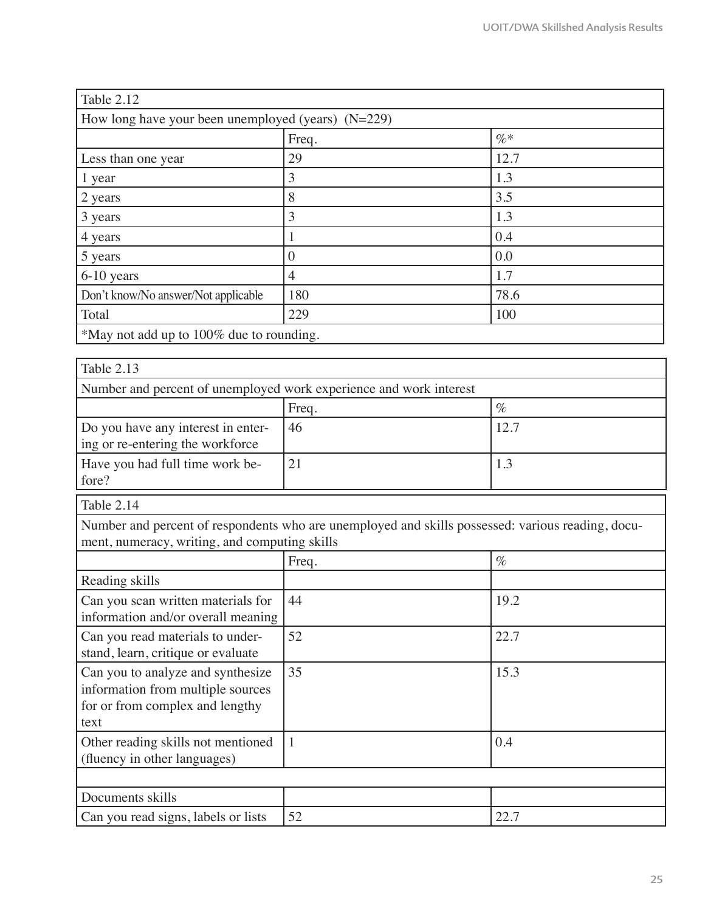| Table 2.12                                           |                  |        |  |
|------------------------------------------------------|------------------|--------|--|
| How long have your been unemployed (years) $(N=229)$ |                  |        |  |
|                                                      | Freq.            | $\% *$ |  |
| Less than one year                                   | 29               | 12.7   |  |
| 1 year                                               | 3                | 1.3    |  |
| 2 years                                              | 8                | 3.5    |  |
| 3 years                                              | 3                | 1.3    |  |
| 4 years                                              |                  | 0.4    |  |
| 5 years                                              | $\left( \right)$ | 0.0    |  |
| 6-10 years                                           | 4                | 1.7    |  |
| Don't know/No answer/Not applicable                  | 180              | 78.6   |  |
| Total                                                | 229              | 100    |  |
| *May not add up to 100% due to rounding.             |                  |        |  |

| Table 2.13                                                             |               |      |  |  |
|------------------------------------------------------------------------|---------------|------|--|--|
| Number and percent of unemployed work experience and work interest     |               |      |  |  |
|                                                                        | $\%$<br>Freq. |      |  |  |
| Do you have any interest in enter-<br>ing or re-entering the workforce | 46            | 12.7 |  |  |
| Have you had full time work be-<br>fore?                               | 21            | 1.3  |  |  |

Table 2.14

Number and percent of respondents who are unemployed and skills possessed: various reading, document, numeracy, writing, and computing skills

|                                                                                                                   | Freq. | $\%$ |
|-------------------------------------------------------------------------------------------------------------------|-------|------|
| Reading skills                                                                                                    |       |      |
| Can you scan written materials for<br>information and/or overall meaning                                          | 44    | 19.2 |
| Can you read materials to under-<br>stand, learn, critique or evaluate                                            | 52    | 22.7 |
| Can you to analyze and synthesize<br>information from multiple sources<br>for or from complex and lengthy<br>text | 35    | 15.3 |
| Other reading skills not mentioned<br>(fluency in other languages)                                                | 1     | 0.4  |
|                                                                                                                   |       |      |
| Documents skills                                                                                                  |       |      |
| Can you read signs, labels or lists                                                                               | 52    | 22.7 |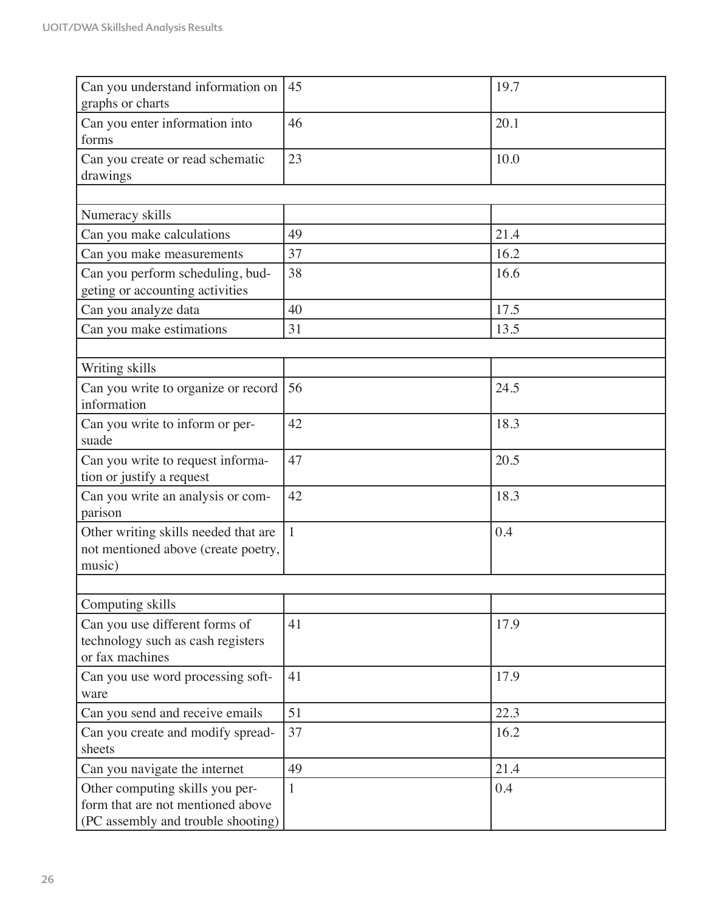| Can you understand information on<br>graphs or charts                                                      | 45           | 19.7 |
|------------------------------------------------------------------------------------------------------------|--------------|------|
| Can you enter information into<br>forms                                                                    | 46           | 20.1 |
| Can you create or read schematic<br>drawings                                                               | 23           | 10.0 |
|                                                                                                            |              |      |
| Numeracy skills                                                                                            |              |      |
| Can you make calculations                                                                                  | 49           | 21.4 |
| Can you make measurements                                                                                  | 37           | 16.2 |
| Can you perform scheduling, bud-<br>geting or accounting activities                                        | 38           | 16.6 |
| Can you analyze data                                                                                       | 40           | 17.5 |
| Can you make estimations                                                                                   | 31           | 13.5 |
|                                                                                                            |              |      |
| Writing skills                                                                                             |              |      |
| Can you write to organize or record<br>information                                                         | 56           | 24.5 |
| Can you write to inform or per-<br>suade                                                                   | 42           | 18.3 |
| Can you write to request informa-<br>tion or justify a request                                             | 47           | 20.5 |
| Can you write an analysis or com-<br>parison                                                               | 42           | 18.3 |
| Other writing skills needed that are<br>not mentioned above (create poetry,<br>music)                      | $\mathbf{1}$ | 0.4  |
|                                                                                                            |              |      |
| Computing skills                                                                                           |              |      |
| Can you use different forms of<br>technology such as cash registers<br>or fax machines                     | 41           | 17.9 |
| Can you use word processing soft-<br>ware                                                                  | 41           | 17.9 |
| Can you send and receive emails                                                                            | 51           | 22.3 |
| Can you create and modify spread-<br>sheets                                                                | 37           | 16.2 |
| Can you navigate the internet                                                                              | 49           | 21.4 |
| Other computing skills you per-<br>form that are not mentioned above<br>(PC assembly and trouble shooting) | $\mathbf{1}$ | 0.4  |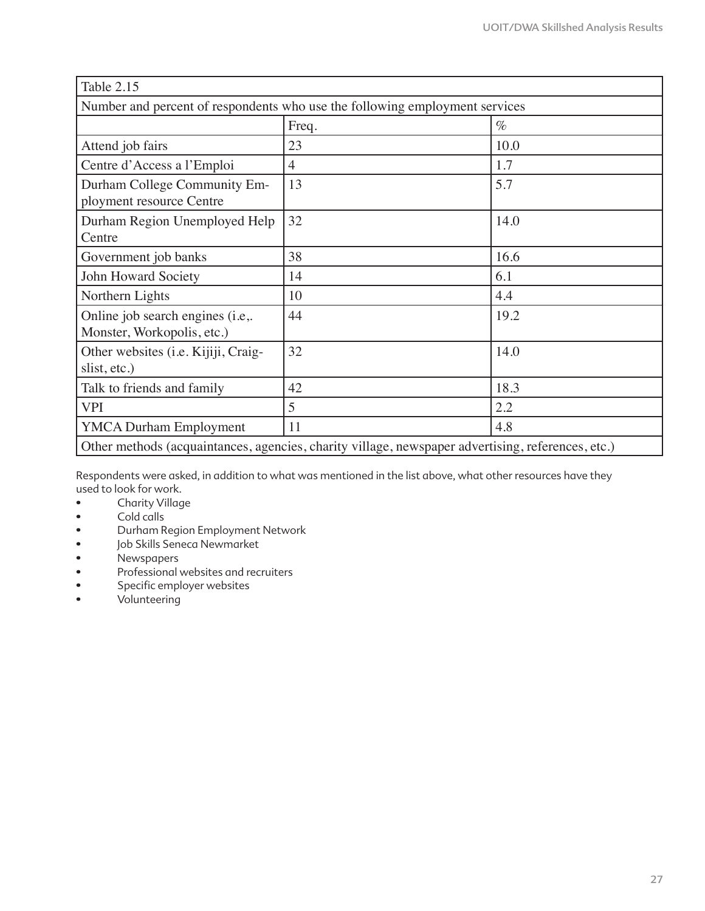| Table 2.15                                                                                        |                |      |
|---------------------------------------------------------------------------------------------------|----------------|------|
| Number and percent of respondents who use the following employment services                       |                |      |
|                                                                                                   | Freq.          | $\%$ |
| Attend job fairs                                                                                  | 23             | 10.0 |
| Centre d'Access a l'Emploi                                                                        | $\overline{4}$ | 1.7  |
| Durham College Community Em-<br>ployment resource Centre                                          | 13             | 5.7  |
| Durham Region Unemployed Help<br>Centre                                                           | 32             | 14.0 |
| Government job banks                                                                              | 38             | 16.6 |
| John Howard Society                                                                               | 14             | 6.1  |
| Northern Lights                                                                                   | 10             | 4.4  |
| Online job search engines (i.e,.<br>Monster, Workopolis, etc.)                                    | 44             | 19.2 |
| Other websites (i.e. Kijiji, Craig-<br>slist, etc.)                                               | 32             | 14.0 |
| Talk to friends and family                                                                        | 42             | 18.3 |
| <b>VPI</b>                                                                                        | 5              | 2.2  |
| <b>YMCA Durham Employment</b>                                                                     | 11             | 4.8  |
| Other methods (acquaintances, agencies, charity village, newspaper advertising, references, etc.) |                |      |

Respondents were asked, in addition to what was mentioned in the list above, what other resources have they used to look for work.

- Charity Village
- Cold calls
- Durham Region Employment Network
- Job Skills Seneca Newmarket<br>• Newspapers
- Newspapers
- Professional websites and recruiters
- Specific employer websites
- Volunteering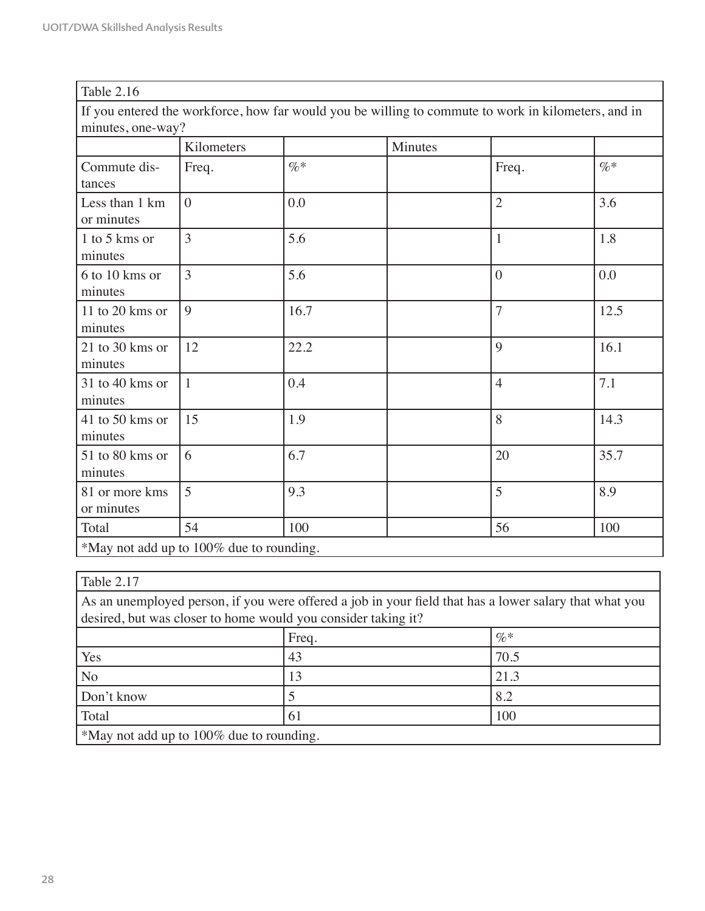| Table 2.16                                                                                                               |                |        |         |                |      |
|--------------------------------------------------------------------------------------------------------------------------|----------------|--------|---------|----------------|------|
| If you entered the workforce, how far would you be willing to commute to work in kilometers, and in<br>minutes, one-way? |                |        |         |                |      |
|                                                                                                                          | Kilometers     |        | Minutes |                |      |
| Commute dis-<br>tances                                                                                                   | Freq.          | $\% *$ |         | Freq.          | $\%$ |
| Less than 1 km<br>or minutes                                                                                             | $\overline{0}$ | 0.0    |         | $\overline{2}$ | 3.6  |
| 1 to 5 kms or<br>minutes                                                                                                 | 3              | 5.6    |         | $\mathbf{1}$   | 1.8  |
| 6 to 10 kms or<br>minutes                                                                                                | 3              | 5.6    |         | $\overline{0}$ | 0.0  |
| 11 to 20 kms or<br>minutes                                                                                               | 9              | 16.7   |         | $\overline{7}$ | 12.5 |
| 21 to 30 kms or<br>minutes                                                                                               | 12             | 22.2   |         | 9              | 16.1 |
| 31 to 40 kms or<br>minutes                                                                                               | $\mathbf{1}$   | 0.4    |         | $\overline{4}$ | 7.1  |
| 41 to 50 kms or<br>minutes                                                                                               | 15             | 1.9    |         | 8              | 14.3 |
| 51 to 80 kms or<br>minutes                                                                                               | 6              | 6.7    |         | 20             | 35.7 |
| 81 or more kms<br>or minutes                                                                                             | 5              | 9.3    |         | 5              | 8.9  |
| Total                                                                                                                    | 54             | 100    |         | 56             | 100  |
| *May not add up to 100% due to rounding.                                                                                 |                |        |         |                |      |

| Table 2.17                                                                                                                                                              |    |      |  |
|-------------------------------------------------------------------------------------------------------------------------------------------------------------------------|----|------|--|
| As an unemployed person, if you were offered a job in your field that has a lower salary that what you<br>desired, but was closer to home would you consider taking it? |    |      |  |
| $\%$ *<br>Freq.                                                                                                                                                         |    |      |  |
| Yes                                                                                                                                                                     | 43 | 70.5 |  |
| N <sub>o</sub>                                                                                                                                                          | 13 | 21.3 |  |
| Don't know                                                                                                                                                              |    | 8.2  |  |
| Total                                                                                                                                                                   | 61 | 100  |  |
| *May not add up to 100% due to rounding.                                                                                                                                |    |      |  |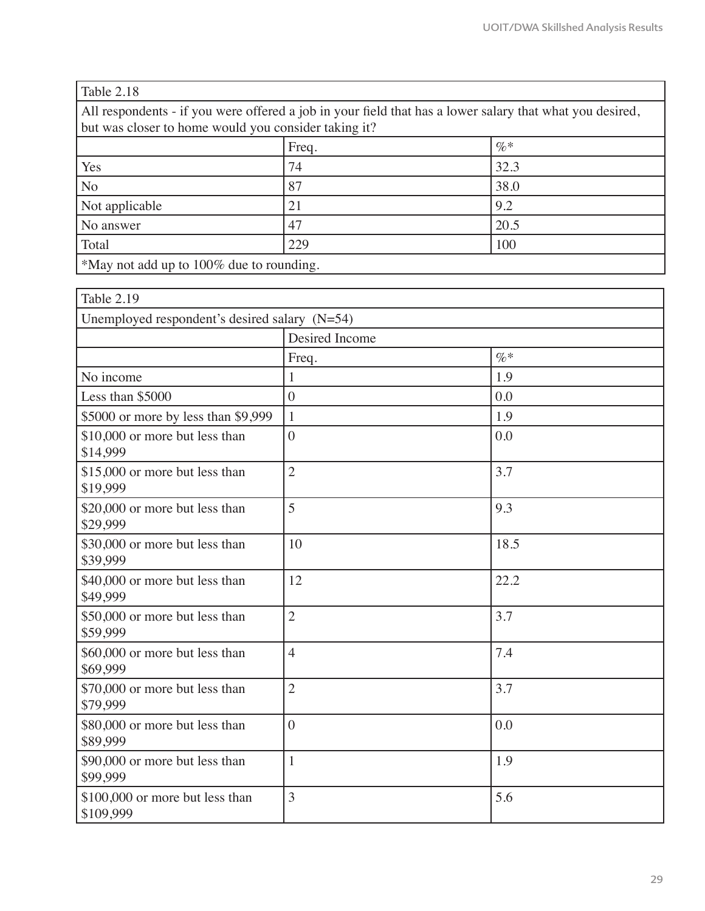| Table 2.18                                                                                               |    |      |  |
|----------------------------------------------------------------------------------------------------------|----|------|--|
| All respondents - if you were offered a job in your field that has a lower salary that what you desired, |    |      |  |
| but was closer to home would you consider taking it?                                                     |    |      |  |
| $\%$<br>Freq.                                                                                            |    |      |  |
| Yes                                                                                                      | 74 | 32.3 |  |
| N <sub>o</sub>                                                                                           | 87 | 38.0 |  |
| 9.2<br>Not applicable<br>21                                                                              |    |      |  |
| 20.5<br>47<br>No answer                                                                                  |    |      |  |
| Total<br>229<br>100                                                                                      |    |      |  |
| *May not add up to 100% due to rounding.                                                                 |    |      |  |

| Table 2.19                                      |                |        |
|-------------------------------------------------|----------------|--------|
| Unemployed respondent's desired salary $(N=54)$ |                |        |
|                                                 | Desired Income |        |
|                                                 | Freq.          | $\% *$ |
| No income                                       | 1              | 1.9    |
| Less than \$5000                                | $\overline{0}$ | 0.0    |
| \$5000 or more by less than \$9,999             | $\mathbf{1}$   | 1.9    |
| \$10,000 or more but less than<br>\$14,999      | $\overline{0}$ | 0.0    |
| \$15,000 or more but less than<br>\$19,999      | $\overline{2}$ | 3.7    |
| \$20,000 or more but less than<br>\$29,999      | 5              | 9.3    |
| \$30,000 or more but less than<br>\$39,999      | 10             | 18.5   |
| \$40,000 or more but less than<br>\$49,999      | 12             | 22.2   |
| \$50,000 or more but less than<br>\$59,999      | $\overline{2}$ | 3.7    |
| \$60,000 or more but less than<br>\$69,999      | $\overline{4}$ | 7.4    |
| \$70,000 or more but less than<br>\$79,999      | $\overline{2}$ | 3.7    |
| \$80,000 or more but less than<br>\$89,999      | $\overline{0}$ | 0.0    |
| \$90,000 or more but less than<br>\$99,999      | $\mathbf{1}$   | 1.9    |
| \$100,000 or more but less than<br>\$109,999    | 3              | 5.6    |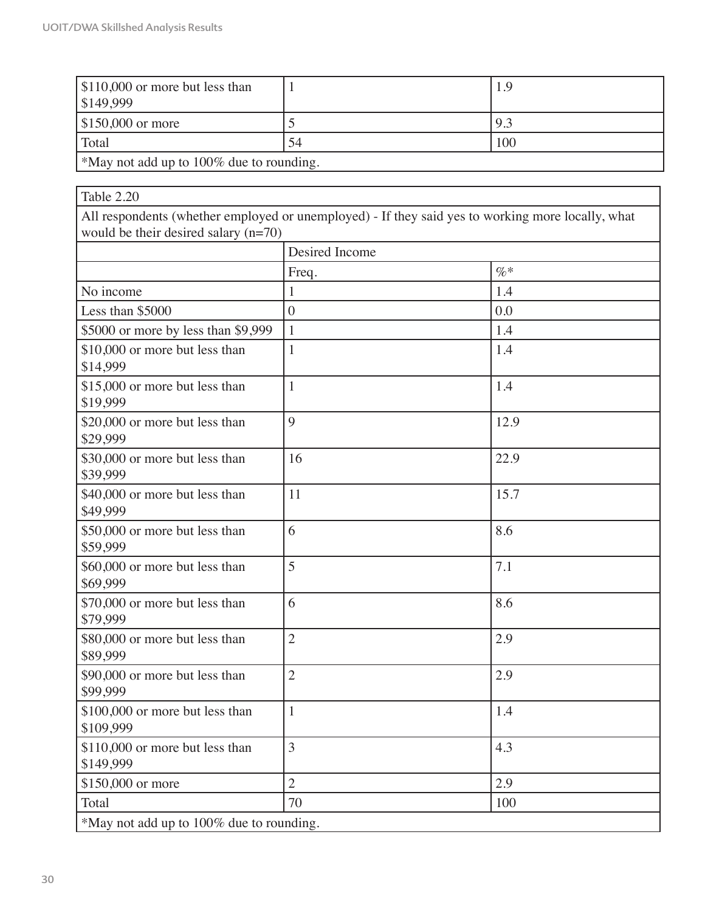'n

| $\frac{1}{2}$ \$110,000 or more but less than<br>\$149,999 |    | 1.9 |
|------------------------------------------------------------|----|-----|
| $$150,000$ or more                                         |    | 9.3 |
| Total                                                      | 54 | 100 |
| $\vert$ *May not add up to 100% due to rounding.           |    |     |

\*May not add up to 100% due to rounding.

| Table 2.20                                   |                                                                                                   |        |
|----------------------------------------------|---------------------------------------------------------------------------------------------------|--------|
| would be their desired salary $(n=70)$       | All respondents (whether employed or unemployed) - If they said yes to working more locally, what |        |
|                                              | Desired Income                                                                                    |        |
|                                              | Freq.                                                                                             | $\% *$ |
| No income                                    | 1                                                                                                 | 1.4    |
| Less than \$5000                             | $\overline{0}$                                                                                    | 0.0    |
| \$5000 or more by less than \$9,999          | $\mathbf{1}$                                                                                      | 1.4    |
| \$10,000 or more but less than<br>\$14,999   | $\mathbf{1}$                                                                                      | 1.4    |
| \$15,000 or more but less than<br>\$19,999   | $\mathbf{1}$                                                                                      | 1.4    |
| \$20,000 or more but less than<br>\$29,999   | 9                                                                                                 | 12.9   |
| \$30,000 or more but less than<br>\$39,999   | 16                                                                                                | 22.9   |
| \$40,000 or more but less than<br>\$49,999   | 11                                                                                                | 15.7   |
| \$50,000 or more but less than<br>\$59,999   | 6                                                                                                 | 8.6    |
| \$60,000 or more but less than<br>\$69,999   | 5                                                                                                 | 7.1    |
| \$70,000 or more but less than<br>\$79,999   | 6                                                                                                 | 8.6    |
| \$80,000 or more but less than<br>\$89,999   | $\overline{2}$                                                                                    | 2.9    |
| \$90,000 or more but less than<br>\$99,999   | $\overline{2}$                                                                                    | 2.9    |
| \$100,000 or more but less than<br>\$109,999 | 1                                                                                                 | 1.4    |
| \$110,000 or more but less than<br>\$149,999 | $\overline{3}$                                                                                    | 4.3    |
| \$150,000 or more                            | $\overline{2}$                                                                                    | 2.9    |
| Total                                        | 70                                                                                                | 100    |
| *May not add up to 100% due to rounding.     |                                                                                                   |        |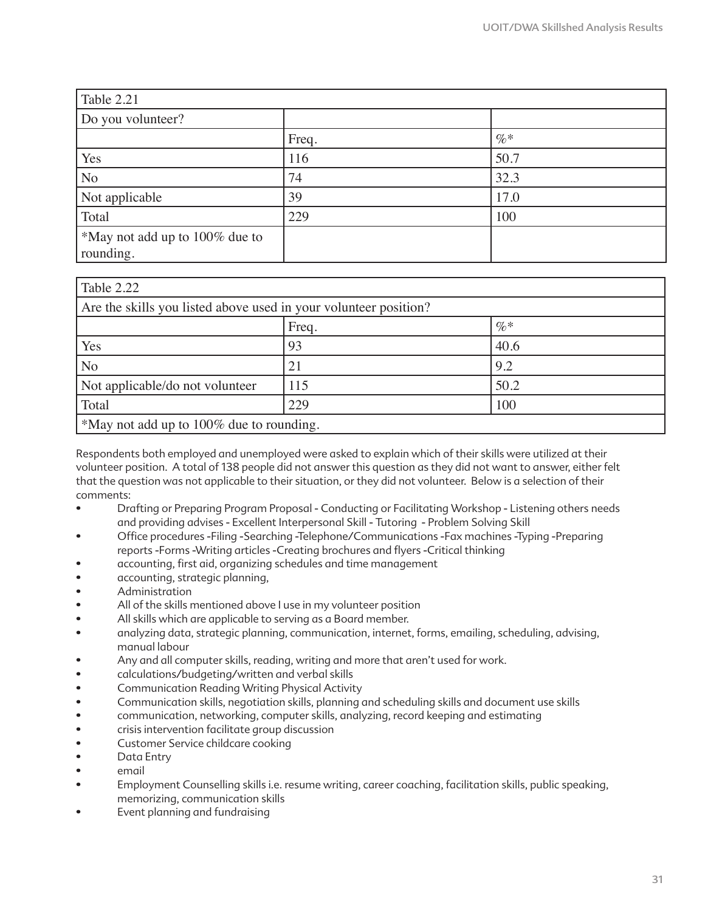| Table 2.21                     |       |      |
|--------------------------------|-------|------|
| Do you volunteer?              |       |      |
|                                | Freq. | $\%$ |
| Yes                            | 116   | 50.7 |
| N <sub>o</sub>                 | 74    | 32.3 |
| Not applicable                 | 39    | 17.0 |
| Total                          | 229   | 100  |
| *May not add up to 100% due to |       |      |
| rounding.                      |       |      |

| Table 2.22                                                       |     |      |  |
|------------------------------------------------------------------|-----|------|--|
| Are the skills you listed above used in your volunteer position? |     |      |  |
| $\%$ *<br>Freq.                                                  |     |      |  |
| Yes                                                              | 93  | 40.6 |  |
| N <sub>o</sub>                                                   | 21  | 9.2  |  |
| Not applicable/do not volunteer                                  | 115 | 50.2 |  |
| Total                                                            | 229 | 100  |  |
| *May not add up to 100% due to rounding.                         |     |      |  |

Respondents both employed and unemployed were asked to explain which of their skills were utilized at their volunteer position. A total of 138 people did not answer this question as they did not want to answer, either felt that the question was not applicable to their situation, or they did not volunteer. Below is a selection of their comments:

- Drafting or Preparing Program Proposal Conducting or Facilitating Workshop Listening others needs and providing advises - Excellent Interpersonal Skill - Tutoring - Problem Solving Skill
- Office procedures -Filing -Searching -Telephone/Communications -Fax machines -Typing -Preparing reports -Forms -Writing articles -Creating brochures and flyers -Critical thinking
- accounting, first aid, organizing schedules and time management
- accounting, strategic planning,
- Administration
- All of the skills mentioned above I use in my volunteer position
- All skills which are applicable to serving as a Board member.
- analyzing data, strategic planning, communication, internet, forms, emailing, scheduling, advising, manual labour
- Any and all computer skills, reading, writing and more that aren't used for work.
- calculations/budgeting/written and verbal skills
- Communication Reading Writing Physical Activity
- Communication skills, negotiation skills, planning and scheduling skills and document use skills
- communication, networking, computer skills, analyzing, record keeping and estimating
- crisis intervention facilitate group discussion
- Customer Service childcare cooking
- Data Entry
- email
- Employment Counselling skills i.e. resume writing, career coaching, facilitation skills, public speaking, memorizing, communication skills
- Event planning and fundraising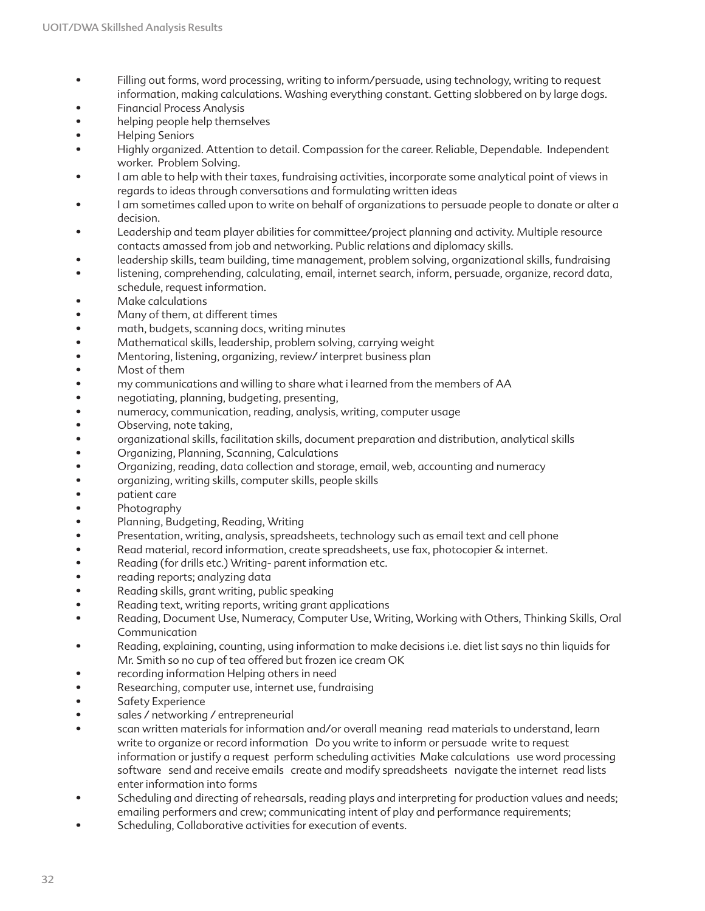- Filling out forms, word processing, writing to inform/persuade, using technology, writing to request information, making calculations. Washing everything constant. Getting slobbered on by large dogs.
- Financial Process Analysis
- helping people help themselves
- Helping Seniors
- Highly organized. Attention to detail. Compassion for the career. Reliable, Dependable. Independent worker. Problem Solving.
- I am able to help with their taxes, fundraising activities, incorporate some analytical point of views in regards to ideas through conversations and formulating written ideas
- I am sometimes called upon to write on behalf of organizations to persuade people to donate or alter a decision.
- Leadership and team player abilities for committee/project planning and activity. Multiple resource contacts amassed from job and networking. Public relations and diplomacy skills.
- leadership skills, team building, time management, problem solving, organizational skills, fundraising
- listening, comprehending, calculating, email, internet search, inform, persuade, organize, record data, schedule, request information.
- Make calculations
- Many of them, at different times
- math, budgets, scanning docs, writing minutes
- Mathematical skills, leadership, problem solving, carrying weight
- Mentoring, listening, organizing, review/ interpret business plan
- Most of them
- my communications and willing to share what i learned from the members of AA
- negotiating, planning, budgeting, presenting,
- numeracy, communication, reading, analysis, writing, computer usage
- Observing, note taking,
- organizational skills, facilitation skills, document preparation and distribution, analytical skills
- Organizing, Planning, Scanning, Calculations
- Organizing, reading, data collection and storage, email, web, accounting and numeracy
- organizing, writing skills, computer skills, people skills
- patient care
- Photography
- Planning, Budgeting, Reading, Writing
- Presentation, writing, analysis, spreadsheets, technology such as email text and cell phone
- Read material, record information, create spreadsheets, use fax, photocopier & internet.
- Reading (for drills etc.) Writing- parent information etc.
- reading reports; analyzing data
- Reading skills, grant writing, public speaking
- Reading text, writing reports, writing grant applications
- Reading, Document Use, Numeracy, Computer Use, Writing, Working with Others, Thinking Skills, Oral Communication
- Reading, explaining, counting, using information to make decisions i.e. diet list says no thin liquids for Mr. Smith so no cup of tea offered but frozen ice cream OK
- recording information Helping others in need
- Researching, computer use, internet use, fundraising
- Safety Experience
- sales / networking / entrepreneurial
- scan written materials for information and/or overall meaning read materials to understand, learn write to organize or record information Do you write to inform or persuade write to request information or justify a request perform scheduling activities Make calculations use word processing software send and receive emails create and modify spreadsheets navigate the internet read lists enter information into forms
- Scheduling and directing of rehearsals, reading plays and interpreting for production values and needs; emailing performers and crew; communicating intent of play and performance requirements;
- Scheduling, Collaborative activities for execution of events.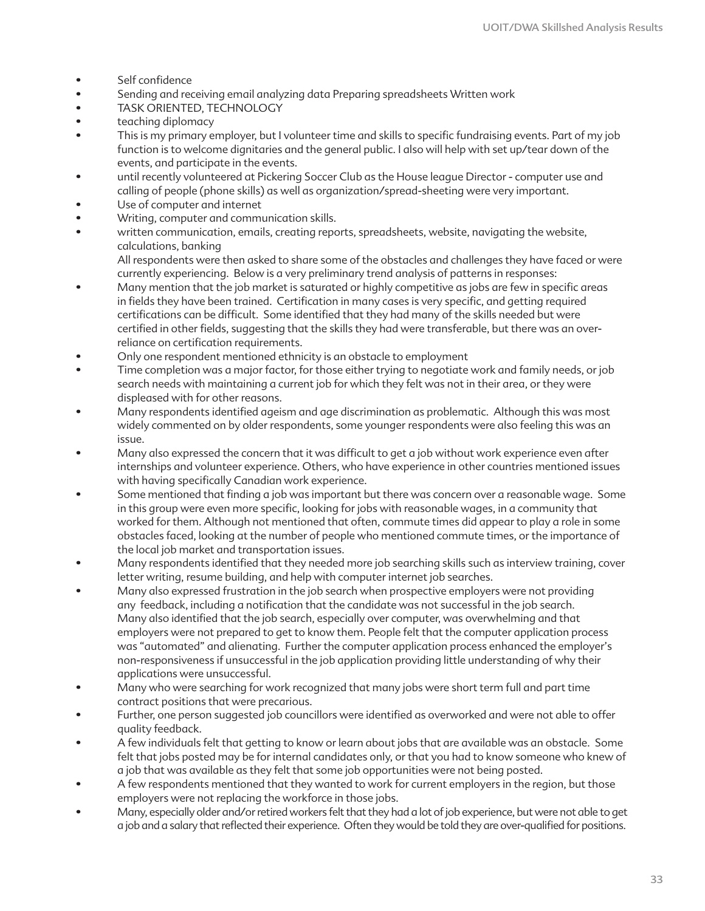- Self confidence
- Sending and receiving email analyzing data Preparing spreadsheets Written work
- TASK ORIENTED, TECHNOLOGY
- teaching diplomacy
- This is my primary employer, but I volunteer time and skills to specific fundraising events. Part of my job function is to welcome dignitaries and the general public. I also will help with set up/tear down of the events, and participate in the events.
- until recently volunteered at Pickering Soccer Club as the House league Director computer use and calling of people (phone skills) as well as organization/spread-sheeting were very important.
- Use of computer and internet
- Writing, computer and communication skills.
- written communication, emails, creating reports, spreadsheets, website, navigating the website, calculations, banking

All respondents were then asked to share some of the obstacles and challenges they have faced or were currently experiencing. Below is a very preliminary trend analysis of patterns in responses:

- Many mention that the job market is saturated or highly competitive as jobs are few in specific areas in fields they have been trained. Certification in many cases is very specific, and getting required certifications can be difficult. Some identified that they had many of the skills needed but were certified in other fields, suggesting that the skills they had were transferable, but there was an overreliance on certification requirements.
- Only one respondent mentioned ethnicity is an obstacle to employment
- Time completion was a major factor, for those either trying to negotiate work and family needs, or job search needs with maintaining a current job for which they felt was not in their area, or they were displeased with for other reasons.
- Many respondents identified ageism and age discrimination as problematic. Although this was most widely commented on by older respondents, some younger respondents were also feeling this was an issue.
- Many also expressed the concern that it was difficult to get a job without work experience even after internships and volunteer experience. Others, who have experience in other countries mentioned issues with having specifically Canadian work experience.
- Some mentioned that finding a job was important but there was concern over a reasonable wage. Some in this group were even more specific, looking for jobs with reasonable wages, in a community that worked for them. Although not mentioned that often, commute times did appear to play a role in some obstacles faced, looking at the number of people who mentioned commute times, or the importance of the local job market and transportation issues.
- Many respondents identified that they needed more job searching skills such as interview training, cover letter writing, resume building, and help with computer internet job searches.
- Many also expressed frustration in the job search when prospective employers were not providing any feedback, including a notification that the candidate was not successful in the job search. Many also identified that the job search, especially over computer, was overwhelming and that employers were not prepared to get to know them. People felt that the computer application process was "automated" and alienating. Further the computer application process enhanced the employer's non-responsiveness if unsuccessful in the job application providing little understanding of why their applications were unsuccessful.
- Many who were searching for work recognized that many jobs were short term full and part time contract positions that were precarious.
- Further, one person suggested job councillors were identified as overworked and were not able to offer quality feedback.
- A few individuals felt that getting to know or learn about jobs that are available was an obstacle. Some felt that jobs posted may be for internal candidates only, or that you had to know someone who knew of a job that was available as they felt that some job opportunities were not being posted.
- A few respondents mentioned that they wanted to work for current employers in the region, but those employers were not replacing the workforce in those jobs.
- Many, especially older and/or retired workers felt that they had a lot of job experience, but were not able to get a job and a salary that reflected their experience. Often they would be told they are over-qualified for positions.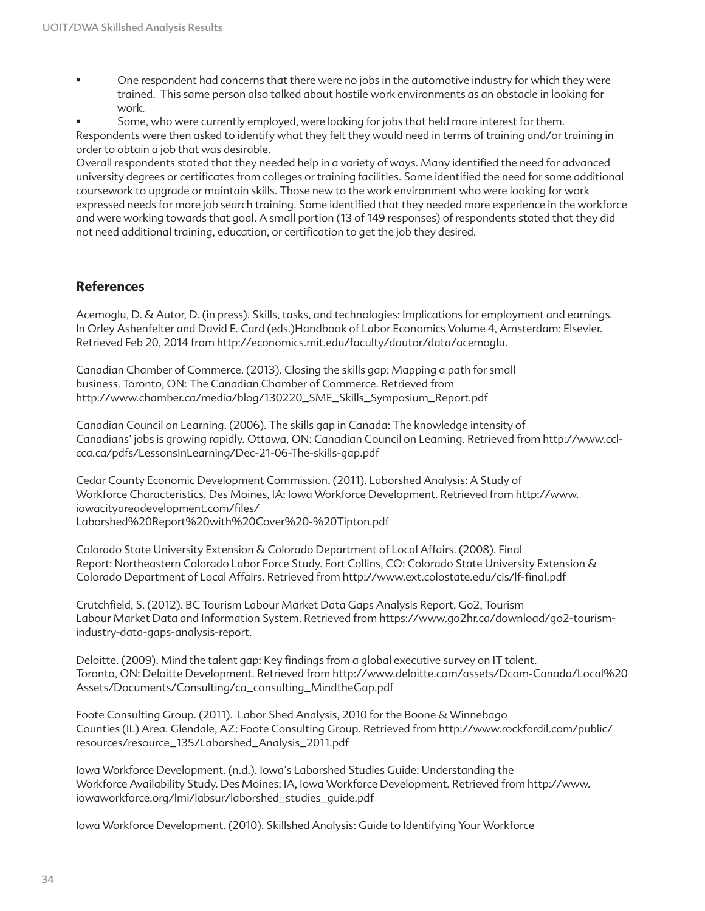- One respondent had concerns that there were no jobs in the automotive industry for which they were trained. This same person also talked about hostile work environments as an obstacle in looking for work.
- Some, who were currently employed, were looking for jobs that held more interest for them.

Respondents were then asked to identify what they felt they would need in terms of training and/or training in order to obtain a job that was desirable.

Overall respondents stated that they needed help in a variety of ways. Many identified the need for advanced university degrees or certificates from colleges or training facilities. Some identified the need for some additional coursework to upgrade or maintain skills. Those new to the work environment who were looking for work expressed needs for more job search training. Some identified that they needed more experience in the workforce and were working towards that goal. A small portion (13 of 149 responses) of respondents stated that they did not need additional training, education, or certification to get the job they desired.

## **References**

Acemoglu, D. & Autor, D. (in press). Skills, tasks, and technologies: Implications for employment and earnings. In Orley Ashenfelter and David E. Card (eds.)Handbook of Labor Economics Volume 4, Amsterdam: Elsevier. Retrieved Feb 20, 2014 from http://economics.mit.edu/faculty/dautor/data/acemoglu.

Canadian Chamber of Commerce. (2013). Closing the skills gap: Mapping a path for small business. Toronto, ON: The Canadian Chamber of Commerce. Retrieved from http://www.chamber.ca/media/blog/130220\_SME\_Skills\_Symposium\_Report.pdf

Canadian Council on Learning. (2006). The skills gap in Canada: The knowledge intensity of Canadians' jobs is growing rapidly. Ottawa, ON: Canadian Council on Learning. Retrieved from http://www.cclcca.ca/pdfs/LessonsInLearning/Dec-21-06-The-skills-gap.pdf

Cedar County Economic Development Commission. (2011). Laborshed Analysis: A Study of Workforce Characteristics. Des Moines, IA: Iowa Workforce Development. Retrieved from http://www. iowacityareadevelopment.com/files/ Laborshed%20Report%20with%20Cover%20-%20Tipton.pdf

Colorado State University Extension & Colorado Department of Local Affairs. (2008). Final Report: Northeastern Colorado Labor Force Study. Fort Collins, CO: Colorado State University Extension & Colorado Department of Local Affairs. Retrieved from http://www.ext.colostate.edu/cis/lf-final.pdf

Crutchfield, S. (2012). BC Tourism Labour Market Data Gaps Analysis Report. Go2, Tourism Labour Market Data and Information System. Retrieved from https://www.go2hr.ca/download/go2-tourismindustry-data-gaps-analysis-report.

Deloitte. (2009). Mind the talent gap: Key findings from a global executive survey on IT talent. Toronto, ON: Deloitte Development. Retrieved from http://www.deloitte.com/assets/Dcom-Canada/Local%20 Assets/Documents/Consulting/ca\_consulting\_MindtheGap.pdf

Foote Consulting Group. (2011). Labor Shed Analysis, 2010 for the Boone & Winnebago Counties (IL) Area. Glendale, AZ: Foote Consulting Group. Retrieved from http://www.rockfordil.com/public/ resources/resource\_135/Laborshed\_Analysis\_2011.pdf

Iowa Workforce Development. (n.d.). Iowa's Laborshed Studies Guide: Understanding the Workforce Availability Study. Des Moines: IA, Iowa Workforce Development. Retrieved from http://www. iowaworkforce.org/lmi/labsur/laborshed\_studies\_guide.pdf

Iowa Workforce Development. (2010). Skillshed Analysis: Guide to Identifying Your Workforce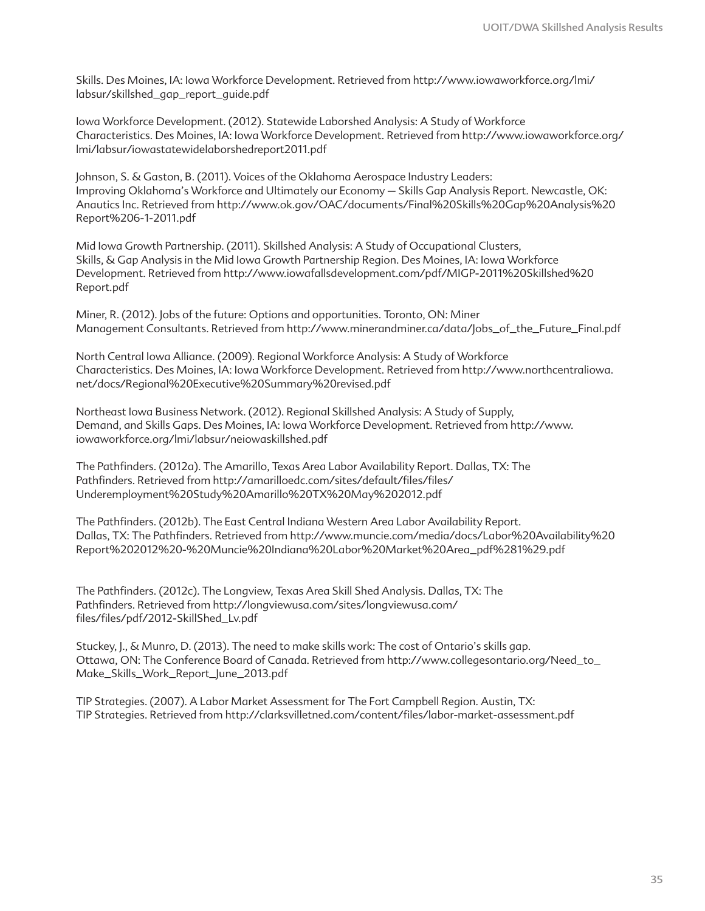Skills. Des Moines, IA: Iowa Workforce Development. Retrieved from http://www.iowaworkforce.org/lmi/ labsur/skillshed\_gap\_report\_guide.pdf

Iowa Workforce Development. (2012). Statewide Laborshed Analysis: A Study of Workforce Characteristics. Des Moines, IA: Iowa Workforce Development. Retrieved from http://www.iowaworkforce.org/ lmi/labsur/iowastatewidelaborshedreport2011.pdf

Johnson, S. & Gaston, B. (2011). Voices of the Oklahoma Aerospace Industry Leaders: Improving Oklahoma's Workforce and Ultimately our Economy – Skills Gap Analysis Report. Newcastle, OK: Anautics Inc. Retrieved from http://www.ok.gov/OAC/documents/Final%20Skills%20Gap%20Analysis%20 Report%206-1-2011.pdf

Mid Iowa Growth Partnership. (2011). Skillshed Analysis: A Study of Occupational Clusters, Skills, & Gap Analysis in the Mid Iowa Growth Partnership Region. Des Moines, IA: Iowa Workforce Development. Retrieved from http://www.iowafallsdevelopment.com/pdf/MIGP-2011%20Skillshed%20 Report.pdf

Miner, R. (2012). Jobs of the future: Options and opportunities. Toronto, ON: Miner Management Consultants. Retrieved from http://www.minerandminer.ca/data/Jobs\_of\_the\_Future\_Final.pdf

North Central Iowa Alliance. (2009). Regional Workforce Analysis: A Study of Workforce Characteristics. Des Moines, IA: Iowa Workforce Development. Retrieved from http://www.northcentraliowa. net/docs/Regional%20Executive%20Summary%20revised.pdf

Northeast Iowa Business Network. (2012). Regional Skillshed Analysis: A Study of Supply, Demand, and Skills Gaps. Des Moines, IA: Iowa Workforce Development. Retrieved from http://www. iowaworkforce.org/lmi/labsur/neiowaskillshed.pdf

The Pathfinders. (2012a). The Amarillo, Texas Area Labor Availability Report. Dallas, TX: The Pathfinders. Retrieved from http://amarilloedc.com/sites/default/files/files/ Underemployment%20Study%20Amarillo%20TX%20May%202012.pdf

The Pathfinders. (2012b). The East Central Indiana Western Area Labor Availability Report. Dallas, TX: The Pathfinders. Retrieved from http://www.muncie.com/media/docs/Labor%20Availability%20 Report%202012%20-%20Muncie%20Indiana%20Labor%20Market%20Area\_pdf%281%29.pdf

The Pathfinders. (2012c). The Longview, Texas Area Skill Shed Analysis. Dallas, TX: The Pathfinders. Retrieved from http://longviewusa.com/sites/longviewusa.com/ files/files/pdf/2012-SkillShed\_Lv.pdf

Stuckey, J., & Munro, D. (2013). The need to make skills work: The cost of Ontario's skills gap. Ottawa, ON: The Conference Board of Canada. Retrieved from http://www.collegesontario.org/Need\_to\_ Make\_Skills\_Work\_Report\_June\_2013.pdf

TIP Strategies. (2007). A Labor Market Assessment for The Fort Campbell Region. Austin, TX: TIP Strategies. Retrieved from http://clarksvilletned.com/content/files/labor-market-assessment.pdf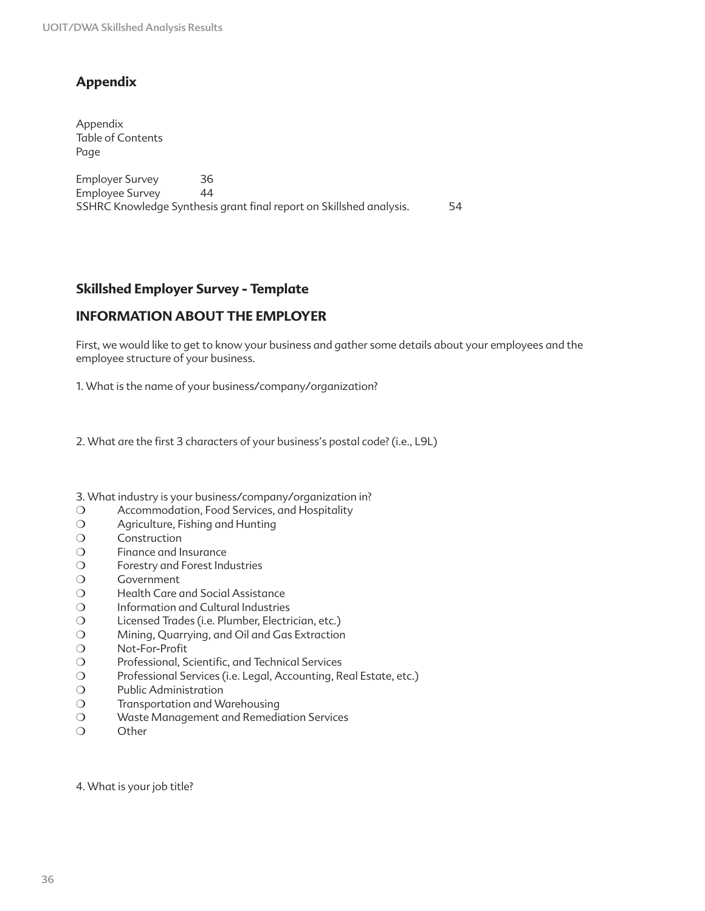# **Appendix**

Appendix Table of Contents Page

Employer Survey 36 Employee Survey 44 SSHRC Knowledge Synthesis grant final report on Skillshed analysis. 54

## **Skillshed Employer Survey - Template**

## **INFORMATION ABOUT THE EMPLOYER**

First, we would like to get to know your business and gather some details about your employees and the employee structure of your business.

1. What is the name of your business/company/organization?

2. What are the first 3 characters of your business's postal code? (i.e., L9L)

3. What industry is your business/company/organization in?

- ❍ Accommodation, Food Services, and Hospitality
- ❍ Agriculture, Fishing and Hunting
- ❍ Construction
- ❍ Finance and Insurance
- ❍ Forestry and Forest Industries
- ❍ Government
- ❍ Health Care and Social Assistance
- ❍ Information and Cultural Industries
- ❍ Licensed Trades (i.e. Plumber, Electrician, etc.)
- ❍ Mining, Quarrying, and Oil and Gas Extraction
- ❍ Not-For-Profit
- ❍ Professional, Scientific, and Technical Services
- ❍ Professional Services (i.e. Legal, Accounting, Real Estate, etc.)
- ❍ Public Administration
- ❍ Transportation and Warehousing
- ❍ Waste Management and Remediation Services
- ❍ Other

4. What is your job title?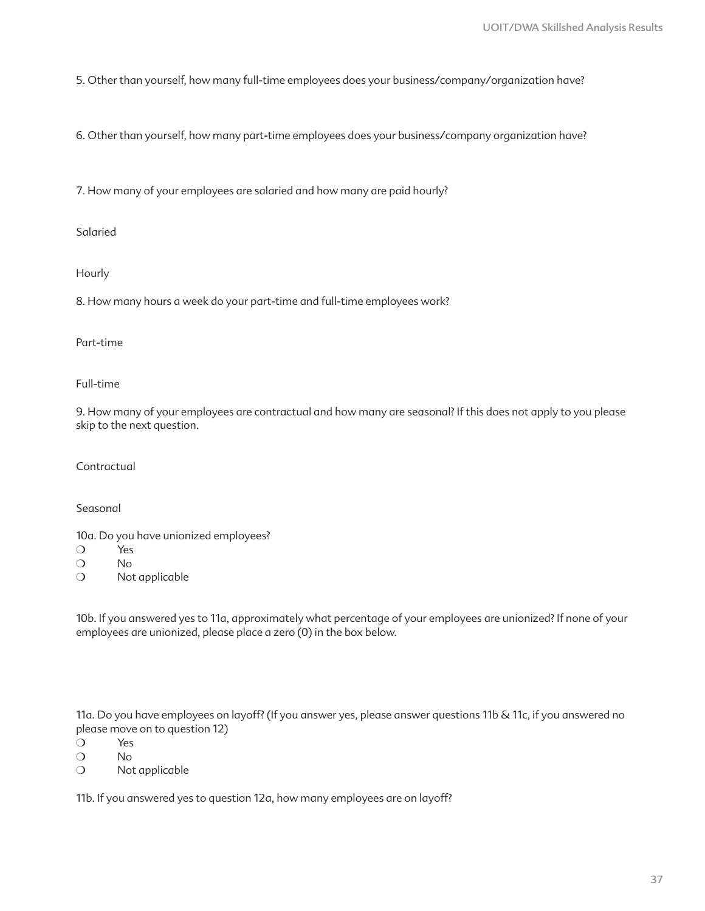5. Other than yourself, how many full-time employees does your business/company/organization have?

6. Other than yourself, how many part-time employees does your business/company organization have?

7. How many of your employees are salaried and how many are paid hourly?

Salaried

Hourly

8. How many hours a week do your part-time and full-time employees work?

Part-time

Full-time

9. How many of your employees are contractual and how many are seasonal? If this does not apply to you please skip to the next question.

Contractual

Seasonal

10a. Do you have unionized employees?

- ❍ Yes
- ❍ No
- ❍ Not applicable

10b. If you answered yes to 11a, approximately what percentage of your employees are unionized? If none of your employees are unionized, please place a zero (0) in the box below.

11a. Do you have employees on layoff? (If you answer yes, please answer questions 11b & 11c, if you answered no please move on to question 12)

- ❍ Yes
- ❍ No
- ❍ Not applicable

11b. If you answered yes to question 12a, how many employees are on layoff?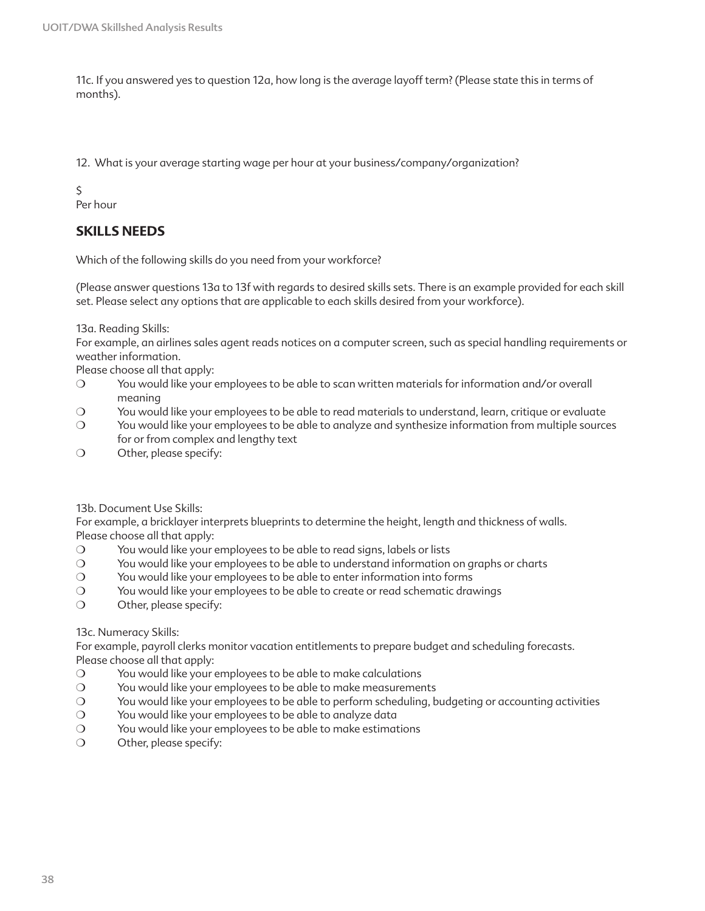11c. If you answered yes to question 12a, how long is the average layoff term? (Please state this in terms of months).

12. What is your average starting wage per hour at your business/company/organization?

\$

Per hour

### **SKILLS NEEDS**

Which of the following skills do you need from your workforce?

(Please answer questions 13a to 13f with regards to desired skills sets. There is an example provided for each skill set. Please select any options that are applicable to each skills desired from your workforce).

13a. Reading Skills:

For example, an airlines sales agent reads notices on a computer screen, such as special handling requirements or weather information.

Please choose all that apply:

- ❍ You would like your employees to be able to scan written materials for information and/or overall meaning
- ❍ You would like your employees to be able to read materials to understand, learn, critique or evaluate
- ❍ You would like your employees to be able to analyze and synthesize information from multiple sources for or from complex and lengthy text
- ❍ Other, please specify:

13b. Document Use Skills:

For example, a bricklayer interprets blueprints to determine the height, length and thickness of walls. Please choose all that apply:

- ❍ You would like your employees to be able to read signs, labels or lists
- ❍ You would like your employees to be able to understand information on graphs or charts
- ❍ You would like your employees to be able to enter information into forms
- ❍ You would like your employees to be able to create or read schematic drawings
- ❍ Other, please specify:

#### 13c. Numeracy Skills:

For example, payroll clerks monitor vacation entitlements to prepare budget and scheduling forecasts. Please choose all that apply:

- ❍ You would like your employees to be able to make calculations
- ❍ You would like your employees to be able to make measurements
- ❍ You would like your employees to be able to perform scheduling, budgeting or accounting activities
- ❍ You would like your employees to be able to analyze data
- ❍ You would like your employees to be able to make estimations
- ❍ Other, please specify: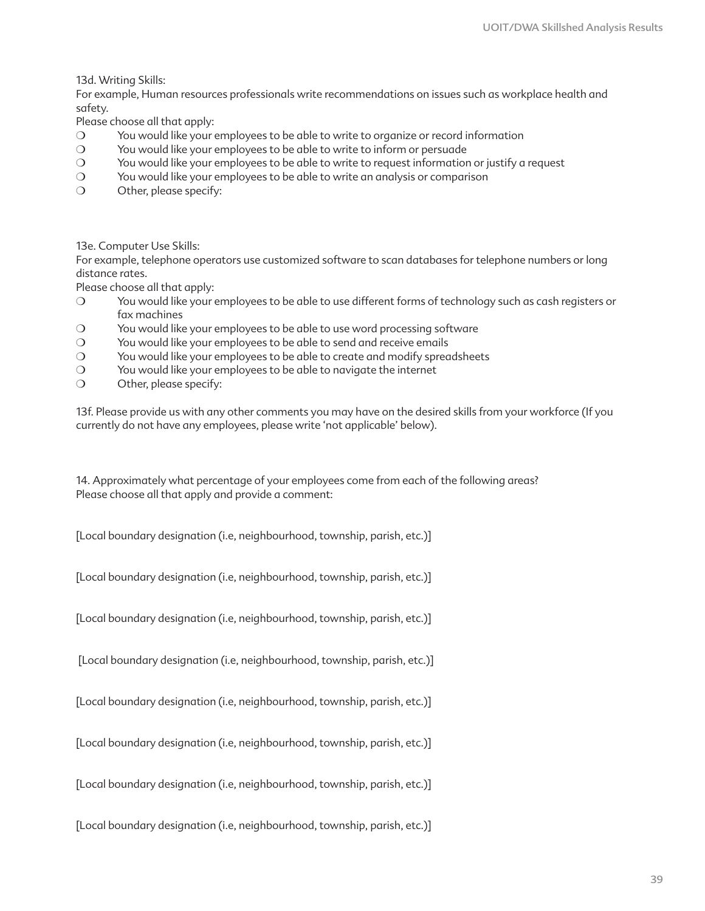13d. Writing Skills:

For example, Human resources professionals write recommendations on issues such as workplace health and safety.

Please choose all that apply:

- ❍ You would like your employees to be able to write to organize or record information
- ❍ You would like your employees to be able to write to inform or persuade
- ❍ You would like your employees to be able to write to request information or justify a request
- ❍ You would like your employees to be able to write an analysis or comparison
- ❍ Other, please specify:

13e. Computer Use Skills:

For example, telephone operators use customized software to scan databases for telephone numbers or long distance rates.

Please choose all that apply:

- ❍ You would like your employees to be able to use different forms of technology such as cash registers or fax machines
- ❍ You would like your employees to be able to use word processing software
- ❍ You would like your employees to be able to send and receive emails
- ❍ You would like your employees to be able to create and modify spreadsheets
- ❍ You would like your employees to be able to navigate the internet
- ❍ Other, please specify:

13f. Please provide us with any other comments you may have on the desired skills from your workforce (If you currently do not have any employees, please write 'not applicable' below).

14. Approximately what percentage of your employees come from each of the following areas? Please choose all that apply and provide a comment:

[Local boundary designation (i.e, neighbourhood, township, parish, etc.)]

[Local boundary designation (i.e, neighbourhood, township, parish, etc.)]

[Local boundary designation (i.e, neighbourhood, township, parish, etc.)]

[Local boundary designation (i.e, neighbourhood, township, parish, etc.)]

[Local boundary designation (i.e, neighbourhood, township, parish, etc.)]

[Local boundary designation (i.e, neighbourhood, township, parish, etc.)]

[Local boundary designation (i.e, neighbourhood, township, parish, etc.)]

[Local boundary designation (i.e, neighbourhood, township, parish, etc.)]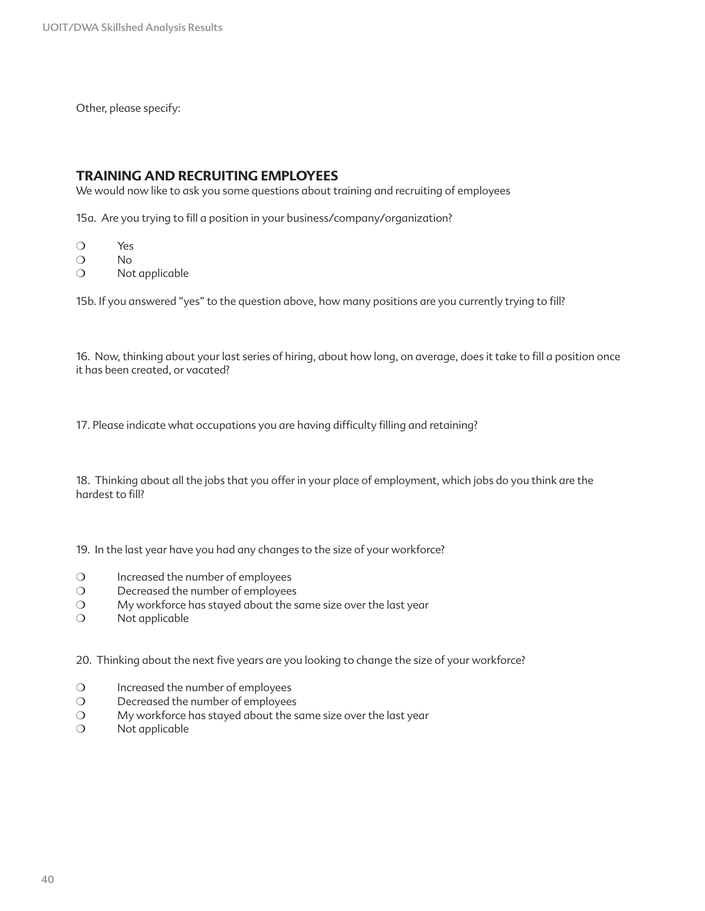Other, please specify:

### **TRAINING AND RECRUITING EMPLOYEES**

We would now like to ask you some questions about training and recruiting of employees

15a. Are you trying to fill a position in your business/company/organization?

- ❍ Yes
- ❍ No
- ❍ Not applicable

15b. If you answered "yes" to the question above, how many positions are you currently trying to fill?

16. Now, thinking about your last series of hiring, about how long, on average, does it take to fill a position once it has been created, or vacated?

17. Please indicate what occupations you are having difficulty filling and retaining?

18. Thinking about all the jobs that you offer in your place of employment, which jobs do you think are the hardest to fill?

19. In the last year have you had any changes to the size of your workforce?

- ❍ Increased the number of employees
- ❍ Decreased the number of employees
- ❍ My workforce has stayed about the same size over the last year
- ❍ Not applicable

20. Thinking about the next five years are you looking to change the size of your workforce?

- ❍ Increased the number of employees
- ❍ Decreased the number of employees
- ❍ My workforce has stayed about the same size over the last year
- ❍ Not applicable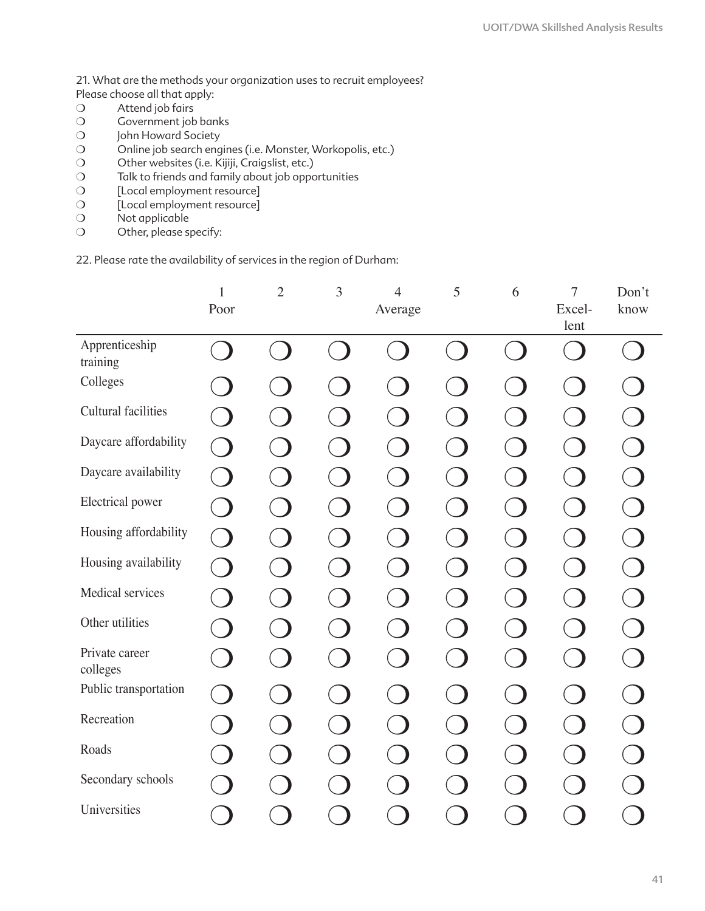21. What are the methods your organization uses to recruit employees? Please choose all that apply:

- O Attend job fairs
- ❍ Government job banks
- O John Howard Society
- O Online job search engines (i.e. Monster, Workopolis, etc.)
- O Other websites (i.e. Kijiji, Craigslist, etc.)
- ❍ Talk to friends and family about job opportunities
- O [Local employment resource]
- ❍ [Local employment resource]
- ❍ Not applicable
- O Other, please specify:

22. Please rate the availability of services in the region of Durham:

|                            | $\mathbf{1}$             | $\mathbf{2}$ | 3      | $\overline{4}$ | 5 | 6 | $\tau$         | Don't |
|----------------------------|--------------------------|--------------|--------|----------------|---|---|----------------|-------|
|                            | Poor                     |              |        | Average        |   |   | Excel-<br>lent | know  |
| Apprenticeship<br>training |                          |              |        |                |   |   |                |       |
| Colleges                   |                          |              |        |                |   |   |                |       |
| Cultural facilities        |                          |              |        |                |   |   |                |       |
| Daycare affordability      |                          |              |        |                |   |   |                |       |
| Daycare availability       | $\overline{\phantom{a}}$ |              |        |                |   |   |                |       |
| Electrical power           | $\Box$                   |              |        |                |   |   |                |       |
| Housing affordability      | $\bigcirc$               |              | $\Box$ |                |   |   | $\Box$         |       |
| Housing availability       | $\blacksquare$           |              |        |                |   |   |                |       |
| Medical services           |                          |              |        |                |   |   |                |       |
| Other utilities            |                          |              |        |                |   |   |                |       |
| Private career<br>colleges |                          |              |        |                |   |   |                |       |
| Public transportation      |                          |              |        |                |   |   |                |       |
| Recreation                 |                          |              |        |                |   |   |                |       |
| Roads                      |                          |              |        |                |   |   |                |       |
| Secondary schools          |                          |              |        |                |   |   |                |       |
| Universities               |                          |              |        |                |   |   |                |       |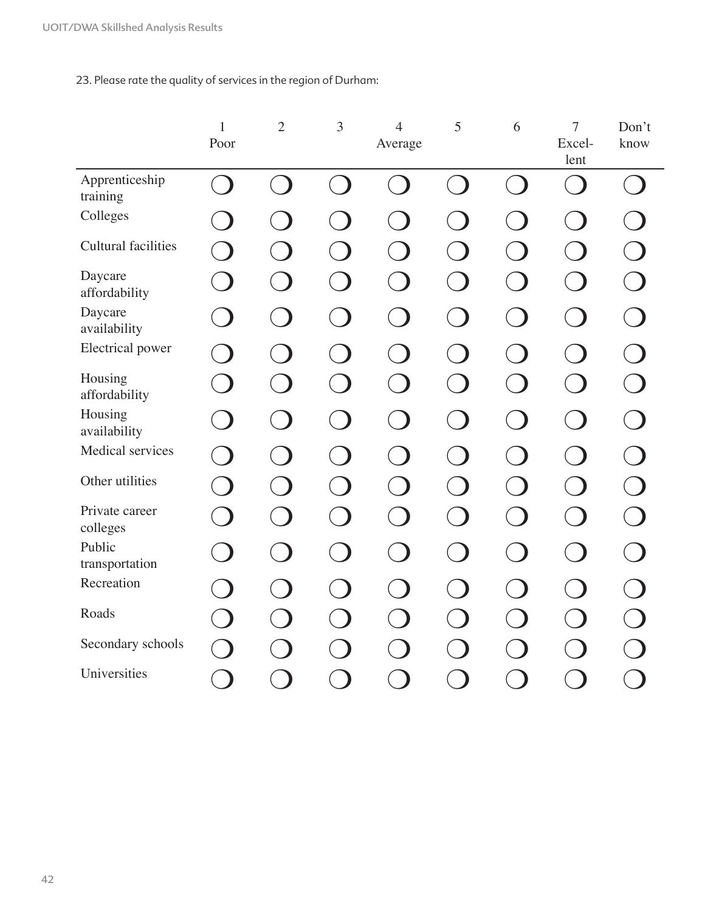23. Please rate the quality of services in the region of Durham:

|                            | $\mathbf{1}$ | $\mathbf{2}$             | 3                        | $\overline{4}$ | 5                        | 6      | $\overline{7}$           | Don't |
|----------------------------|--------------|--------------------------|--------------------------|----------------|--------------------------|--------|--------------------------|-------|
|                            | Poor         |                          |                          | Average        |                          |        | Excel-<br>lent           | know  |
| Apprenticeship<br>training |              | $\overline{\phantom{a}}$ | in the control           |                | ta.                      | $\Box$ | $\overline{\phantom{a}}$ |       |
| Colleges                   |              |                          |                          |                |                          |        |                          |       |
| <b>Cultural facilities</b> |              |                          |                          |                |                          |        |                          |       |
| Daycare<br>affordability   |              |                          |                          |                |                          |        |                          |       |
| Daycare<br>availability    |              |                          |                          |                |                          |        |                          |       |
| Electrical power           |              |                          | $\overline{\phantom{a}}$ |                |                          |        | $\overline{\phantom{a}}$ |       |
| Housing<br>affordability   |              | $\blacksquare$           | $\Box$                   |                | $\overline{\phantom{a}}$ |        | $\overline{\phantom{a}}$ |       |
| Housing<br>availability    |              |                          |                          |                |                          |        | $\overline{\phantom{a}}$ |       |
| Medical services           |              |                          |                          |                |                          |        |                          |       |
| Other utilities            |              |                          |                          |                |                          |        | $\Box$                   |       |
| Private career<br>colleges |              |                          |                          |                |                          |        | $\Box$                   |       |
| Public<br>transportation   |              |                          |                          |                |                          |        | $\overline{\phantom{a}}$ |       |
| Recreation                 |              |                          |                          |                |                          |        |                          |       |
| Roads                      |              |                          |                          |                |                          |        |                          |       |
| Secondary schools          |              |                          |                          |                |                          |        |                          |       |
| Universities               | a d          |                          |                          |                |                          |        |                          |       |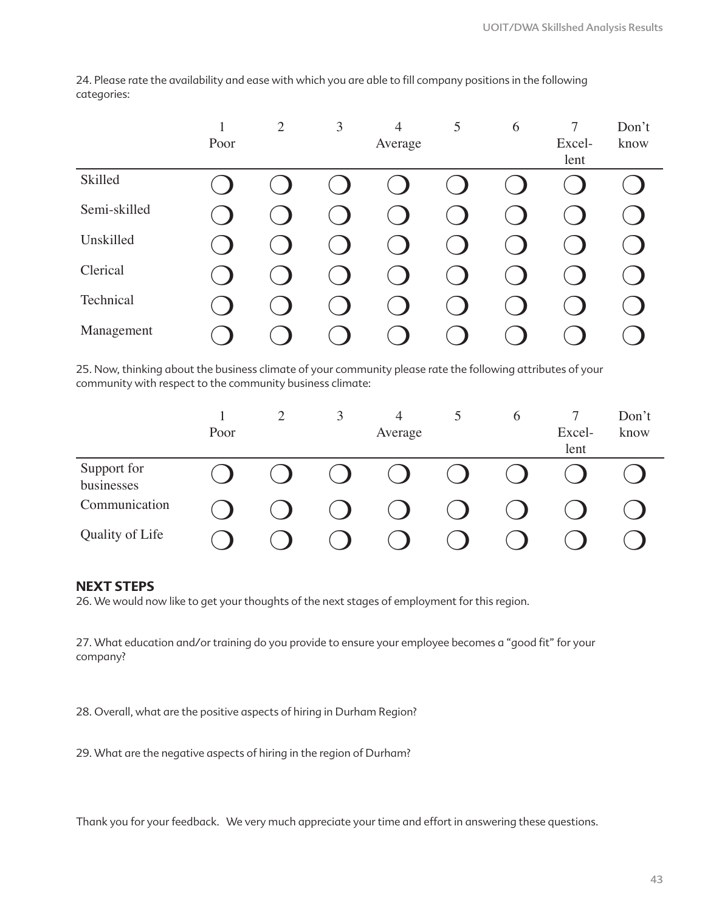1 Poor 2 3 4 Average 5 6 7 Excellent Don't know Skilled ❍ ❍ ❍ ❍ ❍ ❍ ❍ ❍ Semi-skilled ❍ ❍ ❍ ❍ ❍ ❍ ❍ ❍ Unskilled ❍ ❍ ❍ ❍ ❍ ❍ ❍ ❍ Clerical ❍ ❍ ❍ ❍ ❍ ❍ ❍ ❍ Technical  $\bigcirc$   $\bigcirc$   $\bigcirc$   $\bigcirc$   $\bigcirc$   $\bigcirc$   $\bigcirc$   $\bigcirc$   $\bigcirc$ Management ❍ ❍ ❍ ❍ ❍ ❍ ❍ ❍

24. Please rate the availability and ease with which you are able to fill company positions in the following categories:

25. Now, thinking about the business climate of your community please rate the following attributes of your community with respect to the community business climate:

|                           |      | 2 | 3                        | $\overline{4}$ |                                        | 6 |        | Don't |
|---------------------------|------|---|--------------------------|----------------|----------------------------------------|---|--------|-------|
|                           | Poor |   |                          | Average        |                                        |   | Excel- | know  |
|                           |      |   |                          |                |                                        |   | lent   |       |
| Support for<br>businesses |      |   | $\overline{\phantom{a}}$ | $\bullet$      | $\begin{pmatrix} 1 \\ 1 \end{pmatrix}$ |   |        |       |
| Communication             |      |   |                          |                |                                        |   |        |       |
| Quality of Life           |      |   |                          |                |                                        |   |        |       |

### **NEXT STEPS**

26. We would now like to get your thoughts of the next stages of employment for this region.

27. What education and/or training do you provide to ensure your employee becomes a "good fit" for your company?

28. Overall, what are the positive aspects of hiring in Durham Region?

29. What are the negative aspects of hiring in the region of Durham?

Thank you for your feedback. We very much appreciate your time and effort in answering these questions.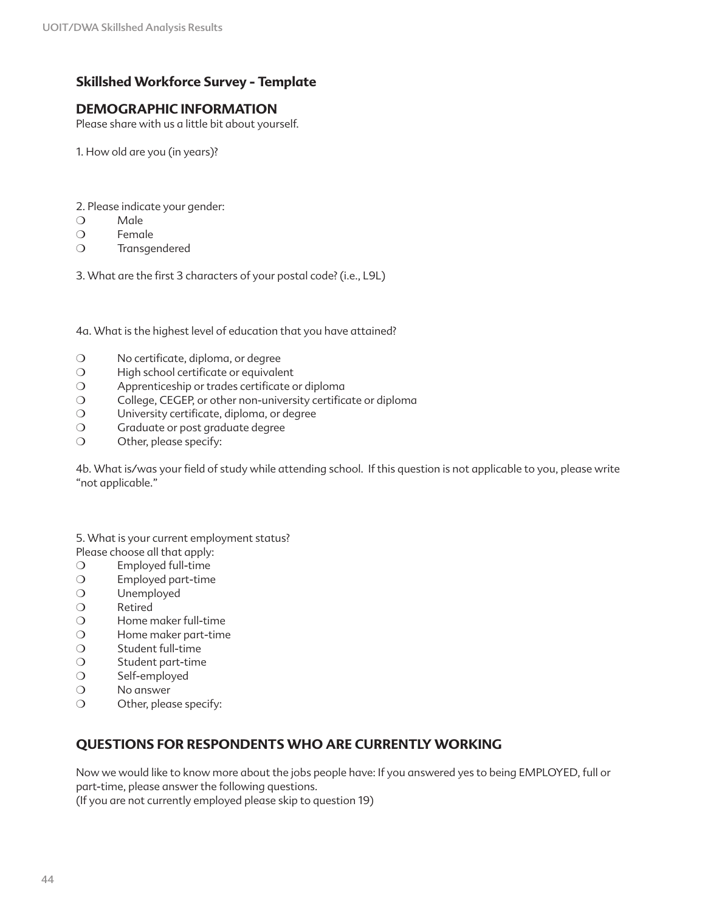### **Skillshed Workforce Survey - Template**

### **DEMOGRAPHIC INFORMATION**

Please share with us a little bit about yourself.

1. How old are you (in years)?

- 2. Please indicate your gender:
- ❍ Male
- ❍ Female
- ❍ Transgendered

3. What are the first 3 characters of your postal code? (i.e., L9L)

4a. What is the highest level of education that you have attained?

- ❍ No certificate, diploma, or degree
- ❍ High school certificate or equivalent
- ❍ Apprenticeship or trades certificate or diploma
- ❍ College, CEGEP, or other non-university certificate or diploma
- ❍ University certificate, diploma, or degree
- ❍ Graduate or post graduate degree
- ❍ Other, please specify:

4b. What is/was your field of study while attending school. If this question is not applicable to you, please write "not applicable."

5. What is your current employment status?

- Please choose all that apply:
- ❍ Employed full-time
- ❍ Employed part-time
- ❍ Unemployed
- ❍ Retired
- ❍ Home maker full-time
- ❍ Home maker part-time
- ❍ Student full-time
- ❍ Student part-time
- ❍ Self-employed
- ❍ No answer
- ❍ Other, please specify:

### **QUESTIONS FOR RESPONDENTS WHO ARE CURRENTLY WORKING**

Now we would like to know more about the jobs people have: If you answered yes to being EMPLOYED, full or part-time, please answer the following questions.

(If you are not currently employed please skip to question 19)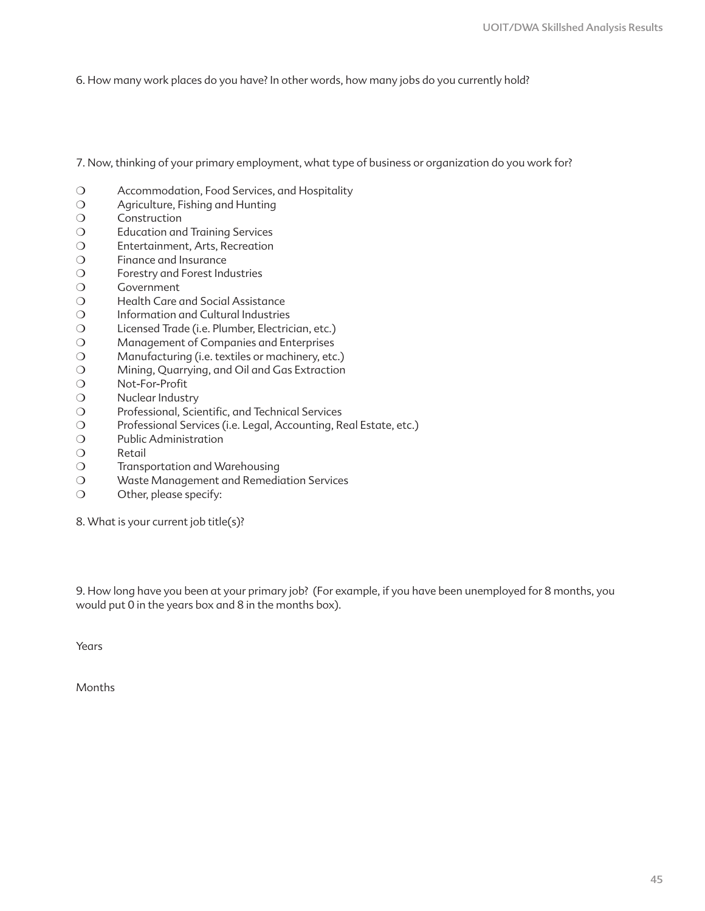6. How many work places do you have? In other words, how many jobs do you currently hold?

7. Now, thinking of your primary employment, what type of business or organization do you work for?

- ❍ Accommodation, Food Services, and Hospitality
- ❍ Agriculture, Fishing and Hunting
- ❍ Construction
- ❍ Education and Training Services
- ❍ Entertainment, Arts, Recreation
- ❍ Finance and Insurance
- ❍ Forestry and Forest Industries
- ❍ Government
- ❍ Health Care and Social Assistance
- ❍ Information and Cultural Industries
- ❍ Licensed Trade (i.e. Plumber, Electrician, etc.)
- ❍ Management of Companies and Enterprises
- ❍ Manufacturing (i.e. textiles or machinery, etc.)
- ❍ Mining, Quarrying, and Oil and Gas Extraction
- ❍ Not-For-Profit
- ❍ Nuclear Industry
- ❍ Professional, Scientific, and Technical Services
- ❍ Professional Services (i.e. Legal, Accounting, Real Estate, etc.)
- ❍ Public Administration
- ❍ Retail
- ❍ Transportation and Warehousing
- ❍ Waste Management and Remediation Services
- ❍ Other, please specify:

8. What is your current job title(s)?

9. How long have you been at your primary job? (For example, if you have been unemployed for 8 months, you would put 0 in the years box and 8 in the months box).

Years

Months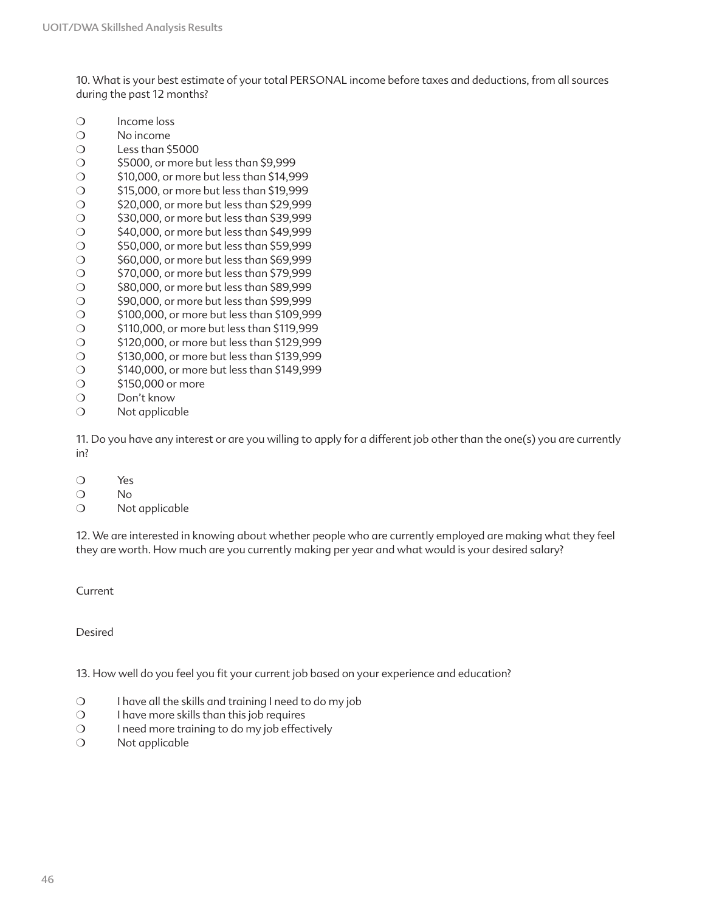10. What is your best estimate of your total PERSONAL income before taxes and deductions, from all sources during the past 12 months?

- ❍ Income loss
- ❍ No income
- ❍ Less than \$5000
- ❍ \$5000, or more but less than \$9,999
- ❍ \$10,000, or more but less than \$14,999
- ❍ \$15,000, or more but less than \$19,999
- ❍ \$20,000, or more but less than \$29,999
- ❍ \$30,000, or more but less than \$39,999
- ❍ \$40,000, or more but less than \$49,999
- ❍ \$50,000, or more but less than \$59,999
- ❍ \$60,000, or more but less than \$69,999 ❍ \$70,000, or more but less than \$79,999
- ❍ \$80,000, or more but less than \$89,999
- 
- ❍ \$90,000, or more but less than \$99,999
- ❍ \$100,000, or more but less than \$109,999 ❍ \$110,000, or more but less than \$119,999
- ❍ \$120,000, or more but less than \$129,999
- ❍ \$130,000, or more but less than \$139,999
- ❍ \$140,000, or more but less than \$149,999
- ❍ \$150,000 or more
- ❍ Don't know
- ❍ Not applicable

11. Do you have any interest or are you willing to apply for a different job other than the one(s) you are currently in?

- ❍ Yes
- ❍ No
- ❍ Not applicable

12. We are interested in knowing about whether people who are currently employed are making what they feel they are worth. How much are you currently making per year and what would is your desired salary?

Current

Desired

13. How well do you feel you fit your current job based on your experience and education?

- ❍ I have all the skills and training I need to do my job
- ❍ I have more skills than this job requires
- ❍ I need more training to do my job effectively
- ❍ Not applicable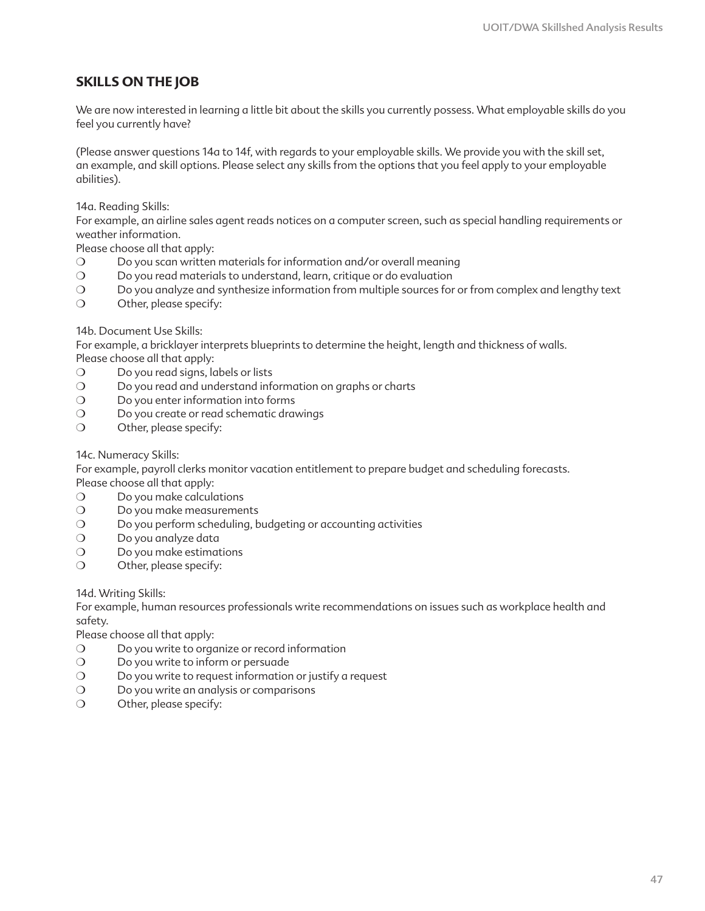### **SKILLS ON THE JOB**

We are now interested in learning a little bit about the skills you currently possess. What employable skills do you feel you currently have?

(Please answer questions 14a to 14f, with regards to your employable skills. We provide you with the skill set, an example, and skill options. Please select any skills from the options that you feel apply to your employable abilities).

14a. Reading Skills:

For example, an airline sales agent reads notices on a computer screen, such as special handling requirements or weather information.

Please choose all that apply:

- ❍ Do you scan written materials for information and/or overall meaning
- ❍ Do you read materials to understand, learn, critique or do evaluation
- ❍ Do you analyze and synthesize information from multiple sources for or from complex and lengthy text
- ❍ Other, please specify:

14b. Document Use Skills:

For example, a bricklayer interprets blueprints to determine the height, length and thickness of walls. Please choose all that apply:

- O Do you read signs, labels or lists
- ❍ Do you read and understand information on graphs or charts
- ❍ Do you enter information into forms
- O Do you create or read schematic drawings
- ❍ Other, please specify:

14c. Numeracy Skills:

For example, payroll clerks monitor vacation entitlement to prepare budget and scheduling forecasts. Please choose all that apply:

- ❍ Do you make calculations
- O Do you make measurements
- ❍ Do you perform scheduling, budgeting or accounting activities
- ❍ Do you analyze data
- ❍ Do you make estimations
- ❍ Other, please specify:

14d. Writing Skills:

For example, human resources professionals write recommendations on issues such as workplace health and safety.

Please choose all that apply:

- ❍ Do you write to organize or record information
- ❍ Do you write to inform or persuade
- ❍ Do you write to request information or justify a request
- ❍ Do you write an analysis or comparisons
- ❍ Other, please specify: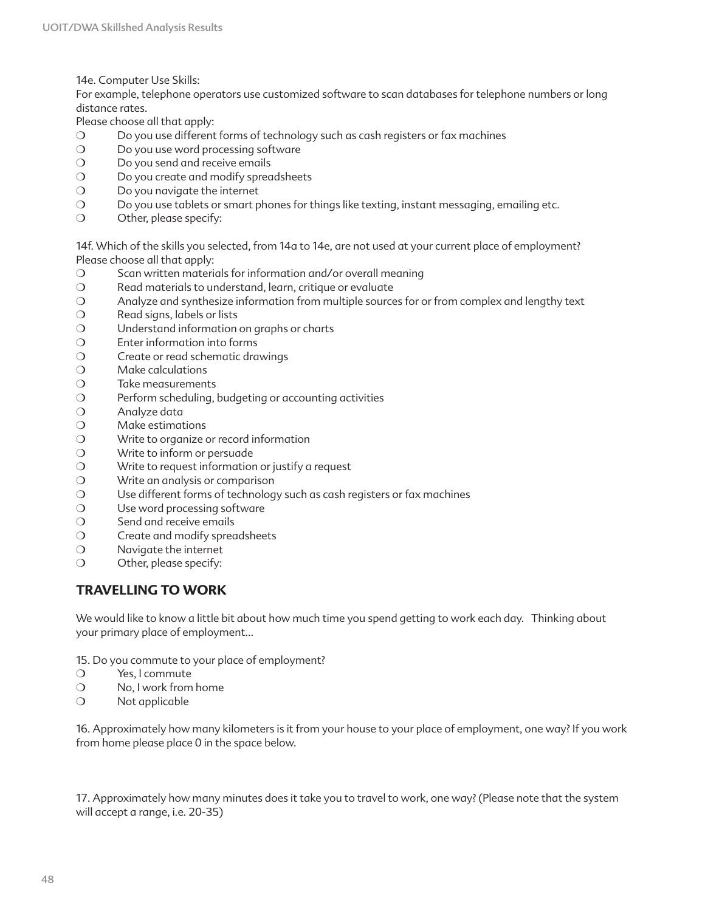14e. Computer Use Skills:

For example, telephone operators use customized software to scan databases for telephone numbers or long distance rates.

Please choose all that apply:

- ❍ Do you use different forms of technology such as cash registers or fax machines
- O Do you use word processing software
- ❍ Do you send and receive emails
- O Do you create and modify spreadsheets
- ❍ Do you navigate the internet
- ❍ Do you use tablets or smart phones for things like texting, instant messaging, emailing etc.
- ❍ Other, please specify:

14f. Which of the skills you selected, from 14a to 14e, are not used at your current place of employment? Please choose all that apply:

- ❍ Scan written materials for information and/or overall meaning
- ❍ Read materials to understand, learn, critique or evaluate
- ❍ Analyze and synthesize information from multiple sources for or from complex and lengthy text
- ❍ Read signs, labels or lists
- O Understand information on graphs or charts
- ❍ Enter information into forms
- ❍ Create or read schematic drawings
- ❍ Make calculations
- ❍ Take measurements
- ❍ Perform scheduling, budgeting or accounting activities
- ❍ Analyze data
- ❍ Make estimations
- ❍ Write to organize or record information
- ❍ Write to inform or persuade
- ❍ Write to request information or justify a request
- ❍ Write an analysis or comparison
- ❍ Use different forms of technology such as cash registers or fax machines
- O Use word processing software
- ❍ Send and receive emails
- ❍ Create and modify spreadsheets
- ❍ Navigate the internet
- ❍ Other, please specify:

### **TRAVELLING TO WORK**

We would like to know a little bit about how much time you spend getting to work each day. Thinking about your primary place of employment…

- 15. Do you commute to your place of employment?
- ❍ Yes, I commute
- ❍ No, I work from home
- ❍ Not applicable

16. Approximately how many kilometers is it from your house to your place of employment, one way? If you work from home please place 0 in the space below.

17. Approximately how many minutes does it take you to travel to work, one way? (Please note that the system will accept a range, i.e. 20-35)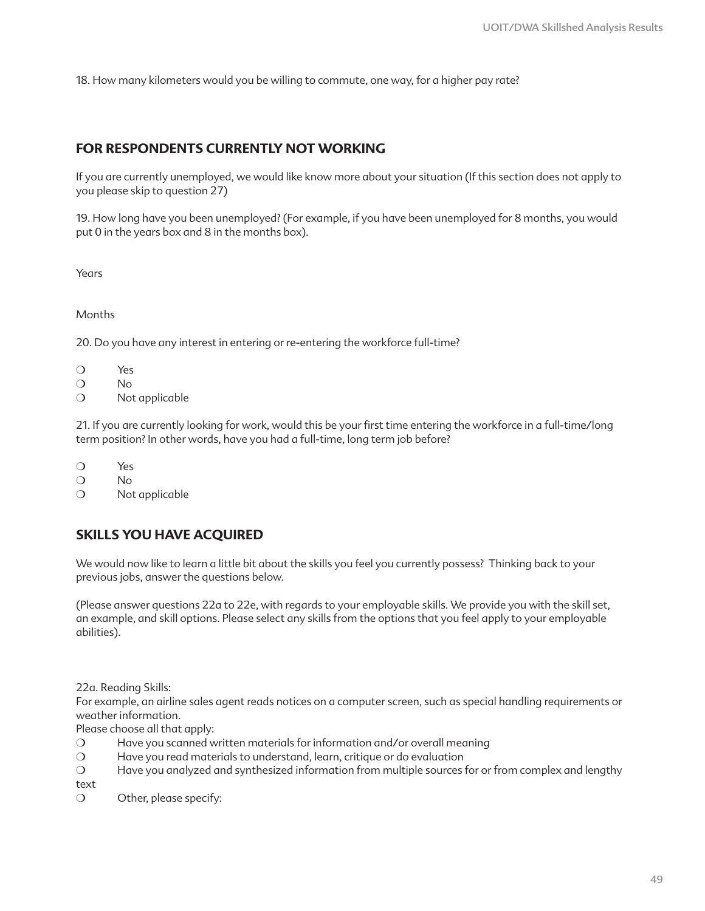18. How many kilometers would you be willing to commute, one way, for a higher pay rate?

### **FOR RESPONDENTS CURRENTLY NOT WORKING**

If you are currently unemployed, we would like know more about your situation (If this section does not apply to you please skip to question 27)

19. How long have you been unemployed? (For example, if you have been unemployed for 8 months, you would put 0 in the years box and 8 in the months box).

Years

Months

20. Do you have any interest in entering or re-entering the workforce full-time?

- ❍ Yes
- ❍ No
- ❍ Not applicable

21. If you are currently looking for work, would this be your first time entering the workforce in a full-time/long term position? In other words, have you had a full-time, long term job before?

- ❍ Yes
- ❍ No
- ❍ Not applicable

### **SKILLS YOU HAVE ACQUIRED**

We would now like to learn a little bit about the skills you feel you currently possess? Thinking back to your previous jobs, answer the questions below.

(Please answer questions 22a to 22e, with regards to your employable skills. We provide you with the skill set, an example, and skill options. Please select any skills from the options that you feel apply to your employable abilities).

22a. Reading Skills:

For example, an airline sales agent reads notices on a computer screen, such as special handling requirements or weather information.

Please choose all that apply:

- ❍ Have you scanned written materials for information and/or overall meaning
- ❍ Have you read materials to understand, learn, critique or do evaluation
- ❍ Have you analyzed and synthesized information from multiple sources for or from complex and lengthy

text

❍ Other, please specify: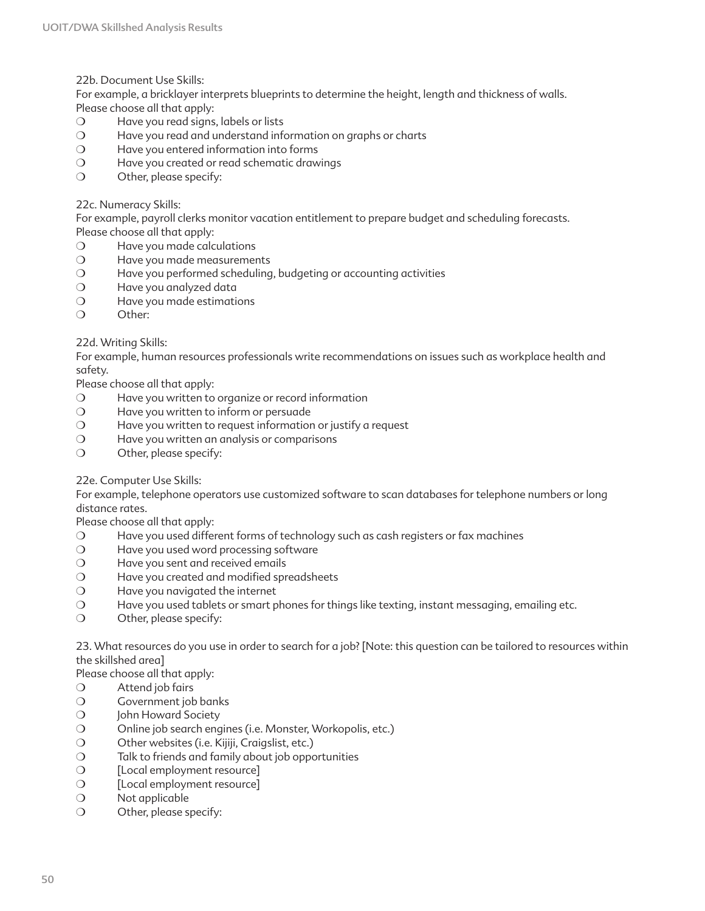22b. Document Use Skills:

For example, a bricklayer interprets blueprints to determine the height, length and thickness of walls. Please choose all that apply:

- ❍ Have you read signs, labels or lists
- ❍ Have you read and understand information on graphs or charts
- ❍ Have you entered information into forms
- ❍ Have you created or read schematic drawings
- ❍ Other, please specify:

#### 22c. Numeracy Skills:

For example, payroll clerks monitor vacation entitlement to prepare budget and scheduling forecasts. Please choose all that apply:

- ❍ Have you made calculations
- ❍ Have you made measurements
- ❍ Have you performed scheduling, budgeting or accounting activities
- ❍ Have you analyzed data
- ❍ Have you made estimations
- ❍ Other:

#### 22d. Writing Skills:

For example, human resources professionals write recommendations on issues such as workplace health and safety.

Please choose all that apply:

- ❍ Have you written to organize or record information
- ❍ Have you written to inform or persuade
- ❍ Have you written to request information or justify a request
- ❍ Have you written an analysis or comparisons
- ❍ Other, please specify:

#### 22e. Computer Use Skills:

For example, telephone operators use customized software to scan databases for telephone numbers or long distance rates.

Please choose all that apply:

- ❍ Have you used different forms of technology such as cash registers or fax machines
- ❍ Have you used word processing software
- O Have you sent and received emails
- ❍ Have you created and modified spreadsheets
- ❍ Have you navigated the internet
- ❍ Have you used tablets or smart phones for things like texting, instant messaging, emailing etc.
- ❍ Other, please specify:

23. What resources do you use in order to search for a job? [Note: this question can be tailored to resources within the skillshed area]

Please choose all that apply:

- ❍ Attend job fairs
- ❍ Government job banks
- ❍ John Howard Society
- ❍ Online job search engines (i.e. Monster, Workopolis, etc.)
- ❍ Other websites (i.e. Kijiji, Craigslist, etc.)
- ❍ Talk to friends and family about job opportunities
- ❍ [Local employment resource]
- ❍ [Local employment resource]
- ❍ Not applicable
- ❍ Other, please specify: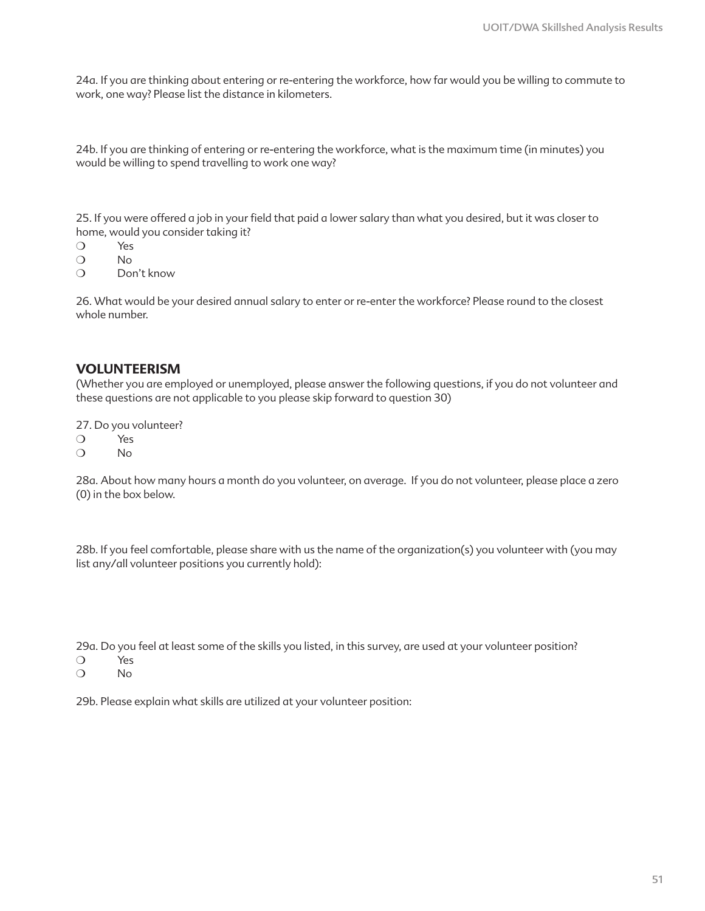24a. If you are thinking about entering or re-entering the workforce, how far would you be willing to commute to work, one way? Please list the distance in kilometers.

24b. If you are thinking of entering or re-entering the workforce, what is the maximum time (in minutes) you would be willing to spend travelling to work one way?

25. If you were offered a job in your field that paid a lower salary than what you desired, but it was closer to home, would you consider taking it?

- ❍ Yes
- ❍ No
- ❍ Don't know

26. What would be your desired annual salary to enter or re-enter the workforce? Please round to the closest whole number.

#### **VOLUNTEERISM**

(Whether you are employed or unemployed, please answer the following questions, if you do not volunteer and these questions are not applicable to you please skip forward to question 30)

27. Do you volunteer?

- ❍ Yes
- ❍ No

28a. About how many hours a month do you volunteer, on average. If you do not volunteer, please place a zero (0) in the box below.

28b. If you feel comfortable, please share with us the name of the organization(s) you volunteer with (you may list any/all volunteer positions you currently hold):

29a. Do you feel at least some of the skills you listed, in this survey, are used at your volunteer position? ❍ Yes

❍ No

29b. Please explain what skills are utilized at your volunteer position: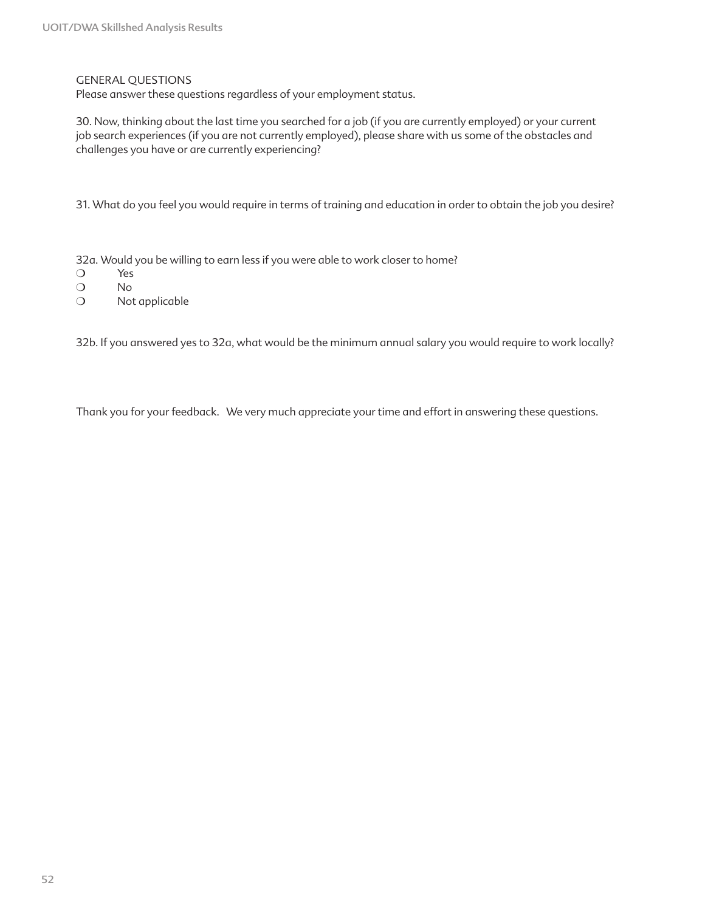#### GENERAL QUESTIONS

Please answer these questions regardless of your employment status.

30. Now, thinking about the last time you searched for a job (if you are currently employed) or your current job search experiences (if you are not currently employed), please share with us some of the obstacles and challenges you have or are currently experiencing?

31. What do you feel you would require in terms of training and education in order to obtain the job you desire?

32a. Would you be willing to earn less if you were able to work closer to home?

- ❍ Yes
- ❍ No
- ❍ Not applicable

32b. If you answered yes to 32a, what would be the minimum annual salary you would require to work locally?

Thank you for your feedback. We very much appreciate your time and effort in answering these questions.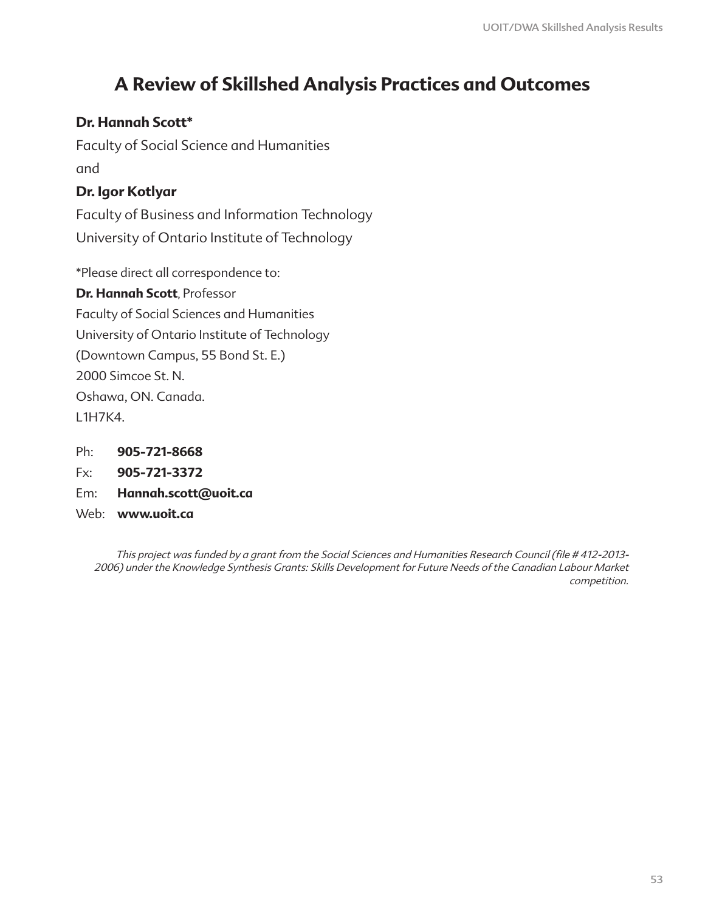# **A Review of Skillshed Analysis Practices and Outcomes**

## **Dr. Hannah Scott\***

Faculty of Social Science and Humanities and

## **Dr. Igor Kotlyar**

Faculty of Business and Information Technology University of Ontario Institute of Technology

\*Please direct all correspondence to:

**Dr. Hannah Scott**, Professor Faculty of Social Sciences and Humanities University of Ontario Institute of Technology (Downtown Campus, 55 Bond St. E.) 2000 Simcoe St. N. Oshawa, ON. Canada. L1H7K4.

- Ph: **905-721-8668**
- Fx: **905-721-3372**
- Em: **Hannah.scott@uoit.ca**
- Web: **www.uoit.ca**

This project was funded by a grant from the Social Sciences and Humanities Research Council (file # 412-2013- 2006) under the Knowledge Synthesis Grants: Skills Development for Future Needs of the Canadian Labour Market competition.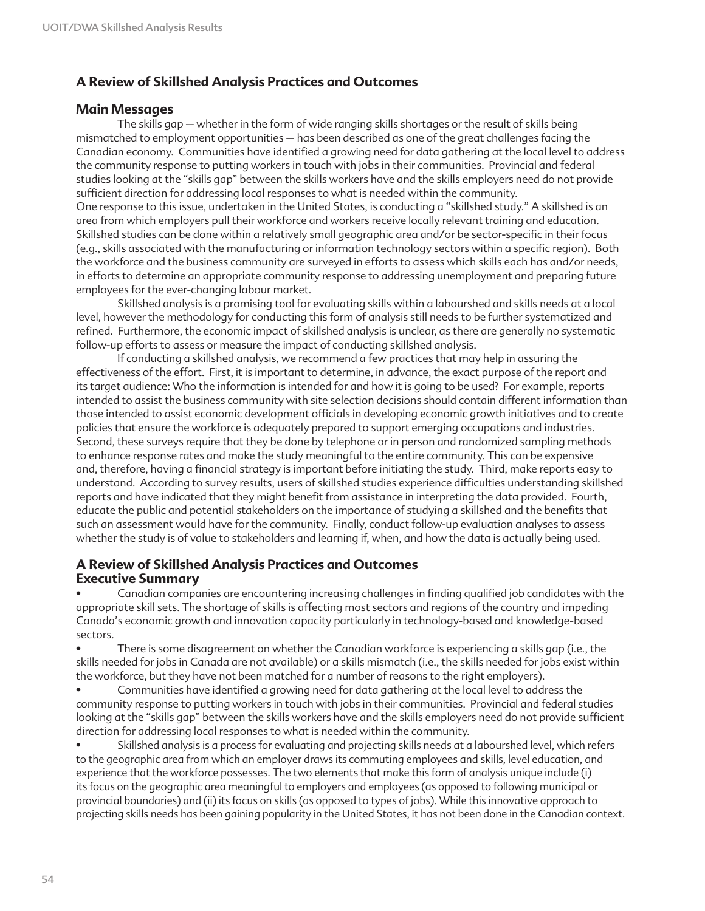### **A Review of Skillshed Analysis Practices and Outcomes**

### **Main Messages**

The skills gap – whether in the form of wide ranging skills shortages or the result of skills being mismatched to employment opportunities – has been described as one of the great challenges facing the Canadian economy. Communities have identified a growing need for data gathering at the local level to address the community response to putting workers in touch with jobs in their communities. Provincial and federal studies looking at the "skills gap" between the skills workers have and the skills employers need do not provide sufficient direction for addressing local responses to what is needed within the community. One response to this issue, undertaken in the United States, is conducting a "skillshed study." A skillshed is an area from which employers pull their workforce and workers receive locally relevant training and education. Skillshed studies can be done within a relatively small geographic area and/or be sector-specific in their focus (e.g., skills associated with the manufacturing or information technology sectors within a specific region). Both the workforce and the business community are surveyed in efforts to assess which skills each has and/or needs, in efforts to determine an appropriate community response to addressing unemployment and preparing future employees for the ever-changing labour market.

Skillshed analysis is a promising tool for evaluating skills within a labourshed and skills needs at a local level, however the methodology for conducting this form of analysis still needs to be further systematized and refined. Furthermore, the economic impact of skillshed analysis is unclear, as there are generally no systematic follow-up efforts to assess or measure the impact of conducting skillshed analysis.

If conducting a skillshed analysis, we recommend a few practices that may help in assuring the effectiveness of the effort. First, it is important to determine, in advance, the exact purpose of the report and its target audience: Who the information is intended for and how it is going to be used? For example, reports intended to assist the business community with site selection decisions should contain different information than those intended to assist economic development officials in developing economic growth initiatives and to create policies that ensure the workforce is adequately prepared to support emerging occupations and industries. Second, these surveys require that they be done by telephone or in person and randomized sampling methods to enhance response rates and make the study meaningful to the entire community. This can be expensive and, therefore, having a financial strategy is important before initiating the study. Third, make reports easy to understand. According to survey results, users of skillshed studies experience difficulties understanding skillshed reports and have indicated that they might benefit from assistance in interpreting the data provided. Fourth, educate the public and potential stakeholders on the importance of studying a skillshed and the benefits that such an assessment would have for the community. Finally, conduct follow-up evaluation analyses to assess whether the study is of value to stakeholders and learning if, when, and how the data is actually being used.

### **A Review of Skillshed Analysis Practices and Outcomes Executive Summary**

• Canadian companies are encountering increasing challenges in finding qualified job candidates with the appropriate skill sets. The shortage of skills is affecting most sectors and regions of the country and impeding Canada's economic growth and innovation capacity particularly in technology-based and knowledge-based sectors.

• There is some disagreement on whether the Canadian workforce is experiencing a skills gap (i.e., the skills needed for jobs in Canada are not available) or a skills mismatch (i.e., the skills needed for jobs exist within the workforce, but they have not been matched for a number of reasons to the right employers).

• Communities have identified a growing need for data gathering at the local level to address the community response to putting workers in touch with jobs in their communities. Provincial and federal studies looking at the "skills gap" between the skills workers have and the skills employers need do not provide sufficient direction for addressing local responses to what is needed within the community.

• Skillshed analysis is a process for evaluating and projecting skills needs at a labourshed level, which refers to the geographic area from which an employer draws its commuting employees and skills, level education, and experience that the workforce possesses. The two elements that make this form of analysis unique include (i) its focus on the geographic area meaningful to employers and employees (as opposed to following municipal or provincial boundaries) and (ii) its focus on skills (as opposed to types of jobs). While this innovative approach to projecting skills needs has been gaining popularity in the United States, it has not been done in the Canadian context.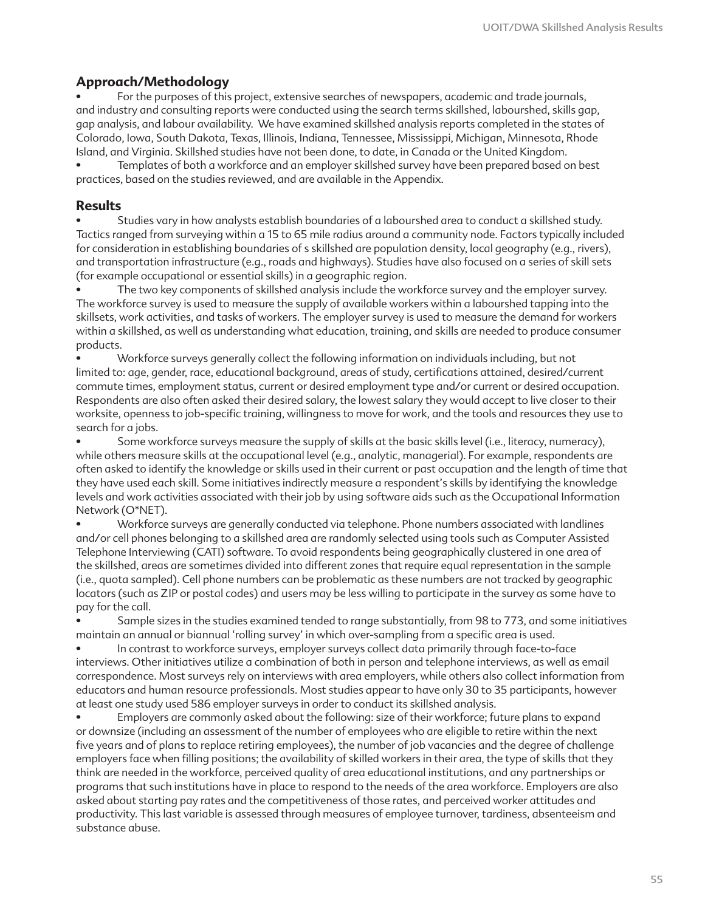### **Approach/Methodology**

• For the purposes of this project, extensive searches of newspapers, academic and trade journals, and industry and consulting reports were conducted using the search terms skillshed, labourshed, skills gap, gap analysis, and labour availability. We have examined skillshed analysis reports completed in the states of Colorado, Iowa, South Dakota, Texas, Illinois, Indiana, Tennessee, Mississippi, Michigan, Minnesota, Rhode Island, and Virginia. Skillshed studies have not been done, to date, in Canada or the United Kingdom.

• Templates of both a workforce and an employer skillshed survey have been prepared based on best practices, based on the studies reviewed, and are available in the Appendix.

### **Results**

• Studies vary in how analysts establish boundaries of a labourshed area to conduct a skillshed study. Tactics ranged from surveying within a 15 to 65 mile radius around a community node. Factors typically included for consideration in establishing boundaries of s skillshed are population density, local geography (e.g., rivers), and transportation infrastructure (e.g., roads and highways). Studies have also focused on a series of skill sets (for example occupational or essential skills) in a geographic region.

The two key components of skillshed analysis include the workforce survey and the employer survey. The workforce survey is used to measure the supply of available workers within a labourshed tapping into the skillsets, work activities, and tasks of workers. The employer survey is used to measure the demand for workers within a skillshed, as well as understanding what education, training, and skills are needed to produce consumer products.

• Workforce surveys generally collect the following information on individuals including, but not limited to: age, gender, race, educational background, areas of study, certifications attained, desired/current commute times, employment status, current or desired employment type and/or current or desired occupation. Respondents are also often asked their desired salary, the lowest salary they would accept to live closer to their worksite, openness to job-specific training, willingness to move for work, and the tools and resources they use to search for a jobs.

• Some workforce surveys measure the supply of skills at the basic skills level (i.e., literacy, numeracy), while others measure skills at the occupational level (e.g., analytic, managerial). For example, respondents are often asked to identify the knowledge or skills used in their current or past occupation and the length of time that they have used each skill. Some initiatives indirectly measure a respondent's skills by identifying the knowledge levels and work activities associated with their job by using software aids such as the Occupational Information Network (O\*NET).

• Workforce surveys are generally conducted via telephone. Phone numbers associated with landlines and/or cell phones belonging to a skillshed area are randomly selected using tools such as Computer Assisted Telephone Interviewing (CATI) software. To avoid respondents being geographically clustered in one area of the skillshed, areas are sometimes divided into different zones that require equal representation in the sample (i.e., quota sampled). Cell phone numbers can be problematic as these numbers are not tracked by geographic locators (such as ZIP or postal codes) and users may be less willing to participate in the survey as some have to pay for the call.

• Sample sizes in the studies examined tended to range substantially, from 98 to 773, and some initiatives maintain an annual or biannual 'rolling survey' in which over-sampling from a specific area is used.

• In contrast to workforce surveys, employer surveys collect data primarily through face-to-face interviews. Other initiatives utilize a combination of both in person and telephone interviews, as well as email correspondence. Most surveys rely on interviews with area employers, while others also collect information from educators and human resource professionals. Most studies appear to have only 30 to 35 participants, however at least one study used 586 employer surveys in order to conduct its skillshed analysis.

• Employers are commonly asked about the following: size of their workforce; future plans to expand or downsize (including an assessment of the number of employees who are eligible to retire within the next five years and of plans to replace retiring employees), the number of job vacancies and the degree of challenge employers face when filling positions; the availability of skilled workers in their area, the type of skills that they think are needed in the workforce, perceived quality of area educational institutions, and any partnerships or programs that such institutions have in place to respond to the needs of the area workforce. Employers are also asked about starting pay rates and the competitiveness of those rates, and perceived worker attitudes and productivity. This last variable is assessed through measures of employee turnover, tardiness, absenteeism and substance abuse.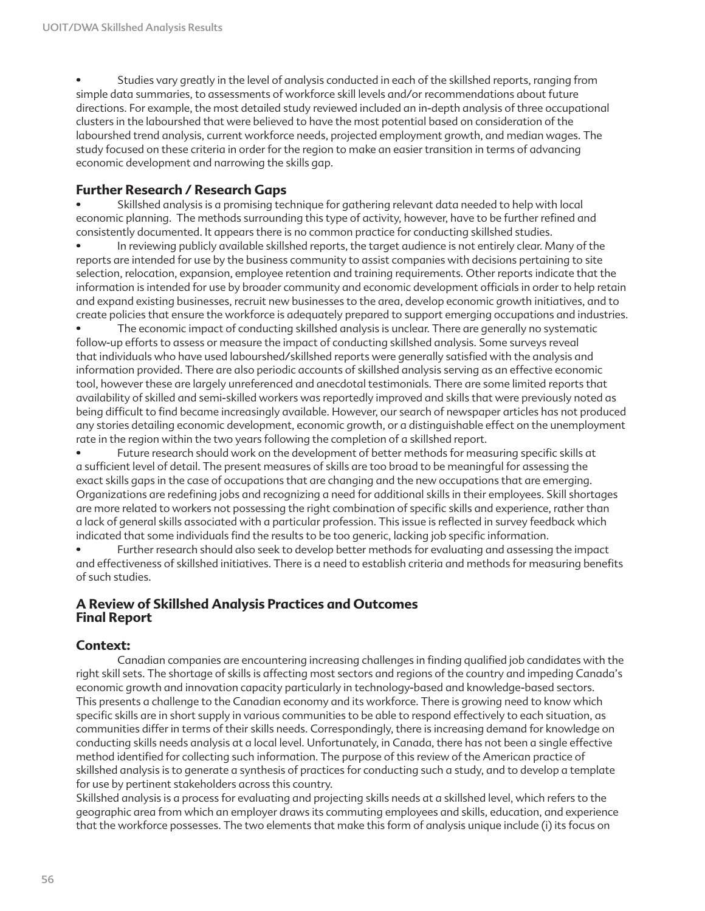• Studies vary greatly in the level of analysis conducted in each of the skillshed reports, ranging from simple data summaries, to assessments of workforce skill levels and/or recommendations about future directions. For example, the most detailed study reviewed included an in-depth analysis of three occupational clusters in the labourshed that were believed to have the most potential based on consideration of the labourshed trend analysis, current workforce needs, projected employment growth, and median wages. The study focused on these criteria in order for the region to make an easier transition in terms of advancing economic development and narrowing the skills gap.

### **Further Research / Research Gaps**

• Skillshed analysis is a promising technique for gathering relevant data needed to help with local economic planning. The methods surrounding this type of activity, however, have to be further refined and consistently documented. It appears there is no common practice for conducting skillshed studies.

• In reviewing publicly available skillshed reports, the target audience is not entirely clear. Many of the reports are intended for use by the business community to assist companies with decisions pertaining to site selection, relocation, expansion, employee retention and training requirements. Other reports indicate that the information is intended for use by broader community and economic development officials in order to help retain and expand existing businesses, recruit new businesses to the area, develop economic growth initiatives, and to create policies that ensure the workforce is adequately prepared to support emerging occupations and industries.

The economic impact of conducting skillshed analysis is unclear. There are generally no systematic follow-up efforts to assess or measure the impact of conducting skillshed analysis. Some surveys reveal that individuals who have used labourshed/skillshed reports were generally satisfied with the analysis and information provided. There are also periodic accounts of skillshed analysis serving as an effective economic tool, however these are largely unreferenced and anecdotal testimonials. There are some limited reports that availability of skilled and semi-skilled workers was reportedly improved and skills that were previously noted as being difficult to find became increasingly available. However, our search of newspaper articles has not produced any stories detailing economic development, economic growth, or a distinguishable effect on the unemployment rate in the region within the two years following the completion of a skillshed report.

• Future research should work on the development of better methods for measuring specific skills at a sufficient level of detail. The present measures of skills are too broad to be meaningful for assessing the exact skills gaps in the case of occupations that are changing and the new occupations that are emerging. Organizations are redefining jobs and recognizing a need for additional skills in their employees. Skill shortages are more related to workers not possessing the right combination of specific skills and experience, rather than a lack of general skills associated with a particular profession. This issue is reflected in survey feedback which indicated that some individuals find the results to be too generic, lacking job specific information.

Further research should also seek to develop better methods for evaluating and assessing the impact and effectiveness of skillshed initiatives. There is a need to establish criteria and methods for measuring benefits of such studies.

### **A Review of Skillshed Analysis Practices and Outcomes Final Report**

### **Context:**

Canadian companies are encountering increasing challenges in finding qualified job candidates with the right skill sets. The shortage of skills is affecting most sectors and regions of the country and impeding Canada's economic growth and innovation capacity particularly in technology-based and knowledge-based sectors. This presents a challenge to the Canadian economy and its workforce. There is growing need to know which specific skills are in short supply in various communities to be able to respond effectively to each situation, as communities differ in terms of their skills needs. Correspondingly, there is increasing demand for knowledge on conducting skills needs analysis at a local level. Unfortunately, in Canada, there has not been a single effective method identified for collecting such information. The purpose of this review of the American practice of skillshed analysis is to generate a synthesis of practices for conducting such a study, and to develop a template for use by pertinent stakeholders across this country.

Skillshed analysis is a process for evaluating and projecting skills needs at a skillshed level, which refers to the geographic area from which an employer draws its commuting employees and skills, education, and experience that the workforce possesses. The two elements that make this form of analysis unique include (i) its focus on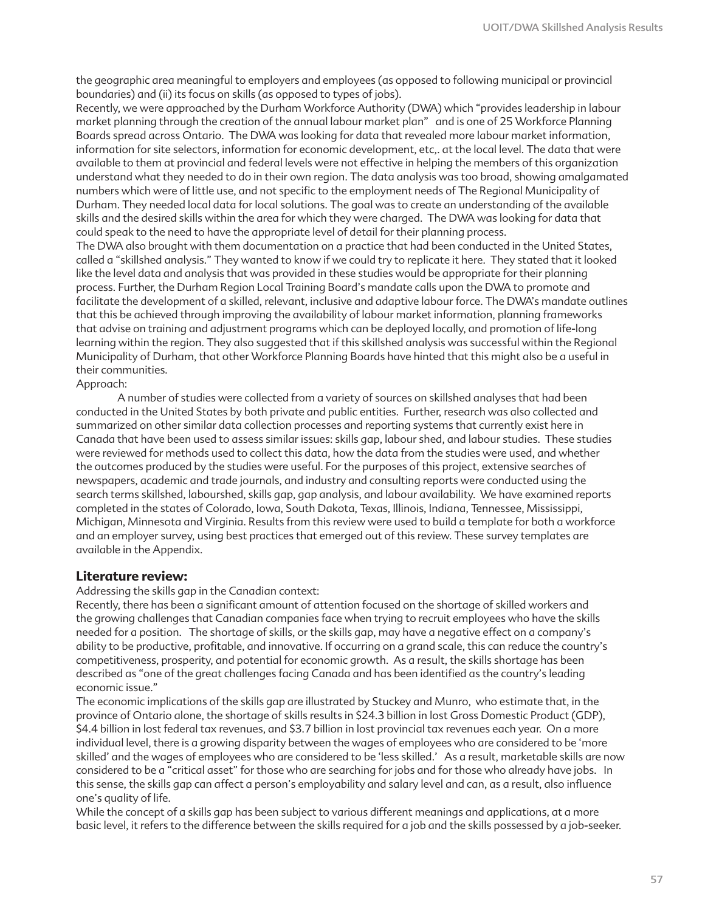the geographic area meaningful to employers and employees (as opposed to following municipal or provincial boundaries) and (ii) its focus on skills (as opposed to types of jobs).

Recently, we were approached by the Durham Workforce Authority (DWA) which "provides leadership in labour market planning through the creation of the annual labour market plan" and is one of 25 Workforce Planning Boards spread across Ontario. The DWA was looking for data that revealed more labour market information, information for site selectors, information for economic development, etc,. at the local level. The data that were available to them at provincial and federal levels were not effective in helping the members of this organization understand what they needed to do in their own region. The data analysis was too broad, showing amalgamated numbers which were of little use, and not specific to the employment needs of The Regional Municipality of Durham. They needed local data for local solutions. The goal was to create an understanding of the available skills and the desired skills within the area for which they were charged. The DWA was looking for data that could speak to the need to have the appropriate level of detail for their planning process.

The DWA also brought with them documentation on a practice that had been conducted in the United States, called a "skillshed analysis." They wanted to know if we could try to replicate it here. They stated that it looked like the level data and analysis that was provided in these studies would be appropriate for their planning process. Further, the Durham Region Local Training Board's mandate calls upon the DWA to promote and facilitate the development of a skilled, relevant, inclusive and adaptive labour force. The DWA's mandate outlines that this be achieved through improving the availability of labour market information, planning frameworks that advise on training and adjustment programs which can be deployed locally, and promotion of life-long learning within the region. They also suggested that if this skillshed analysis was successful within the Regional Municipality of Durham, that other Workforce Planning Boards have hinted that this might also be a useful in their communities.

Approach:

A number of studies were collected from a variety of sources on skillshed analyses that had been conducted in the United States by both private and public entities. Further, research was also collected and summarized on other similar data collection processes and reporting systems that currently exist here in Canada that have been used to assess similar issues: skills gap, labour shed, and labour studies. These studies were reviewed for methods used to collect this data, how the data from the studies were used, and whether the outcomes produced by the studies were useful. For the purposes of this project, extensive searches of newspapers, academic and trade journals, and industry and consulting reports were conducted using the search terms skillshed, labourshed, skills gap, gap analysis, and labour availability. We have examined reports completed in the states of Colorado, Iowa, South Dakota, Texas, Illinois, Indiana, Tennessee, Mississippi, Michigan, Minnesota and Virginia. Results from this review were used to build a template for both a workforce and an employer survey, using best practices that emerged out of this review. These survey templates are available in the Appendix.

#### **Literature review:**

Addressing the skills gap in the Canadian context:

Recently, there has been a significant amount of attention focused on the shortage of skilled workers and the growing challenges that Canadian companies face when trying to recruit employees who have the skills needed for a position. The shortage of skills, or the skills gap, may have a negative effect on a company's ability to be productive, profitable, and innovative. If occurring on a grand scale, this can reduce the country's competitiveness, prosperity, and potential for economic growth. As a result, the skills shortage has been described as "one of the great challenges facing Canada and has been identified as the country's leading economic issue."

The economic implications of the skills gap are illustrated by Stuckey and Munro, who estimate that, in the province of Ontario alone, the shortage of skills results in \$24.3 billion in lost Gross Domestic Product (GDP), \$4.4 billion in lost federal tax revenues, and \$3.7 billion in lost provincial tax revenues each year. On a more individual level, there is a growing disparity between the wages of employees who are considered to be 'more skilled' and the wages of employees who are considered to be 'less skilled.' As a result, marketable skills are now considered to be a "critical asset" for those who are searching for jobs and for those who already have jobs. In this sense, the skills gap can affect a person's employability and salary level and can, as a result, also influence one's quality of life.

While the concept of a skills gap has been subject to various different meanings and applications, at a more basic level, it refers to the difference between the skills required for a job and the skills possessed by a job-seeker.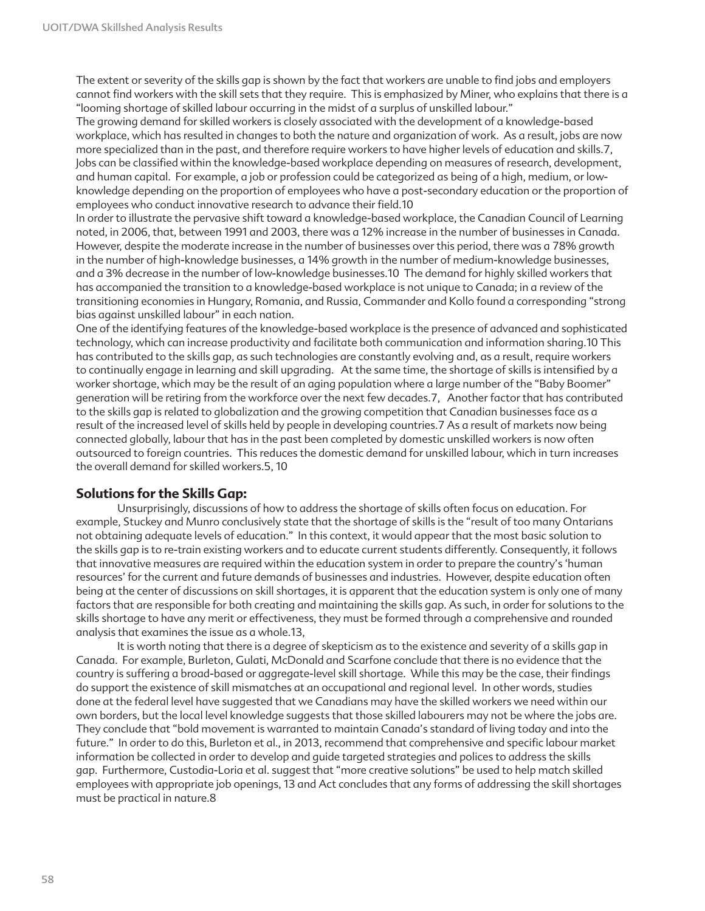The extent or severity of the skills gap is shown by the fact that workers are unable to find jobs and employers cannot find workers with the skill sets that they require. This is emphasized by Miner, who explains that there is a "looming shortage of skilled labour occurring in the midst of a surplus of unskilled labour."

The growing demand for skilled workers is closely associated with the development of a knowledge-based workplace, which has resulted in changes to both the nature and organization of work. As a result, jobs are now more specialized than in the past, and therefore require workers to have higher levels of education and skills.7, Jobs can be classified within the knowledge-based workplace depending on measures of research, development, and human capital. For example, a job or profession could be categorized as being of a high, medium, or lowknowledge depending on the proportion of employees who have a post-secondary education or the proportion of employees who conduct innovative research to advance their field.10

In order to illustrate the pervasive shift toward a knowledge-based workplace, the Canadian Council of Learning noted, in 2006, that, between 1991 and 2003, there was a 12% increase in the number of businesses in Canada. However, despite the moderate increase in the number of businesses over this period, there was a 78% growth in the number of high-knowledge businesses, a 14% growth in the number of medium-knowledge businesses, and a 3% decrease in the number of low-knowledge businesses.10 The demand for highly skilled workers that has accompanied the transition to a knowledge-based workplace is not unique to Canada; in a review of the transitioning economies in Hungary, Romania, and Russia, Commander and Kollo found a corresponding "strong bias against unskilled labour" in each nation.

One of the identifying features of the knowledge-based workplace is the presence of advanced and sophisticated technology, which can increase productivity and facilitate both communication and information sharing.10 This has contributed to the skills gap, as such technologies are constantly evolving and, as a result, require workers to continually engage in learning and skill upgrading. At the same time, the shortage of skills is intensified by a worker shortage, which may be the result of an aging population where a large number of the "Baby Boomer" generation will be retiring from the workforce over the next few decades.7, Another factor that has contributed to the skills gap is related to globalization and the growing competition that Canadian businesses face as a result of the increased level of skills held by people in developing countries.7 As a result of markets now being connected globally, labour that has in the past been completed by domestic unskilled workers is now often outsourced to foreign countries. This reduces the domestic demand for unskilled labour, which in turn increases the overall demand for skilled workers.5, 10

### **Solutions for the Skills Gap:**

Unsurprisingly, discussions of how to address the shortage of skills often focus on education. For example, Stuckey and Munro conclusively state that the shortage of skills is the "result of too many Ontarians not obtaining adequate levels of education." In this context, it would appear that the most basic solution to the skills gap is to re-train existing workers and to educate current students differently. Consequently, it follows that innovative measures are required within the education system in order to prepare the country's 'human resources' for the current and future demands of businesses and industries. However, despite education often being at the center of discussions on skill shortages, it is apparent that the education system is only one of many factors that are responsible for both creating and maintaining the skills gap. As such, in order for solutions to the skills shortage to have any merit or effectiveness, they must be formed through a comprehensive and rounded analysis that examines the issue as a whole.13,

It is worth noting that there is a degree of skepticism as to the existence and severity of a skills gap in Canada. For example, Burleton, Gulati, McDonald and Scarfone conclude that there is no evidence that the country is suffering a broad-based or aggregate-level skill shortage. While this may be the case, their findings do support the existence of skill mismatches at an occupational and regional level. In other words, studies done at the federal level have suggested that we Canadians may have the skilled workers we need within our own borders, but the local level knowledge suggests that those skilled labourers may not be where the jobs are. They conclude that "bold movement is warranted to maintain Canada's standard of living today and into the future." In order to do this, Burleton et al., in 2013, recommend that comprehensive and specific labour market information be collected in order to develop and guide targeted strategies and polices to address the skills gap. Furthermore, Custodia-Loria et al. suggest that "more creative solutions" be used to help match skilled employees with appropriate job openings, 13 and Act concludes that any forms of addressing the skill shortages must be practical in nature.8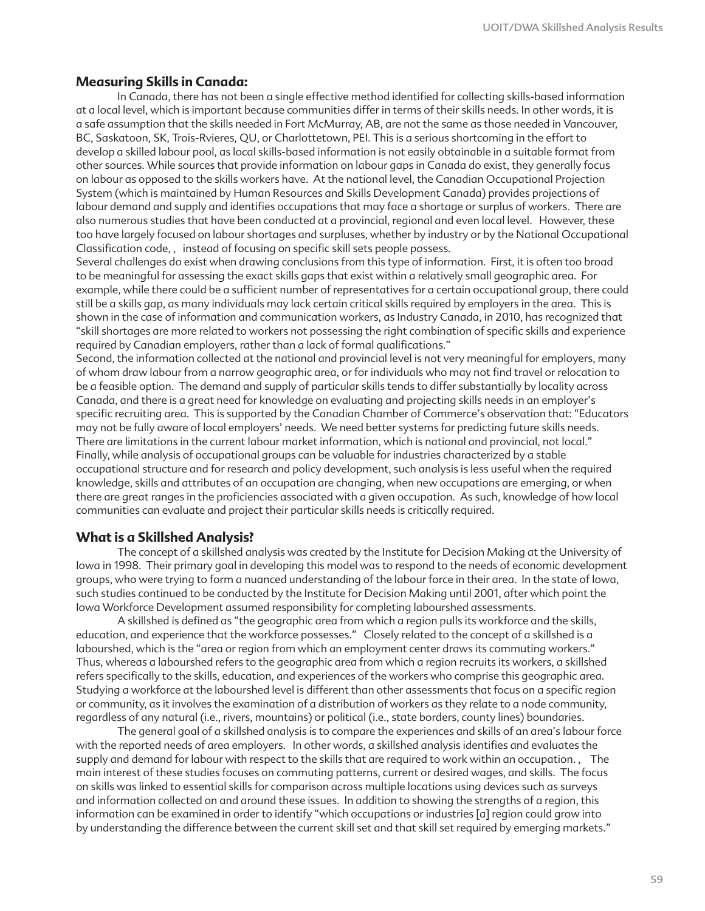#### **Measuring Skills in Canada:**

In Canada, there has not been a single effective method identified for collecting skills-based information at a local level, which is important because communities differ in terms of their skills needs. In other words, it is a safe assumption that the skills needed in Fort McMurray, AB, are not the same as those needed in Vancouver, BC, Saskatoon, SK, Trois-Rvieres, QU, or Charlottetown, PEI. This is a serious shortcoming in the effort to develop a skilled labour pool, as local skills-based information is not easily obtainable in a suitable format from other sources. While sources that provide information on labour gaps in Canada do exist, they generally focus on labour as opposed to the skills workers have. At the national level, the Canadian Occupational Projection System (which is maintained by Human Resources and Skills Development Canada) provides projections of labour demand and supply and identifies occupations that may face a shortage or surplus of workers. There are also numerous studies that have been conducted at a provincial, regional and even local level. However, these too have largely focused on labour shortages and surpluses, whether by industry or by the National Occupational Classification code, , instead of focusing on specific skill sets people possess.

Several challenges do exist when drawing conclusions from this type of information. First, it is often too broad to be meaningful for assessing the exact skills gaps that exist within a relatively small geographic area. For example, while there could be a sufficient number of representatives for a certain occupational group, there could still be a skills gap, as many individuals may lack certain critical skills required by employers in the area. This is shown in the case of information and communication workers, as Industry Canada, in 2010, has recognized that "skill shortages are more related to workers not possessing the right combination of specific skills and experience required by Canadian employers, rather than a lack of formal qualifications."

Second, the information collected at the national and provincial level is not very meaningful for employers, many of whom draw labour from a narrow geographic area, or for individuals who may not find travel or relocation to be a feasible option. The demand and supply of particular skills tends to differ substantially by locality across Canada, and there is a great need for knowledge on evaluating and projecting skills needs in an employer's specific recruiting area. This is supported by the Canadian Chamber of Commerce's observation that: "Educators may not be fully aware of local employers' needs. We need better systems for predicting future skills needs. There are limitations in the current labour market information, which is national and provincial, not local." Finally, while analysis of occupational groups can be valuable for industries characterized by a stable occupational structure and for research and policy development, such analysis is less useful when the required knowledge, skills and attributes of an occupation are changing, when new occupations are emerging, or when there are great ranges in the proficiencies associated with a given occupation. As such, knowledge of how local communities can evaluate and project their particular skills needs is critically required.

#### **What is a Skillshed Analysis?**

The concept of a skillshed analysis was created by the Institute for Decision Making at the University of Iowa in 1998. Their primary goal in developing this model was to respond to the needs of economic development groups, who were trying to form a nuanced understanding of the labour force in their area. In the state of Iowa, such studies continued to be conducted by the Institute for Decision Making until 2001, after which point the Iowa Workforce Development assumed responsibility for completing labourshed assessments.

A skillshed is defined as "the geographic area from which a region pulls its workforce and the skills, education, and experience that the workforce possesses." Closely related to the concept of a skillshed is a labourshed, which is the "area or region from which an employment center draws its commuting workers." Thus, whereas a labourshed refers to the geographic area from which a region recruits its workers, a skillshed refers specifically to the skills, education, and experiences of the workers who comprise this geographic area. Studying a workforce at the labourshed level is different than other assessments that focus on a specific region or community, as it involves the examination of a distribution of workers as they relate to a node community, regardless of any natural (i.e., rivers, mountains) or political (i.e., state borders, county lines) boundaries.

The general goal of a skillshed analysis is to compare the experiences and skills of an area's labour force with the reported needs of area employers. In other words, a skillshed analysis identifies and evaluates the supply and demand for labour with respect to the skills that are required to work within an occupation. , The main interest of these studies focuses on commuting patterns, current or desired wages, and skills. The focus on skills was linked to essential skills for comparison across multiple locations using devices such as surveys and information collected on and around these issues. In addition to showing the strengths of a region, this information can be examined in order to identify "which occupations or industries [a] region could grow into by understanding the difference between the current skill set and that skill set required by emerging markets."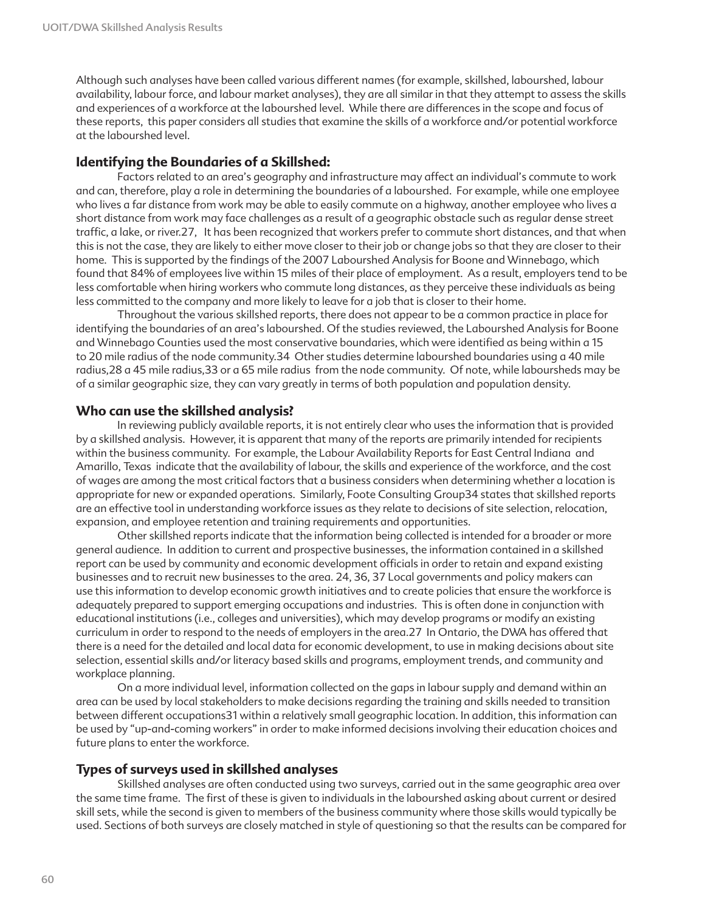Although such analyses have been called various different names (for example, skillshed, labourshed, labour availability, labour force, and labour market analyses), they are all similar in that they attempt to assess the skills and experiences of a workforce at the labourshed level. While there are differences in the scope and focus of these reports, this paper considers all studies that examine the skills of a workforce and/or potential workforce at the labourshed level.

### **Identifying the Boundaries of a Skillshed:**

Factors related to an area's geography and infrastructure may affect an individual's commute to work and can, therefore, play a role in determining the boundaries of a labourshed. For example, while one employee who lives a far distance from work may be able to easily commute on a highway, another employee who lives a short distance from work may face challenges as a result of a geographic obstacle such as regular dense street traffic, a lake, or river.27, It has been recognized that workers prefer to commute short distances, and that when this is not the case, they are likely to either move closer to their job or change jobs so that they are closer to their home. This is supported by the findings of the 2007 Labourshed Analysis for Boone and Winnebago, which found that 84% of employees live within 15 miles of their place of employment. As a result, employers tend to be less comfortable when hiring workers who commute long distances, as they perceive these individuals as being less committed to the company and more likely to leave for a job that is closer to their home.

Throughout the various skillshed reports, there does not appear to be a common practice in place for identifying the boundaries of an area's labourshed. Of the studies reviewed, the Labourshed Analysis for Boone and Winnebago Counties used the most conservative boundaries, which were identified as being within a 15 to 20 mile radius of the node community.34 Other studies determine labourshed boundaries using a 40 mile radius,28 a 45 mile radius,33 or a 65 mile radius from the node community. Of note, while laboursheds may be of a similar geographic size, they can vary greatly in terms of both population and population density.

### **Who can use the skillshed analysis?**

In reviewing publicly available reports, it is not entirely clear who uses the information that is provided by a skillshed analysis. However, it is apparent that many of the reports are primarily intended for recipients within the business community. For example, the Labour Availability Reports for East Central Indiana and Amarillo, Texas indicate that the availability of labour, the skills and experience of the workforce, and the cost of wages are among the most critical factors that a business considers when determining whether a location is appropriate for new or expanded operations. Similarly, Foote Consulting Group34 states that skillshed reports are an effective tool in understanding workforce issues as they relate to decisions of site selection, relocation, expansion, and employee retention and training requirements and opportunities.

Other skillshed reports indicate that the information being collected is intended for a broader or more general audience. In addition to current and prospective businesses, the information contained in a skillshed report can be used by community and economic development officials in order to retain and expand existing businesses and to recruit new businesses to the area. 24, 36, 37 Local governments and policy makers can use this information to develop economic growth initiatives and to create policies that ensure the workforce is adequately prepared to support emerging occupations and industries. This is often done in conjunction with educational institutions (i.e., colleges and universities), which may develop programs or modify an existing curriculum in order to respond to the needs of employers in the area.27 In Ontario, the DWA has offered that there is a need for the detailed and local data for economic development, to use in making decisions about site selection, essential skills and/or literacy based skills and programs, employment trends, and community and workplace planning.

On a more individual level, information collected on the gaps in labour supply and demand within an area can be used by local stakeholders to make decisions regarding the training and skills needed to transition between different occupations31 within a relatively small geographic location. In addition, this information can be used by "up-and-coming workers" in order to make informed decisions involving their education choices and future plans to enter the workforce.

### **Types of surveys used in skillshed analyses**

Skillshed analyses are often conducted using two surveys, carried out in the same geographic area over the same time frame. The first of these is given to individuals in the labourshed asking about current or desired skill sets, while the second is given to members of the business community where those skills would typically be used. Sections of both surveys are closely matched in style of questioning so that the results can be compared for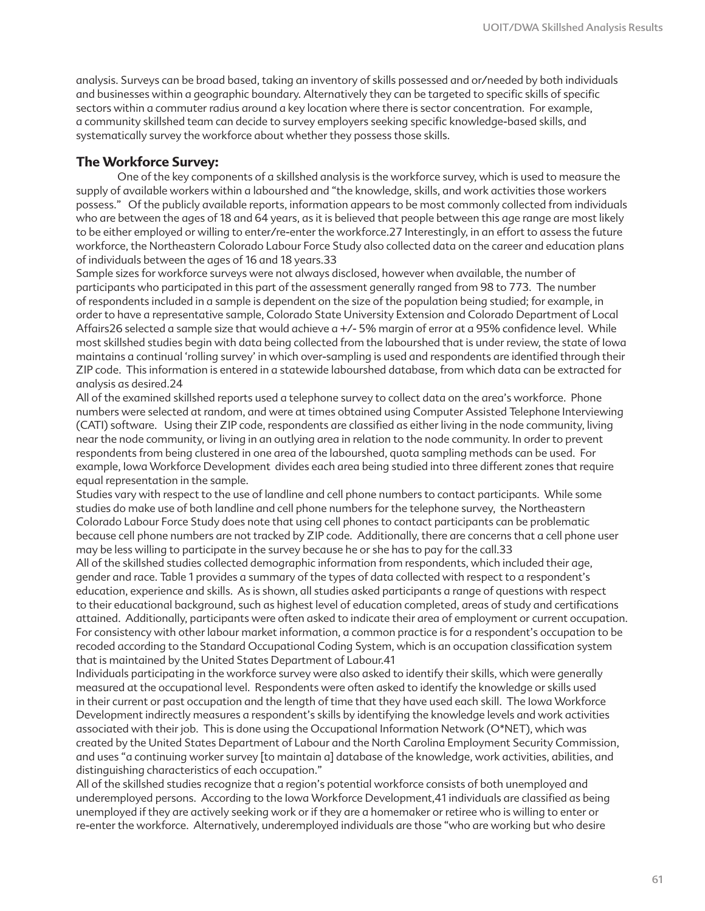analysis. Surveys can be broad based, taking an inventory of skills possessed and or/needed by both individuals and businesses within a geographic boundary. Alternatively they can be targeted to specific skills of specific sectors within a commuter radius around a key location where there is sector concentration. For example, a community skillshed team can decide to survey employers seeking specific knowledge-based skills, and systematically survey the workforce about whether they possess those skills.

#### **The Workforce Survey:**

One of the key components of a skillshed analysis is the workforce survey, which is used to measure the supply of available workers within a labourshed and "the knowledge, skills, and work activities those workers possess." Of the publicly available reports, information appears to be most commonly collected from individuals who are between the ages of 18 and 64 years, as it is believed that people between this age range are most likely to be either employed or willing to enter/re-enter the workforce.27 Interestingly, in an effort to assess the future workforce, the Northeastern Colorado Labour Force Study also collected data on the career and education plans of individuals between the ages of 16 and 18 years.33

Sample sizes for workforce surveys were not always disclosed, however when available, the number of participants who participated in this part of the assessment generally ranged from 98 to 773. The number of respondents included in a sample is dependent on the size of the population being studied; for example, in order to have a representative sample, Colorado State University Extension and Colorado Department of Local Affairs26 selected a sample size that would achieve a +/- 5% margin of error at a 95% confidence level. While most skillshed studies begin with data being collected from the labourshed that is under review, the state of Iowa maintains a continual 'rolling survey' in which over-sampling is used and respondents are identified through their ZIP code. This information is entered in a statewide labourshed database, from which data can be extracted for analysis as desired.24

All of the examined skillshed reports used a telephone survey to collect data on the area's workforce. Phone numbers were selected at random, and were at times obtained using Computer Assisted Telephone Interviewing (CATI) software. Using their ZIP code, respondents are classified as either living in the node community, living near the node community, or living in an outlying area in relation to the node community. In order to prevent respondents from being clustered in one area of the labourshed, quota sampling methods can be used. For example, Iowa Workforce Development divides each area being studied into three different zones that require equal representation in the sample.

Studies vary with respect to the use of landline and cell phone numbers to contact participants. While some studies do make use of both landline and cell phone numbers for the telephone survey, the Northeastern Colorado Labour Force Study does note that using cell phones to contact participants can be problematic because cell phone numbers are not tracked by ZIP code. Additionally, there are concerns that a cell phone user may be less willing to participate in the survey because he or she has to pay for the call.33

All of the skillshed studies collected demographic information from respondents, which included their age, gender and race. Table 1 provides a summary of the types of data collected with respect to a respondent's education, experience and skills. As is shown, all studies asked participants a range of questions with respect to their educational background, such as highest level of education completed, areas of study and certifications attained. Additionally, participants were often asked to indicate their area of employment or current occupation. For consistency with other labour market information, a common practice is for a respondent's occupation to be recoded according to the Standard Occupational Coding System, which is an occupation classification system that is maintained by the United States Department of Labour.41

Individuals participating in the workforce survey were also asked to identify their skills, which were generally measured at the occupational level. Respondents were often asked to identify the knowledge or skills used in their current or past occupation and the length of time that they have used each skill. The Iowa Workforce Development indirectly measures a respondent's skills by identifying the knowledge levels and work activities associated with their job. This is done using the Occupational Information Network (O\*NET), which was created by the United States Department of Labour and the North Carolina Employment Security Commission, and uses "a continuing worker survey [to maintain a] database of the knowledge, work activities, abilities, and distinguishing characteristics of each occupation."

All of the skillshed studies recognize that a region's potential workforce consists of both unemployed and underemployed persons. According to the Iowa Workforce Development,41 individuals are classified as being unemployed if they are actively seeking work or if they are a homemaker or retiree who is willing to enter or re-enter the workforce. Alternatively, underemployed individuals are those "who are working but who desire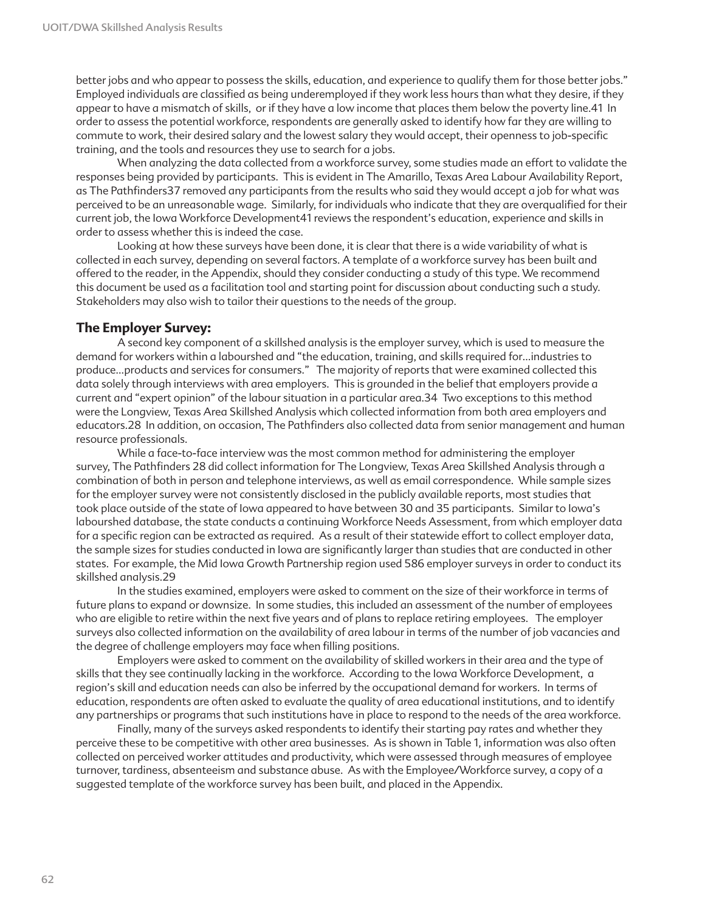better jobs and who appear to possess the skills, education, and experience to qualify them for those better jobs." Employed individuals are classified as being underemployed if they work less hours than what they desire, if they appear to have a mismatch of skills, or if they have a low income that places them below the poverty line.41 In order to assess the potential workforce, respondents are generally asked to identify how far they are willing to commute to work, their desired salary and the lowest salary they would accept, their openness to job-specific training, and the tools and resources they use to search for a jobs.

When analyzing the data collected from a workforce survey, some studies made an effort to validate the responses being provided by participants. This is evident in The Amarillo, Texas Area Labour Availability Report, as The Pathfinders37 removed any participants from the results who said they would accept a job for what was perceived to be an unreasonable wage. Similarly, for individuals who indicate that they are overqualified for their current job, the Iowa Workforce Development41 reviews the respondent's education, experience and skills in order to assess whether this is indeed the case.

Looking at how these surveys have been done, it is clear that there is a wide variability of what is collected in each survey, depending on several factors. A template of a workforce survey has been built and offered to the reader, in the Appendix, should they consider conducting a study of this type. We recommend this document be used as a facilitation tool and starting point for discussion about conducting such a study. Stakeholders may also wish to tailor their questions to the needs of the group.

### **The Employer Survey:**

A second key component of a skillshed analysis is the employer survey, which is used to measure the demand for workers within a labourshed and "the education, training, and skills required for…industries to produce…products and services for consumers." The majority of reports that were examined collected this data solely through interviews with area employers. This is grounded in the belief that employers provide a current and "expert opinion" of the labour situation in a particular area.34 Two exceptions to this method were the Longview, Texas Area Skillshed Analysis which collected information from both area employers and educators.28 In addition, on occasion, The Pathfinders also collected data from senior management and human resource professionals.

While a face-to-face interview was the most common method for administering the employer survey, The Pathfinders 28 did collect information for The Longview, Texas Area Skillshed Analysis through a combination of both in person and telephone interviews, as well as email correspondence. While sample sizes for the employer survey were not consistently disclosed in the publicly available reports, most studies that took place outside of the state of Iowa appeared to have between 30 and 35 participants. Similar to Iowa's labourshed database, the state conducts a continuing Workforce Needs Assessment, from which employer data for a specific region can be extracted as required. As a result of their statewide effort to collect employer data, the sample sizes for studies conducted in Iowa are significantly larger than studies that are conducted in other states. For example, the Mid Iowa Growth Partnership region used 586 employer surveys in order to conduct its skillshed analysis.29

In the studies examined, employers were asked to comment on the size of their workforce in terms of future plans to expand or downsize. In some studies, this included an assessment of the number of employees who are eligible to retire within the next five years and of plans to replace retiring employees. The employer surveys also collected information on the availability of area labour in terms of the number of job vacancies and the degree of challenge employers may face when filling positions.

Employers were asked to comment on the availability of skilled workers in their area and the type of skills that they see continually lacking in the workforce. According to the Iowa Workforce Development, a region's skill and education needs can also be inferred by the occupational demand for workers. In terms of education, respondents are often asked to evaluate the quality of area educational institutions, and to identify any partnerships or programs that such institutions have in place to respond to the needs of the area workforce.

Finally, many of the surveys asked respondents to identify their starting pay rates and whether they perceive these to be competitive with other area businesses. As is shown in Table 1, information was also often collected on perceived worker attitudes and productivity, which were assessed through measures of employee turnover, tardiness, absenteeism and substance abuse. As with the Employee/Workforce survey, a copy of a suggested template of the workforce survey has been built, and placed in the Appendix.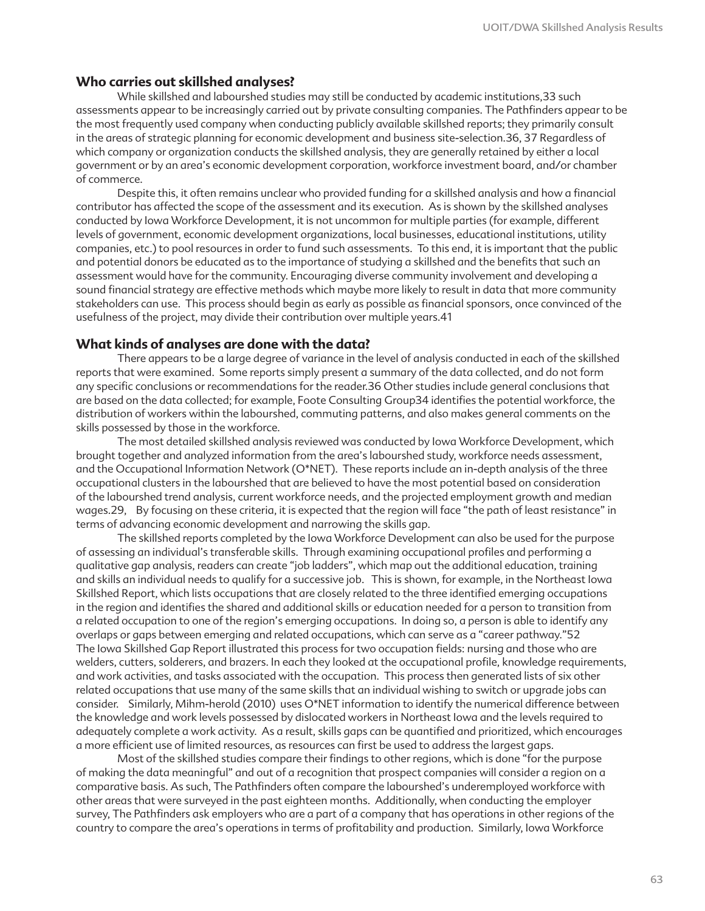#### **Who carries out skillshed analyses?**

While skillshed and labourshed studies may still be conducted by academic institutions,33 such assessments appear to be increasingly carried out by private consulting companies. The Pathfinders appear to be the most frequently used company when conducting publicly available skillshed reports; they primarily consult in the areas of strategic planning for economic development and business site-selection.36, 37 Regardless of which company or organization conducts the skillshed analysis, they are generally retained by either a local government or by an area's economic development corporation, workforce investment board, and/or chamber of commerce.

Despite this, it often remains unclear who provided funding for a skillshed analysis and how a financial contributor has affected the scope of the assessment and its execution. As is shown by the skillshed analyses conducted by Iowa Workforce Development, it is not uncommon for multiple parties (for example, different levels of government, economic development organizations, local businesses, educational institutions, utility companies, etc.) to pool resources in order to fund such assessments. To this end, it is important that the public and potential donors be educated as to the importance of studying a skillshed and the benefits that such an assessment would have for the community. Encouraging diverse community involvement and developing a sound financial strategy are effective methods which maybe more likely to result in data that more community stakeholders can use. This process should begin as early as possible as financial sponsors, once convinced of the usefulness of the project, may divide their contribution over multiple years.41

#### **What kinds of analyses are done with the data?**

There appears to be a large degree of variance in the level of analysis conducted in each of the skillshed reports that were examined. Some reports simply present a summary of the data collected, and do not form any specific conclusions or recommendations for the reader.36 Other studies include general conclusions that are based on the data collected; for example, Foote Consulting Group34 identifies the potential workforce, the distribution of workers within the labourshed, commuting patterns, and also makes general comments on the skills possessed by those in the workforce.

The most detailed skillshed analysis reviewed was conducted by Iowa Workforce Development, which brought together and analyzed information from the area's labourshed study, workforce needs assessment, and the Occupational Information Network (O\*NET). These reports include an in-depth analysis of the three occupational clusters in the labourshed that are believed to have the most potential based on consideration of the labourshed trend analysis, current workforce needs, and the projected employment growth and median wages.29, By focusing on these criteria, it is expected that the region will face "the path of least resistance" in terms of advancing economic development and narrowing the skills gap.

The skillshed reports completed by the Iowa Workforce Development can also be used for the purpose of assessing an individual's transferable skills. Through examining occupational profiles and performing a qualitative gap analysis, readers can create "job ladders", which map out the additional education, training and skills an individual needs to qualify for a successive job. This is shown, for example, in the Northeast Iowa Skillshed Report, which lists occupations that are closely related to the three identified emerging occupations in the region and identifies the shared and additional skills or education needed for a person to transition from a related occupation to one of the region's emerging occupations. In doing so, a person is able to identify any overlaps or gaps between emerging and related occupations, which can serve as a "career pathway."52 The Iowa Skillshed Gap Report illustrated this process for two occupation fields: nursing and those who are welders, cutters, solderers, and brazers. In each they looked at the occupational profile, knowledge requirements, and work activities, and tasks associated with the occupation. This process then generated lists of six other related occupations that use many of the same skills that an individual wishing to switch or upgrade jobs can consider. Similarly, Mihm-herold (2010) uses O\*NET information to identify the numerical difference between the knowledge and work levels possessed by dislocated workers in Northeast Iowa and the levels required to adequately complete a work activity. As a result, skills gaps can be quantified and prioritized, which encourages a more efficient use of limited resources, as resources can first be used to address the largest gaps.

Most of the skillshed studies compare their findings to other regions, which is done "for the purpose of making the data meaningful" and out of a recognition that prospect companies will consider a region on a comparative basis. As such, The Pathfinders often compare the labourshed's underemployed workforce with other areas that were surveyed in the past eighteen months. Additionally, when conducting the employer survey, The Pathfinders ask employers who are a part of a company that has operations in other regions of the country to compare the area's operations in terms of profitability and production. Similarly, Iowa Workforce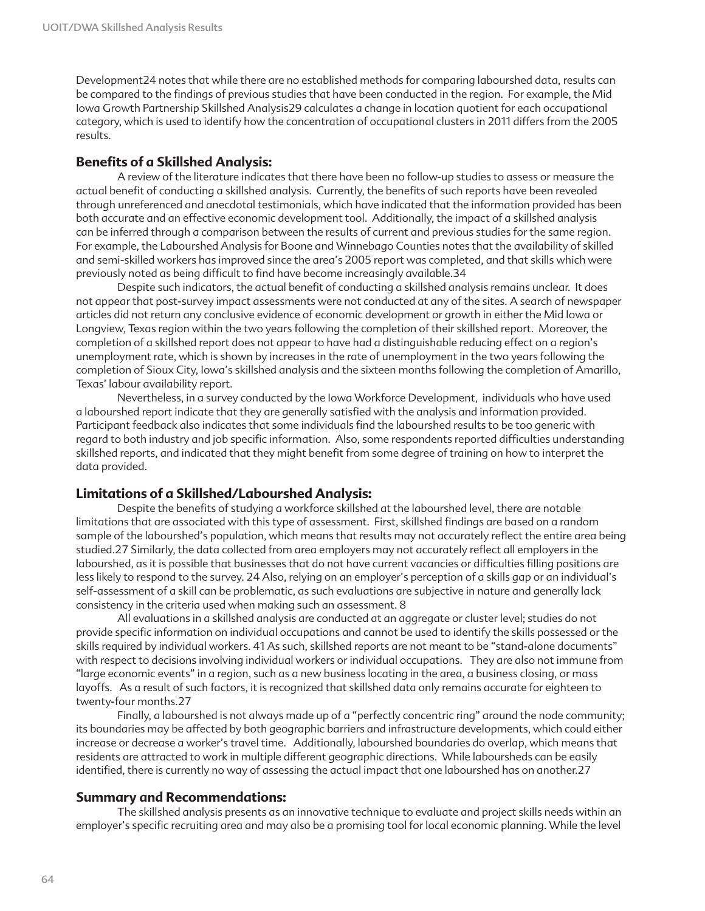Development24 notes that while there are no established methods for comparing labourshed data, results can be compared to the findings of previous studies that have been conducted in the region. For example, the Mid Iowa Growth Partnership Skillshed Analysis29 calculates a change in location quotient for each occupational category, which is used to identify how the concentration of occupational clusters in 2011 differs from the 2005 results.

#### **Benefits of a Skillshed Analysis:**

A review of the literature indicates that there have been no follow-up studies to assess or measure the actual benefit of conducting a skillshed analysis. Currently, the benefits of such reports have been revealed through unreferenced and anecdotal testimonials, which have indicated that the information provided has been both accurate and an effective economic development tool. Additionally, the impact of a skillshed analysis can be inferred through a comparison between the results of current and previous studies for the same region. For example, the Labourshed Analysis for Boone and Winnebago Counties notes that the availability of skilled and semi-skilled workers has improved since the area's 2005 report was completed, and that skills which were previously noted as being difficult to find have become increasingly available.34

Despite such indicators, the actual benefit of conducting a skillshed analysis remains unclear. It does not appear that post-survey impact assessments were not conducted at any of the sites. A search of newspaper articles did not return any conclusive evidence of economic development or growth in either the Mid Iowa or Longview, Texas region within the two years following the completion of their skillshed report. Moreover, the completion of a skillshed report does not appear to have had a distinguishable reducing effect on a region's unemployment rate, which is shown by increases in the rate of unemployment in the two years following the completion of Sioux City, Iowa's skillshed analysis and the sixteen months following the completion of Amarillo, Texas' labour availability report.

Nevertheless, in a survey conducted by the Iowa Workforce Development, individuals who have used a labourshed report indicate that they are generally satisfied with the analysis and information provided. Participant feedback also indicates that some individuals find the labourshed results to be too generic with regard to both industry and job specific information. Also, some respondents reported difficulties understanding skillshed reports, and indicated that they might benefit from some degree of training on how to interpret the data provided.

#### **Limitations of a Skillshed/Labourshed Analysis:**

Despite the benefits of studying a workforce skillshed at the labourshed level, there are notable limitations that are associated with this type of assessment. First, skillshed findings are based on a random sample of the labourshed's population, which means that results may not accurately reflect the entire area being studied.27 Similarly, the data collected from area employers may not accurately reflect all employers in the labourshed, as it is possible that businesses that do not have current vacancies or difficulties filling positions are less likely to respond to the survey. 24 Also, relying on an employer's perception of a skills gap or an individual's self-assessment of a skill can be problematic, as such evaluations are subjective in nature and generally lack consistency in the criteria used when making such an assessment. 8

All evaluations in a skillshed analysis are conducted at an aggregate or cluster level; studies do not provide specific information on individual occupations and cannot be used to identify the skills possessed or the skills required by individual workers. 41 As such, skillshed reports are not meant to be "stand-alone documents" with respect to decisions involving individual workers or individual occupations. They are also not immune from "large economic events" in a region, such as a new business locating in the area, a business closing, or mass layoffs. As a result of such factors, it is recognized that skillshed data only remains accurate for eighteen to twenty-four months.27

Finally, a labourshed is not always made up of a "perfectly concentric ring" around the node community; its boundaries may be affected by both geographic barriers and infrastructure developments, which could either increase or decrease a worker's travel time. Additionally, labourshed boundaries do overlap, which means that residents are attracted to work in multiple different geographic directions. While laboursheds can be easily identified, there is currently no way of assessing the actual impact that one labourshed has on another.27

#### **Summary and Recommendations:**

The skillshed analysis presents as an innovative technique to evaluate and project skills needs within an employer's specific recruiting area and may also be a promising tool for local economic planning. While the level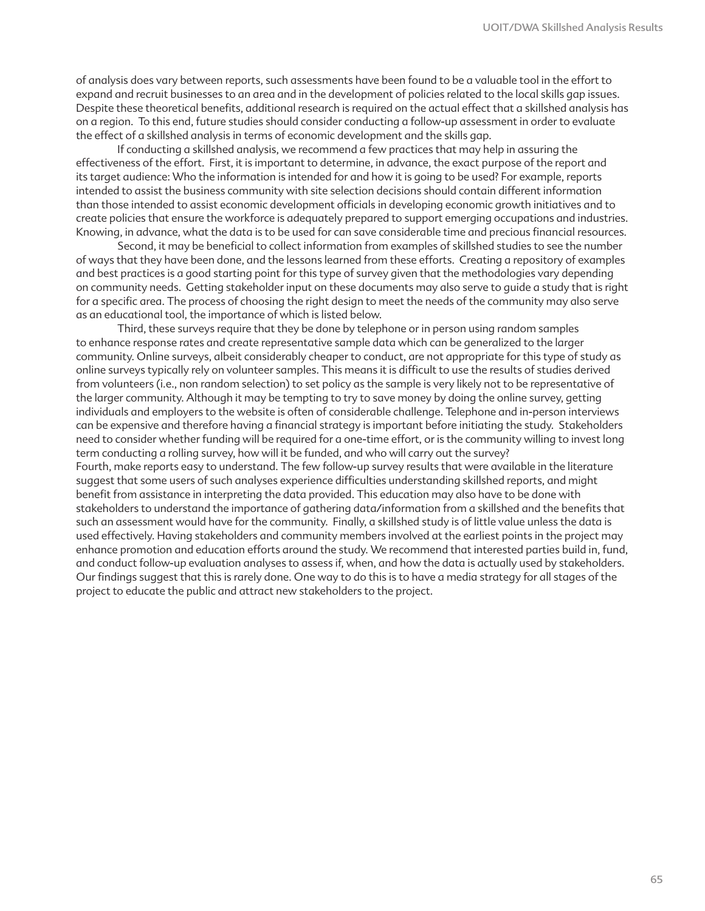of analysis does vary between reports, such assessments have been found to be a valuable tool in the effort to expand and recruit businesses to an area and in the development of policies related to the local skills gap issues. Despite these theoretical benefits, additional research is required on the actual effect that a skillshed analysis has on a region. To this end, future studies should consider conducting a follow-up assessment in order to evaluate the effect of a skillshed analysis in terms of economic development and the skills gap.

If conducting a skillshed analysis, we recommend a few practices that may help in assuring the effectiveness of the effort. First, it is important to determine, in advance, the exact purpose of the report and its target audience: Who the information is intended for and how it is going to be used? For example, reports intended to assist the business community with site selection decisions should contain different information than those intended to assist economic development officials in developing economic growth initiatives and to create policies that ensure the workforce is adequately prepared to support emerging occupations and industries. Knowing, in advance, what the data is to be used for can save considerable time and precious financial resources.

Second, it may be beneficial to collect information from examples of skillshed studies to see the number of ways that they have been done, and the lessons learned from these efforts. Creating a repository of examples and best practices is a good starting point for this type of survey given that the methodologies vary depending on community needs. Getting stakeholder input on these documents may also serve to guide a study that is right for a specific area. The process of choosing the right design to meet the needs of the community may also serve as an educational tool, the importance of which is listed below.

Third, these surveys require that they be done by telephone or in person using random samples to enhance response rates and create representative sample data which can be generalized to the larger community. Online surveys, albeit considerably cheaper to conduct, are not appropriate for this type of study as online surveys typically rely on volunteer samples. This means it is difficult to use the results of studies derived from volunteers (i.e., non random selection) to set policy as the sample is very likely not to be representative of the larger community. Although it may be tempting to try to save money by doing the online survey, getting individuals and employers to the website is often of considerable challenge. Telephone and in-person interviews can be expensive and therefore having a financial strategy is important before initiating the study. Stakeholders need to consider whether funding will be required for a one-time effort, or is the community willing to invest long term conducting a rolling survey, how will it be funded, and who will carry out the survey? Fourth, make reports easy to understand. The few follow-up survey results that were available in the literature

suggest that some users of such analyses experience difficulties understanding skillshed reports, and might benefit from assistance in interpreting the data provided. This education may also have to be done with stakeholders to understand the importance of gathering data/information from a skillshed and the benefits that such an assessment would have for the community. Finally, a skillshed study is of little value unless the data is used effectively. Having stakeholders and community members involved at the earliest points in the project may enhance promotion and education efforts around the study. We recommend that interested parties build in, fund, and conduct follow-up evaluation analyses to assess if, when, and how the data is actually used by stakeholders. Our findings suggest that this is rarely done. One way to do this is to have a media strategy for all stages of the project to educate the public and attract new stakeholders to the project.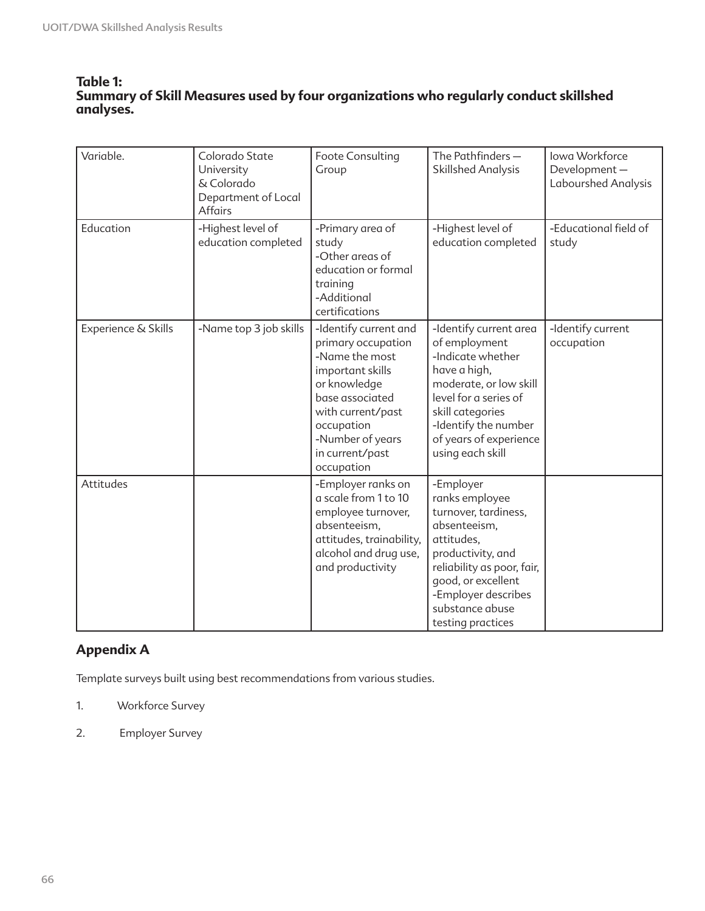### **Table 1: Summary of Skill Measures used by four organizations who regularly conduct skillshed analyses.**

| Variable.           | Colorado State<br>University<br>& Colorado<br>Department of Local<br><b>Affairs</b> | Foote Consulting<br>Group                                                                                                                                                                                    | The Pathfinders-<br><b>Skillshed Analysis</b>                                                                                                                                                                             | Iowa Workforce<br>Development-<br>Labourshed Analysis |
|---------------------|-------------------------------------------------------------------------------------|--------------------------------------------------------------------------------------------------------------------------------------------------------------------------------------------------------------|---------------------------------------------------------------------------------------------------------------------------------------------------------------------------------------------------------------------------|-------------------------------------------------------|
| Education           | -Highest level of<br>education completed                                            | -Primary area of<br>study<br>-Other areas of<br>education or formal<br>training<br>-Additional<br>certifications                                                                                             | -Highest level of<br>education completed                                                                                                                                                                                  | -Educational field of<br>study                        |
| Experience & Skills | -Name top 3 job skills                                                              | -Identify current and<br>primary occupation<br>-Name the most<br>important skills<br>or knowledge<br>base associated<br>with current/past<br>occupation<br>-Number of years<br>in current/past<br>occupation | -Identify current area<br>of employment<br>-Indicate whether<br>have a high,<br>moderate, or low skill<br>level for a series of<br>skill categories<br>-Identify the number<br>of years of experience<br>using each skill | -Identify current<br>occupation                       |
| Attitudes           |                                                                                     | -Employer ranks on<br>a scale from 1 to 10<br>employee turnover,<br>absenteeism,<br>attitudes, trainability,<br>alcohol and drug use,<br>and productivity                                                    | -Employer<br>ranks employee<br>turnover, tardiness,<br>absenteeism,<br>attitudes,<br>productivity, and<br>reliability as poor, fair,<br>good, or excellent<br>-Employer describes<br>substance abuse<br>testing practices |                                                       |

## **Appendix A**

Template surveys built using best recommendations from various studies.

- 1. Workforce Survey
- 2. Employer Survey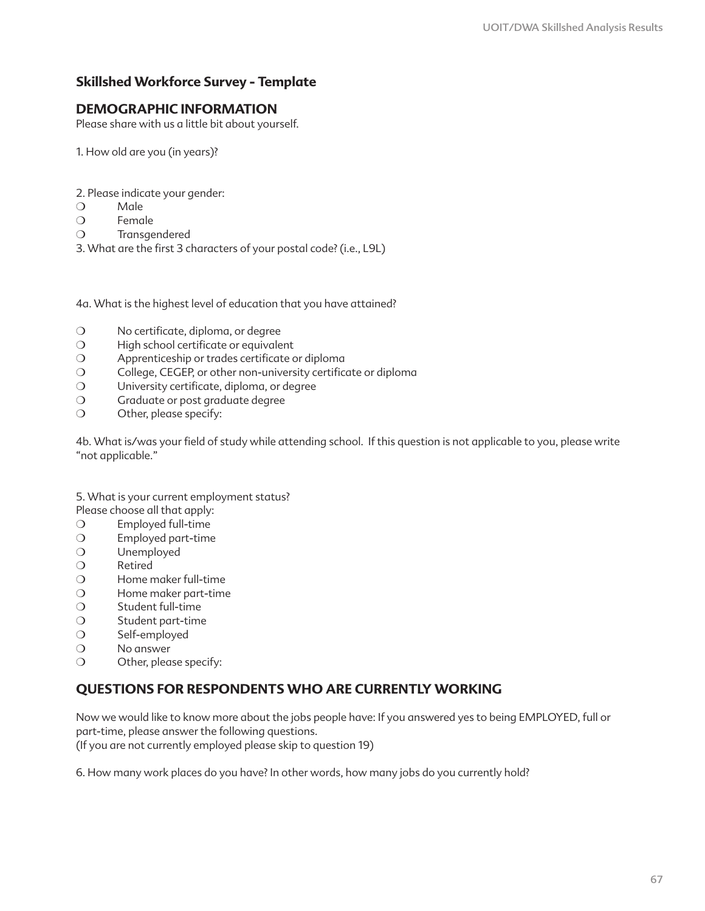## **Skillshed Workforce Survey - Template**

### **DEMOGRAPHIC INFORMATION**

Please share with us a little bit about yourself.

1. How old are you (in years)?

- 2. Please indicate your gender:
- ❍ Male
- ❍ Female
- ❍ Transgendered
- 3. What are the first 3 characters of your postal code? (i.e., L9L)

4a. What is the highest level of education that you have attained?

- ❍ No certificate, diploma, or degree
- ❍ High school certificate or equivalent
- ❍ Apprenticeship or trades certificate or diploma
- ❍ College, CEGEP, or other non-university certificate or diploma
- ❍ University certificate, diploma, or degree
- ❍ Graduate or post graduate degree
- ❍ Other, please specify:

4b. What is/was your field of study while attending school. If this question is not applicable to you, please write "not applicable."

5. What is your current employment status?

- Please choose all that apply:
- ❍ Employed full-time
- ❍ Employed part-time
- ❍ Unemployed
- ❍ Retired
- ❍ Home maker full-time
- ❍ Home maker part-time
- ❍ Student full-time
- ❍ Student part-time
- ❍ Self-employed
- ❍ No answer
- ❍ Other, please specify:

### **QUESTIONS FOR RESPONDENTS WHO ARE CURRENTLY WORKING**

Now we would like to know more about the jobs people have: If you answered yes to being EMPLOYED, full or part-time, please answer the following questions.

(If you are not currently employed please skip to question 19)

6. How many work places do you have? In other words, how many jobs do you currently hold?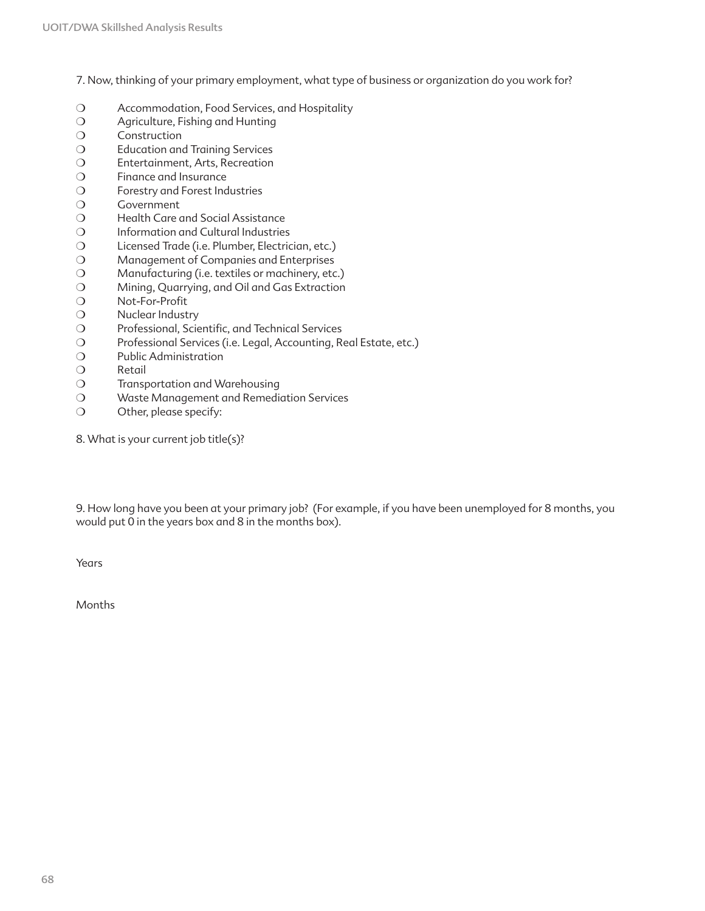7. Now, thinking of your primary employment, what type of business or organization do you work for?

- ❍ Accommodation, Food Services, and Hospitality
- ❍ Agriculture, Fishing and Hunting
- ❍ Construction
- ❍ Education and Training Services
- ❍ Entertainment, Arts, Recreation
- ❍ Finance and Insurance
- ❍ Forestry and Forest Industries
- ❍ Government
- O Health Care and Social Assistance
- ❍ Information and Cultural Industries
- ❍ Licensed Trade (i.e. Plumber, Electrician, etc.)
- ❍ Management of Companies and Enterprises
- ❍ Manufacturing (i.e. textiles or machinery, etc.)
- ❍ Mining, Quarrying, and Oil and Gas Extraction
- ❍ Not-For-Profit
- ❍ Nuclear Industry
- ❍ Professional, Scientific, and Technical Services
- ❍ Professional Services (i.e. Legal, Accounting, Real Estate, etc.)
- ❍ Public Administration
- ❍ Retail
- ❍ Transportation and Warehousing
- ❍ Waste Management and Remediation Services
- ❍ Other, please specify:
- 8. What is your current job title(s)?

9. How long have you been at your primary job? (For example, if you have been unemployed for 8 months, you would put 0 in the years box and 8 in the months box).

Years

Months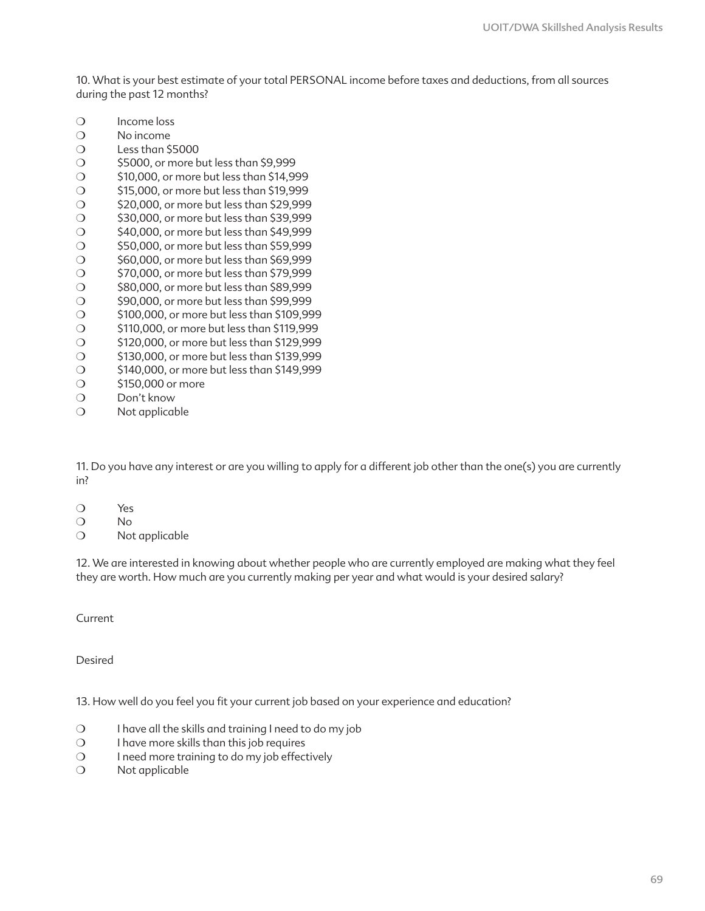10. What is your best estimate of your total PERSONAL income before taxes and deductions, from all sources during the past 12 months?

- ❍ Income loss
- ❍ No income
- ❍ Less than \$5000
- ❍ \$5000, or more but less than \$9,999
- ❍ \$10,000, or more but less than \$14,999
- ❍ \$15,000, or more but less than \$19,999
- ❍ \$20,000, or more but less than \$29,999
- ❍ \$30,000, or more but less than \$39,999
- ❍ \$40,000, or more but less than \$49,999
- ❍ \$50,000, or more but less than \$59,999
- ❍ \$60,000, or more but less than \$69,999
- ❍ \$70,000, or more but less than \$79,999
- ❍ \$80,000, or more but less than \$89,999
- ❍ \$90,000, or more but less than \$99,999
- ❍ \$100,000, or more but less than \$109,999
- ❍ \$110,000, or more but less than \$119,999 ❍ \$120,000, or more but less than \$129,999
- ❍ \$130,000, or more but less than \$139,999
- ❍ \$140,000, or more but less than \$149,999
- ❍ \$150,000 or more
- ❍ Don't know
- 
- ❍ Not applicable

11. Do you have any interest or are you willing to apply for a different job other than the one(s) you are currently in?

- ❍ Yes
- ❍ No
- ❍ Not applicable

12. We are interested in knowing about whether people who are currently employed are making what they feel they are worth. How much are you currently making per year and what would is your desired salary?

Current

Desired

13. How well do you feel you fit your current job based on your experience and education?

- ❍ I have all the skills and training I need to do my job
- ❍ I have more skills than this job requires
- ❍ I need more training to do my job effectively
- ❍ Not applicable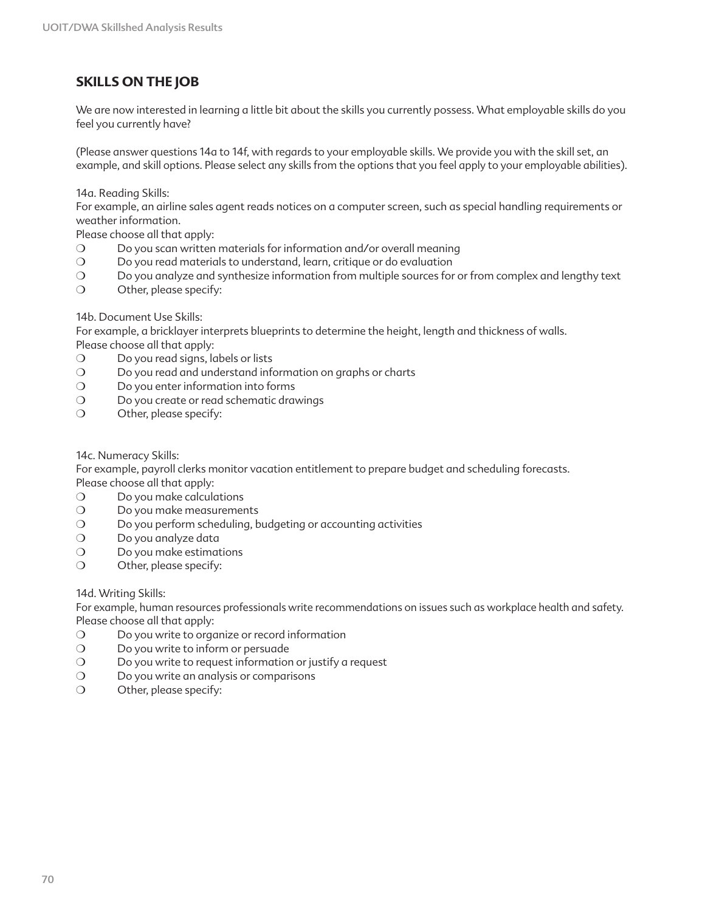## **SKILLS ON THE JOB**

We are now interested in learning a little bit about the skills you currently possess. What employable skills do you feel you currently have?

(Please answer questions 14a to 14f, with regards to your employable skills. We provide you with the skill set, an example, and skill options. Please select any skills from the options that you feel apply to your employable abilities).

14a. Reading Skills:

For example, an airline sales agent reads notices on a computer screen, such as special handling requirements or weather information.

Please choose all that apply:

- ❍ Do you scan written materials for information and/or overall meaning
- ❍ Do you read materials to understand, learn, critique or do evaluation
- ❍ Do you analyze and synthesize information from multiple sources for or from complex and lengthy text
- ❍ Other, please specify:

14b. Document Use Skills:

For example, a bricklayer interprets blueprints to determine the height, length and thickness of walls. Please choose all that apply:

- ❍ Do you read signs, labels or lists
- ❍ Do you read and understand information on graphs or charts
- ❍ Do you enter information into forms
- O Do you create or read schematic drawings
- ❍ Other, please specify:

14c. Numeracy Skills:

For example, payroll clerks monitor vacation entitlement to prepare budget and scheduling forecasts. Please choose all that apply:

- ❍ Do you make calculations
- O Do you make measurements
- ❍ Do you perform scheduling, budgeting or accounting activities
- ❍ Do you analyze data
- ❍ Do you make estimations
- ❍ Other, please specify:

14d. Writing Skills:

For example, human resources professionals write recommendations on issues such as workplace health and safety. Please choose all that apply:

- ❍ Do you write to organize or record information
- ❍ Do you write to inform or persuade
- ❍ Do you write to request information or justify a request
- ❍ Do you write an analysis or comparisons
- ❍ Other, please specify: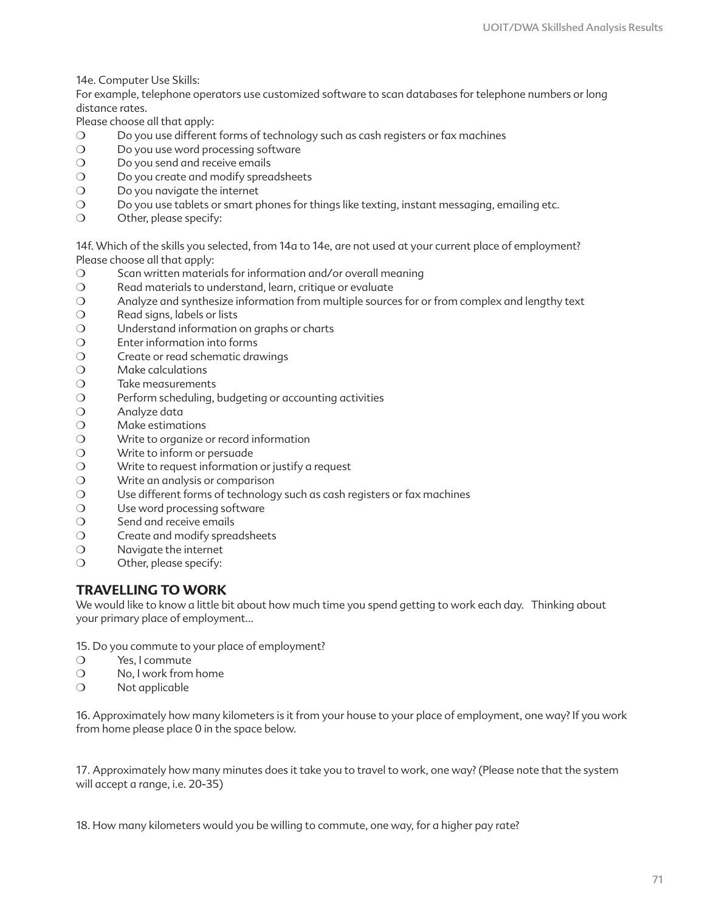14e. Computer Use Skills:

For example, telephone operators use customized software to scan databases for telephone numbers or long distance rates.

Please choose all that apply:

- ❍ Do you use different forms of technology such as cash registers or fax machines
- O Do you use word processing software
- ❍ Do you send and receive emails
- O Do you create and modify spreadsheets
- ❍ Do you navigate the internet
- ❍ Do you use tablets or smart phones for things like texting, instant messaging, emailing etc.
- ❍ Other, please specify:

14f. Which of the skills you selected, from 14a to 14e, are not used at your current place of employment? Please choose all that apply:

- ❍ Scan written materials for information and/or overall meaning
- ❍ Read materials to understand, learn, critique or evaluate
- ❍ Analyze and synthesize information from multiple sources for or from complex and lengthy text
- ❍ Read signs, labels or lists
- ❍ Understand information on graphs or charts
- ❍ Enter information into forms
- ❍ Create or read schematic drawings
- ❍ Make calculations
- ❍ Take measurements
- ❍ Perform scheduling, budgeting or accounting activities
- ❍ Analyze data
- ❍ Make estimations
- ❍ Write to organize or record information
- ❍ Write to inform or persuade
- ❍ Write to request information or justify a request
- ❍ Write an analysis or comparison
- ❍ Use different forms of technology such as cash registers or fax machines
- O Use word processing software
- ❍ Send and receive emails
- ❍ Create and modify spreadsheets
- ❍ Navigate the internet
- ❍ Other, please specify:

### **TRAVELLING TO WORK**

We would like to know a little bit about how much time you spend getting to work each day. Thinking about your primary place of employment…

15. Do you commute to your place of employment?

- ❍ Yes, I commute
- ❍ No, I work from home
- ❍ Not applicable

16. Approximately how many kilometers is it from your house to your place of employment, one way? If you work from home please place 0 in the space below.

17. Approximately how many minutes does it take you to travel to work, one way? (Please note that the system will accept a range, i.e. 20-35)

18. How many kilometers would you be willing to commute, one way, for a higher pay rate?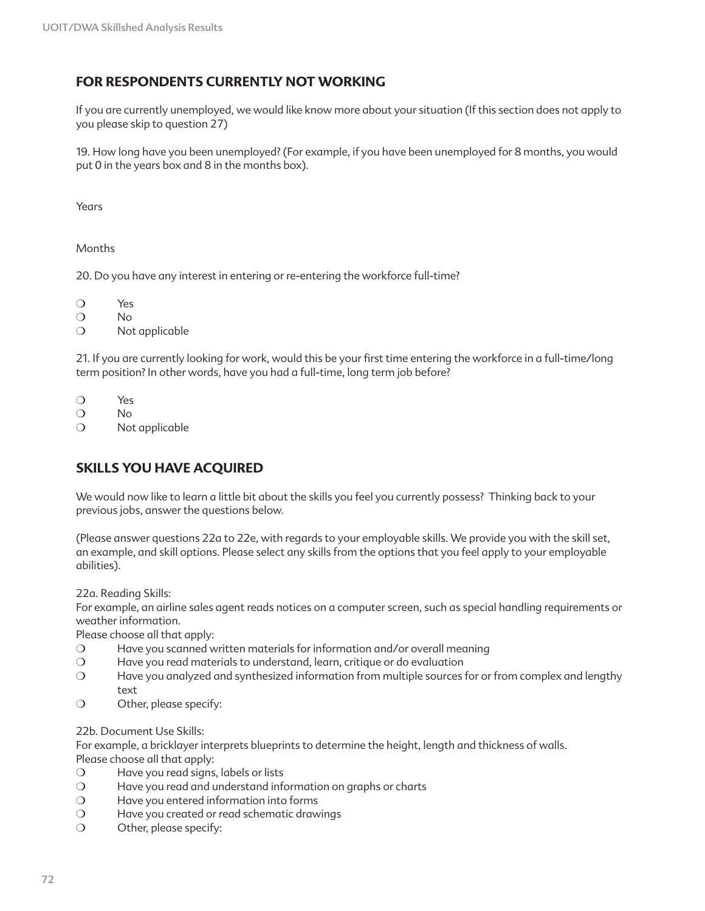### **FOR RESPONDENTS CURRENTLY NOT WORKING**

If you are currently unemployed, we would like know more about your situation (If this section does not apply to you please skip to question 27)

19. How long have you been unemployed? (For example, if you have been unemployed for 8 months, you would put 0 in the years box and 8 in the months box).

Years

Months

20. Do you have any interest in entering or re-entering the workforce full-time?

❍ Yes

❍ No

❍ Not applicable

21. If you are currently looking for work, would this be your first time entering the workforce in a full-time/long term position? In other words, have you had a full-time, long term job before?

❍ Yes

❍ No

❍ Not applicable

### **SKILLS YOU HAVE ACQUIRED**

We would now like to learn a little bit about the skills you feel you currently possess? Thinking back to your previous jobs, answer the questions below.

(Please answer questions 22a to 22e, with regards to your employable skills. We provide you with the skill set, an example, and skill options. Please select any skills from the options that you feel apply to your employable abilities).

22a. Reading Skills:

For example, an airline sales agent reads notices on a computer screen, such as special handling requirements or weather information.

Please choose all that apply:

- ❍ Have you scanned written materials for information and/or overall meaning
- ❍ Have you read materials to understand, learn, critique or do evaluation
- ❍ Have you analyzed and synthesized information from multiple sources for or from complex and lengthy text
- ❍ Other, please specify:

22b. Document Use Skills:

For example, a bricklayer interprets blueprints to determine the height, length and thickness of walls. Please choose all that apply:

- ❍ Have you read signs, labels or lists
- ❍ Have you read and understand information on graphs or charts
- ❍ Have you entered information into forms
- ❍ Have you created or read schematic drawings
- ❍ Other, please specify: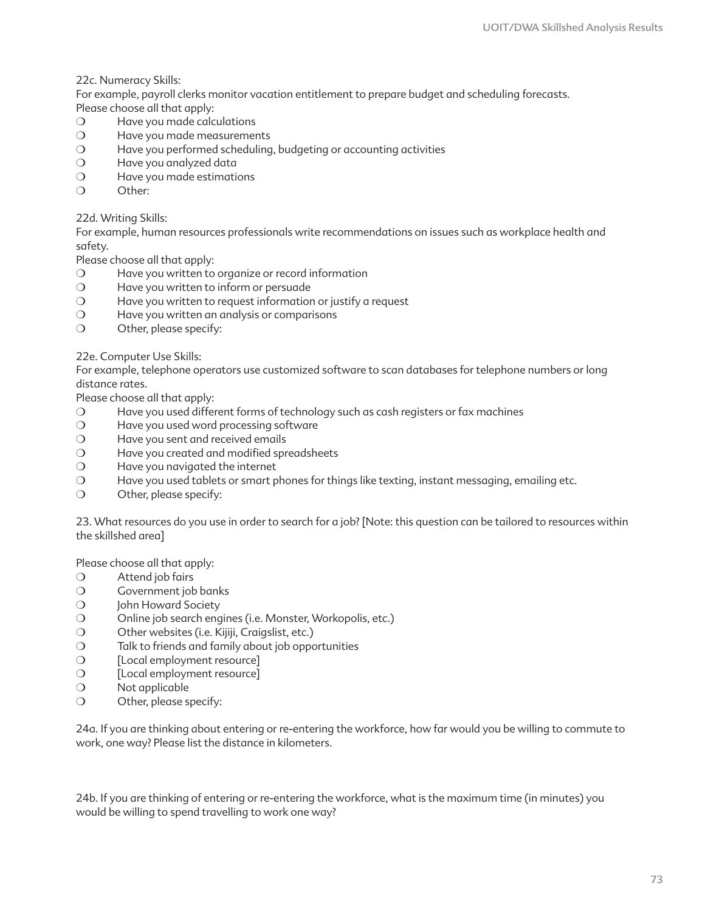22c. Numeracy Skills:

For example, payroll clerks monitor vacation entitlement to prepare budget and scheduling forecasts. Please choose all that apply:

- ❍ Have you made calculations
- ❍ Have you made measurements
- ❍ Have you performed scheduling, budgeting or accounting activities
- ❍ Have you analyzed data
- ❍ Have you made estimations
- ❍ Other:

#### 22d. Writing Skills:

For example, human resources professionals write recommendations on issues such as workplace health and safety.

Please choose all that apply:

- ❍ Have you written to organize or record information
- ❍ Have you written to inform or persuade
- ❍ Have you written to request information or justify a request
- ❍ Have you written an analysis or comparisons
- ❍ Other, please specify:

#### 22e. Computer Use Skills:

For example, telephone operators use customized software to scan databases for telephone numbers or long distance rates.

Please choose all that apply:

- ❍ Have you used different forms of technology such as cash registers or fax machines
- ❍ Have you used word processing software
- ❍ Have you sent and received emails
- ❍ Have you created and modified spreadsheets
- ❍ Have you navigated the internet
- ❍ Have you used tablets or smart phones for things like texting, instant messaging, emailing etc.
- ❍ Other, please specify:

23. What resources do you use in order to search for a job? [Note: this question can be tailored to resources within the skillshed area]

Please choose all that apply:

- ❍ Attend job fairs
- ❍ Government job banks
- O John Howard Society
- ❍ Online job search engines (i.e. Monster, Workopolis, etc.)
- O Other websites (i.e. Kijiji, Craigslist, etc.)
- ❍ Talk to friends and family about job opportunities
- ❍ [Local employment resource]
- ❍ [Local employment resource]
- ❍ Not applicable
- ❍ Other, please specify:

24a. If you are thinking about entering or re-entering the workforce, how far would you be willing to commute to work, one way? Please list the distance in kilometers.

24b. If you are thinking of entering or re-entering the workforce, what is the maximum time (in minutes) you would be willing to spend travelling to work one way?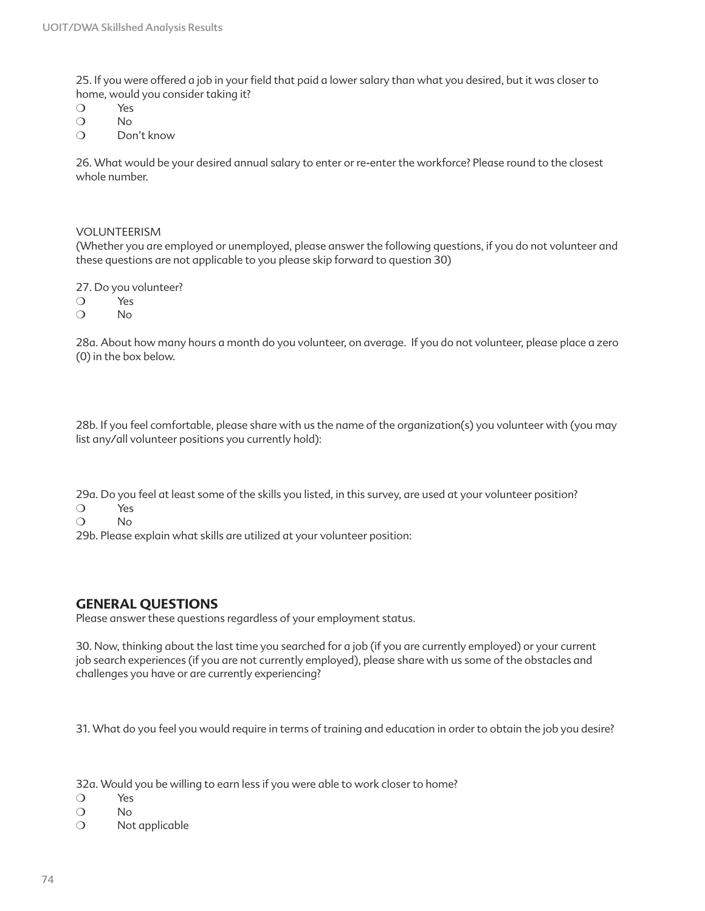25. If you were offered a job in your field that paid a lower salary than what you desired, but it was closer to home, would you consider taking it?

- ❍ Yes
- ❍ No
- ❍ Don't know

26. What would be your desired annual salary to enter or re-enter the workforce? Please round to the closest whole number.

#### VOLUNTEERISM

(Whether you are employed or unemployed, please answer the following questions, if you do not volunteer and these questions are not applicable to you please skip forward to question 30)

27. Do you volunteer?

- ❍ Yes
- ❍ No

28a. About how many hours a month do you volunteer, on average. If you do not volunteer, please place a zero (0) in the box below.

28b. If you feel comfortable, please share with us the name of the organization(s) you volunteer with (you may list any/all volunteer positions you currently hold):

29a. Do you feel at least some of the skills you listed, in this survey, are used at your volunteer position?

- ❍ Yes
- ❍ No

29b. Please explain what skills are utilized at your volunteer position:

### **GENERAL QUESTIONS**

Please answer these questions regardless of your employment status.

30. Now, thinking about the last time you searched for a job (if you are currently employed) or your current job search experiences (if you are not currently employed), please share with us some of the obstacles and challenges you have or are currently experiencing?

31. What do you feel you would require in terms of training and education in order to obtain the job you desire?

32a. Would you be willing to earn less if you were able to work closer to home?

- ❍ Yes
- ❍ No
- ❍ Not applicable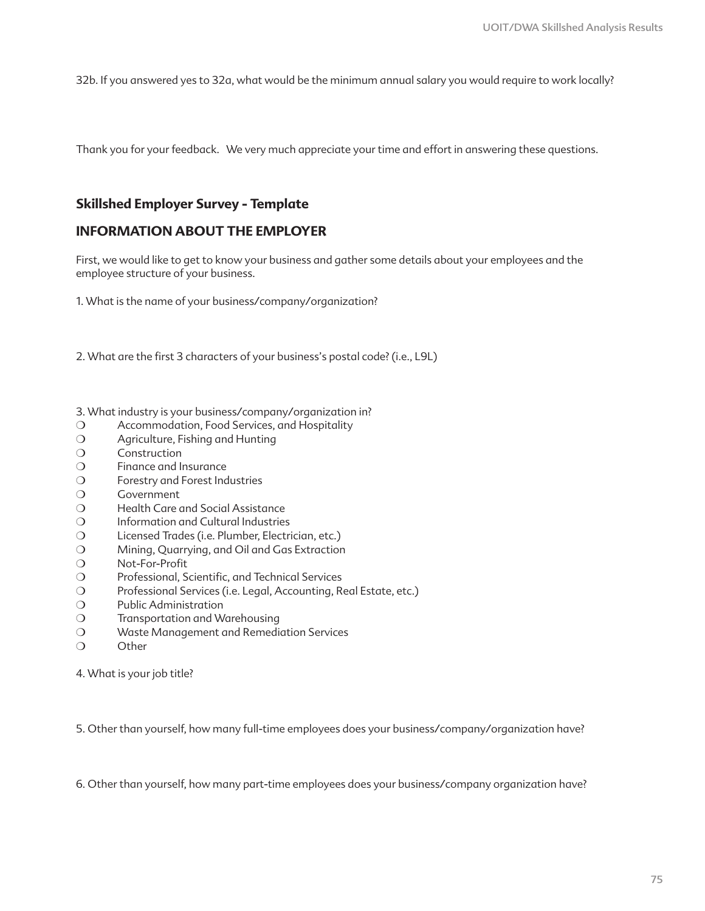32b. If you answered yes to 32a, what would be the minimum annual salary you would require to work locally?

Thank you for your feedback. We very much appreciate your time and effort in answering these questions.

### **Skillshed Employer Survey - Template**

### **INFORMATION ABOUT THE EMPLOYER**

First, we would like to get to know your business and gather some details about your employees and the employee structure of your business.

1. What is the name of your business/company/organization?

2. What are the first 3 characters of your business's postal code? (i.e., L9L)

- 3. What industry is your business/company/organization in?
- ❍ Accommodation, Food Services, and Hospitality
- ❍ Agriculture, Fishing and Hunting
- ❍ Construction
- ❍ Finance and Insurance
- ❍ Forestry and Forest Industries
- ❍ Government
- ❍ Health Care and Social Assistance
- ❍ Information and Cultural Industries
- ❍ Licensed Trades (i.e. Plumber, Electrician, etc.)
- ❍ Mining, Quarrying, and Oil and Gas Extraction
- ❍ Not-For-Profit
- ❍ Professional, Scientific, and Technical Services
- ❍ Professional Services (i.e. Legal, Accounting, Real Estate, etc.)
- ❍ Public Administration
- ❍ Transportation and Warehousing
- ❍ Waste Management and Remediation Services
- ❍ Other

4. What is your job title?

5. Other than yourself, how many full-time employees does your business/company/organization have?

6. Other than yourself, how many part-time employees does your business/company organization have?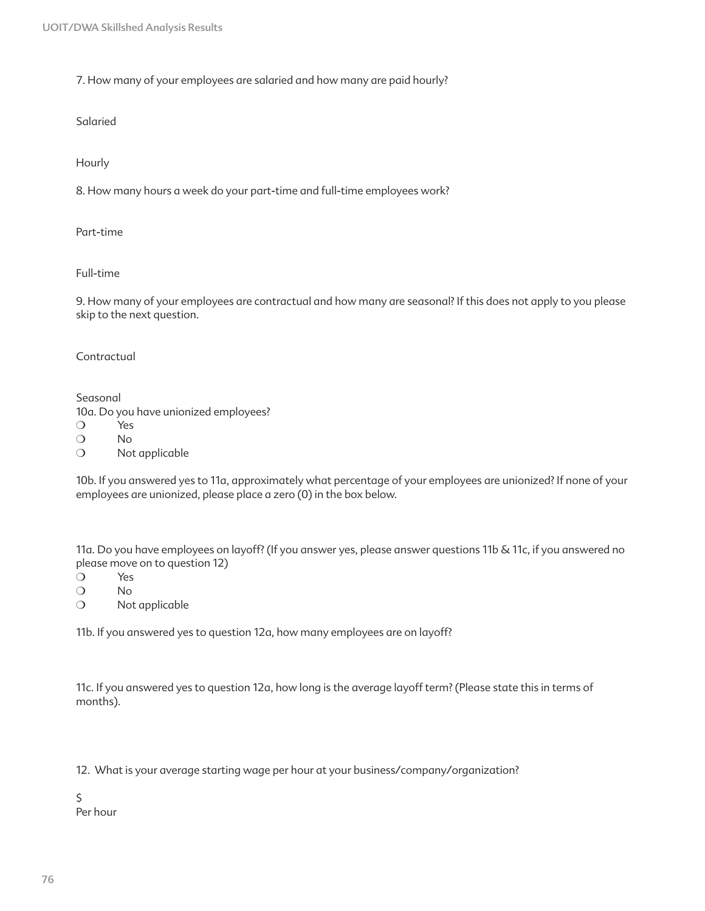7. How many of your employees are salaried and how many are paid hourly?

Salaried

Hourly

8. How many hours a week do your part-time and full-time employees work?

Part-time

Full-time

9. How many of your employees are contractual and how many are seasonal? If this does not apply to you please skip to the next question.

Contractual

Seasonal 10a. Do you have unionized employees? ❍ Yes

❍ No

❍ Not applicable

10b. If you answered yes to 11a, approximately what percentage of your employees are unionized? If none of your employees are unionized, please place a zero (0) in the box below.

11a. Do you have employees on layoff? (If you answer yes, please answer questions 11b & 11c, if you answered no please move on to question 12)

❍ Yes

❍ No

❍ Not applicable

11b. If you answered yes to question 12a, how many employees are on layoff?

11c. If you answered yes to question 12a, how long is the average layoff term? (Please state this in terms of months).

12. What is your average starting wage per hour at your business/company/organization?

 $\zeta$ Per hour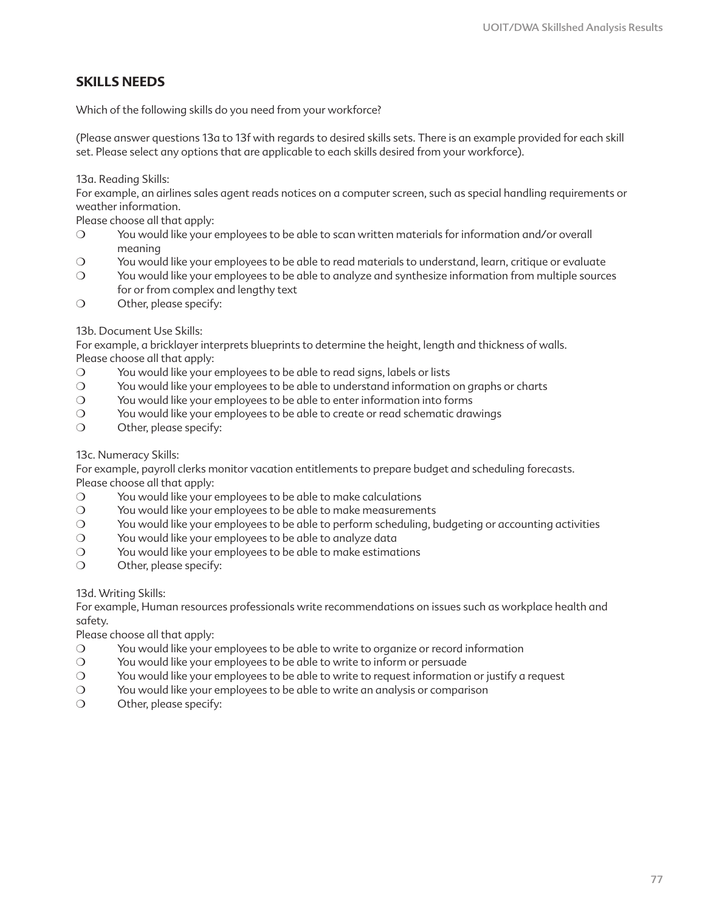# **SKILLS NEEDS**

Which of the following skills do you need from your workforce?

(Please answer questions 13a to 13f with regards to desired skills sets. There is an example provided for each skill set. Please select any options that are applicable to each skills desired from your workforce).

13a. Reading Skills:

For example, an airlines sales agent reads notices on a computer screen, such as special handling requirements or weather information.

Please choose all that apply:

- ❍ You would like your employees to be able to scan written materials for information and/or overall meaning
- ❍ You would like your employees to be able to read materials to understand, learn, critique or evaluate
- ❍ You would like your employees to be able to analyze and synthesize information from multiple sources for or from complex and lengthy text
- ❍ Other, please specify:

### 13b. Document Use Skills:

For example, a bricklayer interprets blueprints to determine the height, length and thickness of walls. Please choose all that apply:

- ❍ You would like your employees to be able to read signs, labels or lists
- ❍ You would like your employees to be able to understand information on graphs or charts
- ❍ You would like your employees to be able to enter information into forms
- ❍ You would like your employees to be able to create or read schematic drawings
- ❍ Other, please specify:

#### 13c. Numeracy Skills:

For example, payroll clerks monitor vacation entitlements to prepare budget and scheduling forecasts. Please choose all that apply:

- ❍ You would like your employees to be able to make calculations
- ❍ You would like your employees to be able to make measurements
- ❍ You would like your employees to be able to perform scheduling, budgeting or accounting activities
- ❍ You would like your employees to be able to analyze data
- ❍ You would like your employees to be able to make estimations
- ❍ Other, please specify:

13d. Writing Skills:

For example, Human resources professionals write recommendations on issues such as workplace health and safety.

Please choose all that apply:

- ❍ You would like your employees to be able to write to organize or record information
- ❍ You would like your employees to be able to write to inform or persuade
- ❍ You would like your employees to be able to write to request information or justify a request
- ❍ You would like your employees to be able to write an analysis or comparison
- ❍ Other, please specify: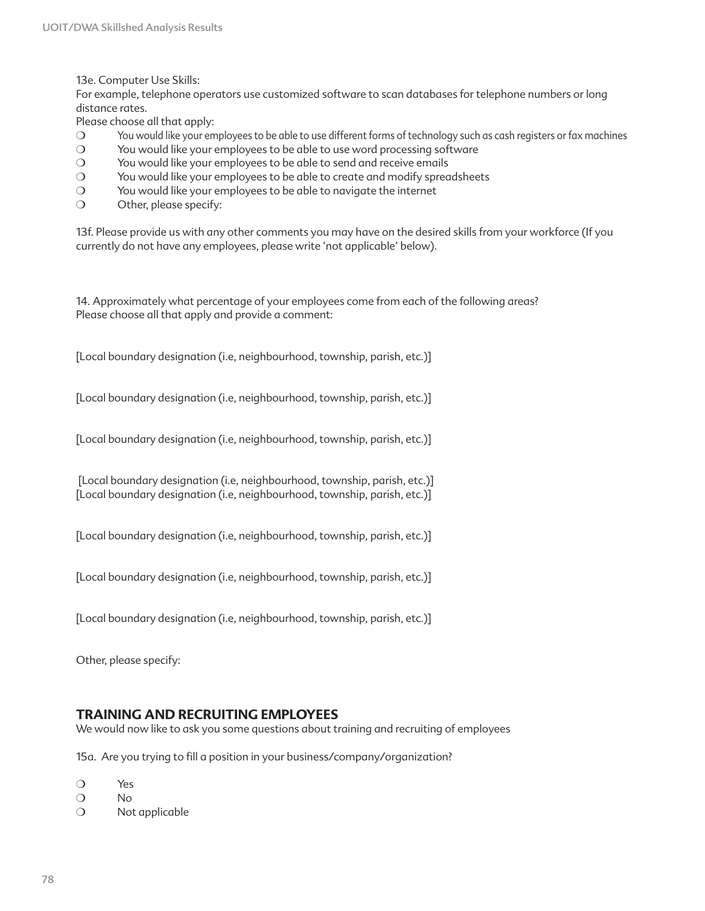13e. Computer Use Skills:

For example, telephone operators use customized software to scan databases for telephone numbers or long distance rates.

Please choose all that apply:

- ❍ You would like your employees to be able to use different forms of technology such as cash registers or fax machines
- ❍ You would like your employees to be able to use word processing software
- ❍ You would like your employees to be able to send and receive emails
- ❍ You would like your employees to be able to create and modify spreadsheets
- ❍ You would like your employees to be able to navigate the internet
- ❍ Other, please specify:

13f. Please provide us with any other comments you may have on the desired skills from your workforce (If you currently do not have any employees, please write 'not applicable' below).

14. Approximately what percentage of your employees come from each of the following areas? Please choose all that apply and provide a comment:

[Local boundary designation (i.e, neighbourhood, township, parish, etc.)]

[Local boundary designation (i.e, neighbourhood, township, parish, etc.)]

[Local boundary designation (i.e, neighbourhood, township, parish, etc.)]

 [Local boundary designation (i.e, neighbourhood, township, parish, etc.)] [Local boundary designation (i.e, neighbourhood, township, parish, etc.)]

[Local boundary designation (i.e, neighbourhood, township, parish, etc.)]

[Local boundary designation (i.e, neighbourhood, township, parish, etc.)]

[Local boundary designation (i.e, neighbourhood, township, parish, etc.)]

Other, please specify:

### **TRAINING AND RECRUITING EMPLOYEES**

We would now like to ask you some questions about training and recruiting of employees

15a. Are you trying to fill a position in your business/company/organization?

- ❍ Yes
- ❍ No
- ❍ Not applicable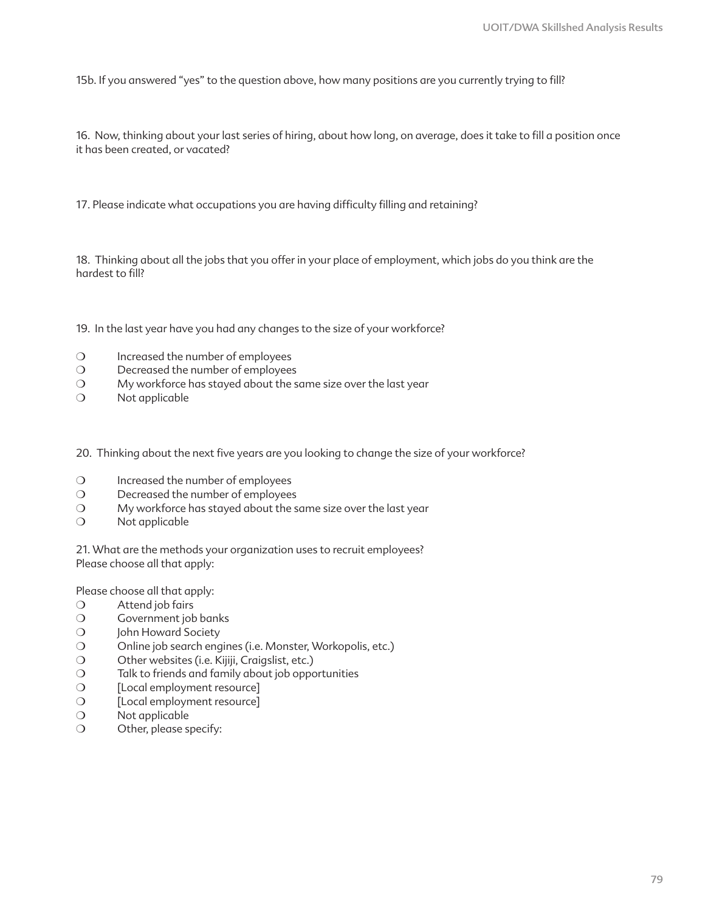15b. If you answered "yes" to the question above, how many positions are you currently trying to fill?

16. Now, thinking about your last series of hiring, about how long, on average, does it take to fill a position once it has been created, or vacated?

17. Please indicate what occupations you are having difficulty filling and retaining?

18. Thinking about all the jobs that you offer in your place of employment, which jobs do you think are the hardest to fill?

19. In the last year have you had any changes to the size of your workforce?

- ❍ Increased the number of employees
- ❍ Decreased the number of employees
- ❍ My workforce has stayed about the same size over the last year
- ❍ Not applicable

20. Thinking about the next five years are you looking to change the size of your workforce?

- ❍ Increased the number of employees
- ❍ Decreased the number of employees
- ❍ My workforce has stayed about the same size over the last year
- ❍ Not applicable

21. What are the methods your organization uses to recruit employees? Please choose all that apply:

Please choose all that apply:

- ❍ Attend job fairs
- ❍ Government job banks
- O John Howard Society
- ❍ Online job search engines (i.e. Monster, Workopolis, etc.)
- O Other websites (i.e. Kijiji, Craigslist, etc.)
- ❍ Talk to friends and family about job opportunities
- ❍ [Local employment resource]
- ❍ [Local employment resource]
- ❍ Not applicable
- ❍ Other, please specify: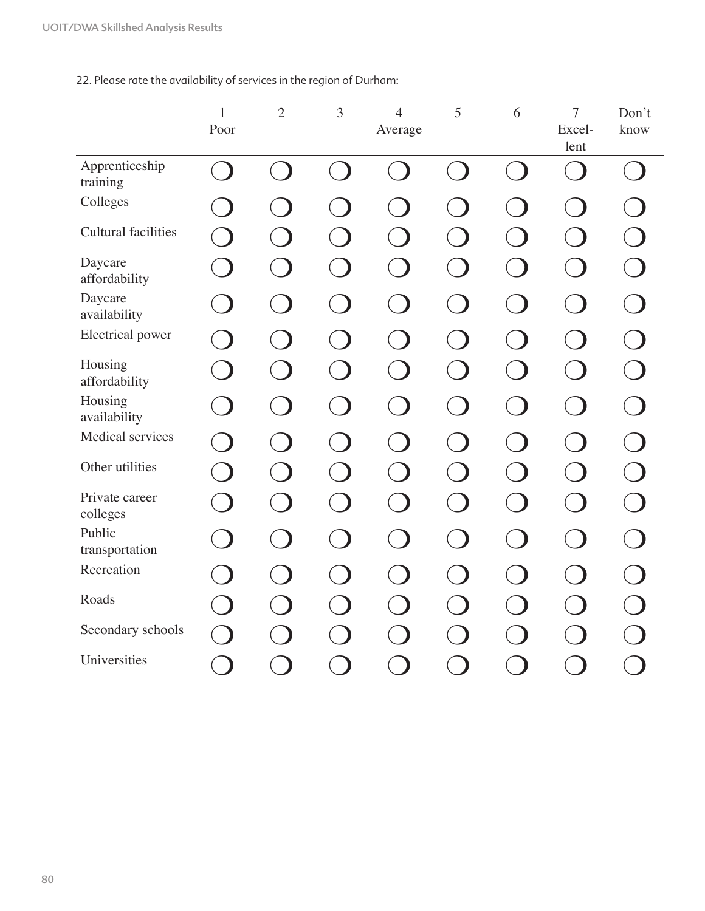22. Please rate the availability of services in the region of Durham:

|                            | $\mathbf{1}$ | $\overline{2}$ | 3                        | $\overline{4}$           | 5                        | 6               | $\overline{7}$           | Don't |
|----------------------------|--------------|----------------|--------------------------|--------------------------|--------------------------|-----------------|--------------------------|-------|
|                            | Poor         |                |                          | Average                  |                          |                 | Excel-<br>lent           | know  |
| Apprenticeship<br>training |              |                |                          |                          |                          | <b>Contract</b> | t.                       |       |
| Colleges                   |              |                |                          |                          |                          |                 |                          |       |
| Cultural facilities        |              |                |                          |                          |                          |                 |                          |       |
| Daycare<br>affordability   |              |                |                          |                          |                          |                 |                          |       |
| Daycare<br>availability    |              |                |                          |                          |                          |                 |                          |       |
| Electrical power           |              |                | $\overline{\phantom{a}}$ |                          |                          |                 | $\Box$                   |       |
| Housing<br>affordability   |              |                | $\overline{\phantom{a}}$ | $\overline{\phantom{a}}$ | $\overline{\phantom{a}}$ | $\Box$          | $\overline{\phantom{a}}$ |       |
| Housing<br>availability    |              |                |                          |                          |                          |                 |                          |       |
| Medical services           |              |                |                          |                          |                          |                 |                          |       |
| Other utilities            |              |                |                          |                          |                          |                 |                          |       |
| Private career<br>colleges |              |                |                          |                          |                          |                 |                          |       |
| Public<br>transportation   |              |                |                          |                          |                          |                 | $\overline{\phantom{0}}$ |       |
| Recreation                 |              |                |                          |                          |                          |                 |                          |       |
| Roads                      |              |                |                          |                          |                          |                 |                          |       |
| Secondary schools          |              |                |                          |                          |                          |                 |                          |       |
| Universities               | <b>D</b>     |                |                          |                          |                          |                 |                          |       |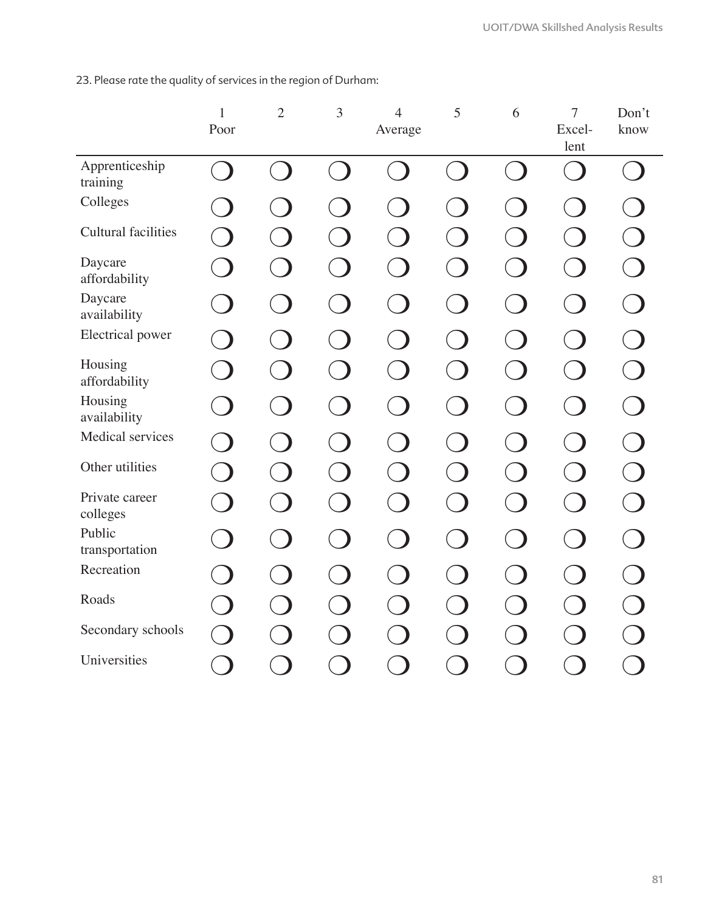23. Please rate the quality of services in the region of Durham:

|                            | $\mathbf{1}$ | $\mathbf{2}$             | 3                        | $\overline{4}$           | 5                        | 6      | $\tau$                   | Don't |
|----------------------------|--------------|--------------------------|--------------------------|--------------------------|--------------------------|--------|--------------------------|-------|
|                            | Poor         |                          |                          | Average                  |                          |        | Excel-<br>lent           | know  |
| Apprenticeship<br>training |              |                          |                          |                          |                          |        |                          |       |
| Colleges                   |              |                          |                          |                          |                          |        |                          |       |
| <b>Cultural facilities</b> |              |                          |                          |                          |                          |        |                          |       |
| Daycare<br>affordability   |              |                          |                          |                          |                          |        |                          |       |
| Daycare<br>availability    |              |                          |                          |                          |                          |        | - 1                      |       |
| Electrical power           |              |                          | <b>D</b>                 |                          | <b>D</b>                 |        | $\Box$                   |       |
| Housing<br>affordability   |              | $\overline{\phantom{a}}$ | $\overline{\phantom{a}}$ | $\overline{\phantom{a}}$ | $\overline{\phantom{a}}$ | $\Box$ | $\overline{\phantom{a}}$ |       |
| Housing<br>availability    |              |                          |                          |                          |                          |        |                          |       |
| Medical services           |              |                          |                          |                          |                          |        |                          |       |
| Other utilities            |              |                          |                          |                          |                          |        |                          |       |
| Private career<br>colleges |              |                          |                          |                          |                          |        |                          |       |
| Public<br>transportation   |              |                          |                          |                          |                          |        | $\blacksquare$           |       |
| Recreation                 |              |                          |                          |                          |                          |        |                          |       |
| Roads                      |              |                          |                          |                          |                          |        |                          |       |
| Secondary schools          |              |                          |                          |                          |                          |        |                          |       |
| Universities               |              |                          |                          |                          |                          |        |                          |       |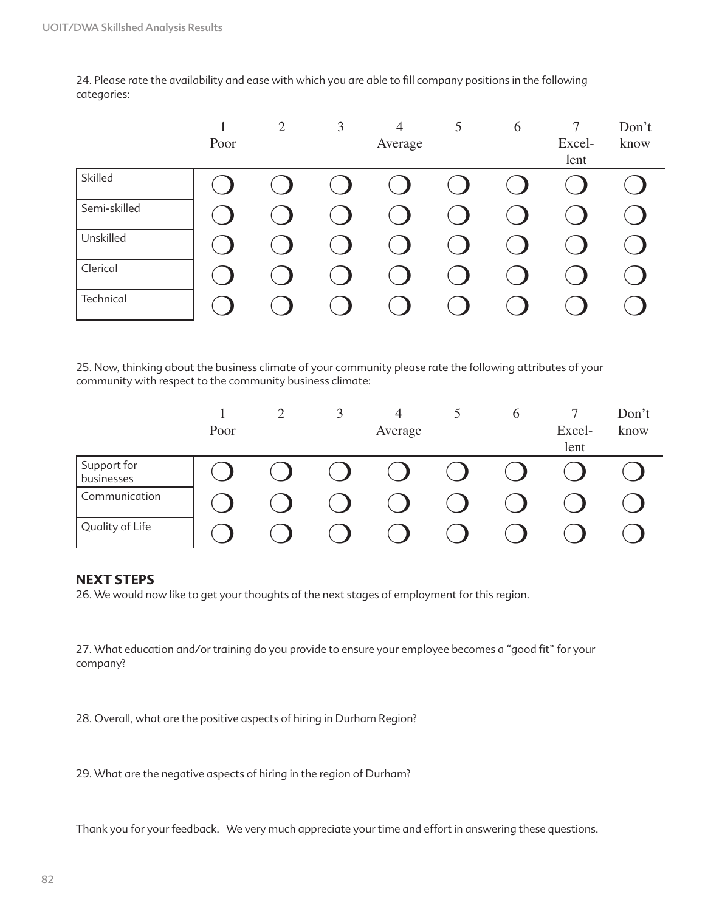24. Please rate the availability and ease with which you are able to fill company positions in the following categories:

|              | Poor | 2 | 3 | $\overline{4}$<br>Average | 5 | 6 | $\overline{7}$<br>Excel- | Don't<br>know |
|--------------|------|---|---|---------------------------|---|---|--------------------------|---------------|
| Skilled      |      |   |   |                           |   |   | lent                     |               |
| Semi-skilled |      |   |   |                           |   |   |                          |               |
| Unskilled    |      |   |   |                           |   |   |                          |               |
| Clerical     |      |   |   |                           |   |   |                          |               |
| Technical    |      |   |   |                           |   |   |                          |               |

25. Now, thinking about the business climate of your community please rate the following attributes of your community with respect to the community business climate:

|                           |      | $\overline{\phantom{0}}$ | J | $\overline{4}$ | 6 |        | Don't |
|---------------------------|------|--------------------------|---|----------------|---|--------|-------|
|                           | Poor |                          |   | Average        |   | Excel- | know  |
|                           |      |                          |   |                |   | lent   |       |
| Support for<br>businesses |      |                          |   |                |   |        |       |
| Communication             |      |                          |   |                |   |        |       |
| Quality of Life           |      |                          |   |                |   |        |       |

### **NEXT STEPS**

26. We would now like to get your thoughts of the next stages of employment for this region.

27. What education and/or training do you provide to ensure your employee becomes a "good fit" for your company?

28. Overall, what are the positive aspects of hiring in Durham Region?

29. What are the negative aspects of hiring in the region of Durham?

Thank you for your feedback. We very much appreciate your time and effort in answering these questions.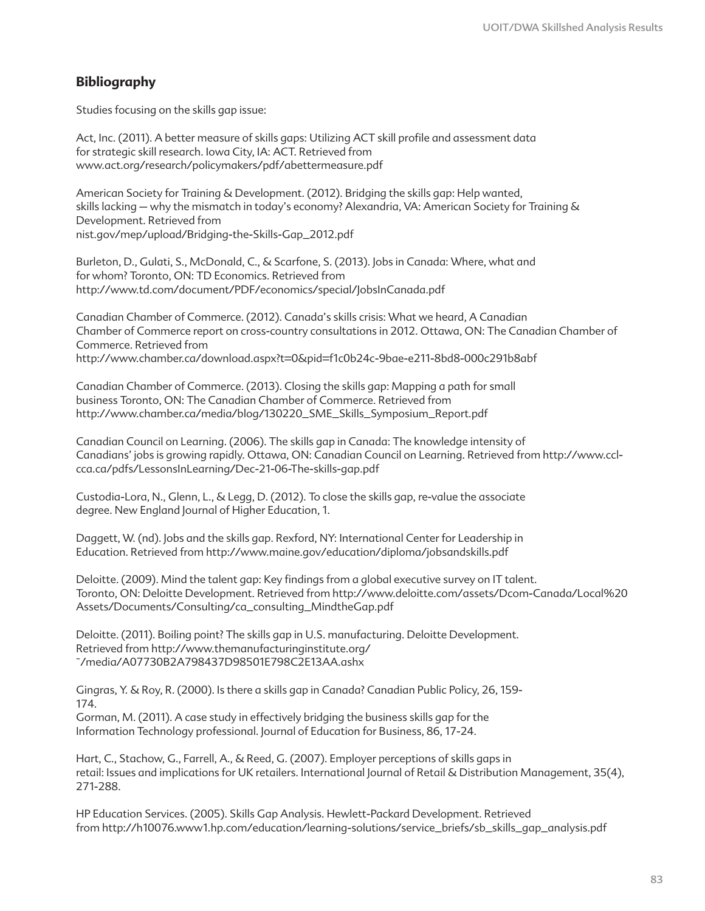# **Bibliography**

Studies focusing on the skills gap issue:

Act, Inc. (2011). A better measure of skills gaps: Utilizing ACT skill profile and assessment data for strategic skill research. Iowa City, IA: ACT. Retrieved from www.act.org/research/policymakers/pdf/abettermeasure.pdf

American Society for Training & Development. (2012). Bridging the skills gap: Help wanted, skills lacking – why the mismatch in today's economy? Alexandria, VA: American Society for Training & Development. Retrieved from nist.gov/mep/upload/Bridging-the-Skills-Gap\_2012.pdf

Burleton, D., Gulati, S., McDonald, C., & Scarfone, S. (2013). Jobs in Canada: Where, what and for whom? Toronto, ON: TD Economics. Retrieved from http://www.td.com/document/PDF/economics/special/JobsInCanada.pdf

Canadian Chamber of Commerce. (2012). Canada's skills crisis: What we heard, A Canadian Chamber of Commerce report on cross-country consultations in 2012. Ottawa, ON: The Canadian Chamber of Commerce. Retrieved from http://www.chamber.ca/download.aspx?t=0&pid=f1c0b24c-9bae-e211-8bd8-000c291b8abf

Canadian Chamber of Commerce. (2013). Closing the skills gap: Mapping a path for small business Toronto, ON: The Canadian Chamber of Commerce. Retrieved from http://www.chamber.ca/media/blog/130220\_SME\_Skills\_Symposium\_Report.pdf

Canadian Council on Learning. (2006). The skills gap in Canada: The knowledge intensity of Canadians' jobs is growing rapidly. Ottawa, ON: Canadian Council on Learning. Retrieved from http://www.cclcca.ca/pdfs/LessonsInLearning/Dec-21-06-The-skills-gap.pdf

Custodia-Lora, N., Glenn, L., & Legg, D. (2012). To close the skills gap, re-value the associate degree. New England Journal of Higher Education, 1.

Daggett, W. (nd). Jobs and the skills gap. Rexford, NY: International Center for Leadership in Education. Retrieved from http://www.maine.gov/education/diploma/jobsandskills.pdf

Deloitte. (2009). Mind the talent gap: Key findings from a global executive survey on IT talent. Toronto, ON: Deloitte Development. Retrieved from http://www.deloitte.com/assets/Dcom-Canada/Local%20 Assets/Documents/Consulting/ca\_consulting\_MindtheGap.pdf

Deloitte. (2011). Boiling point? The skills gap in U.S. manufacturing. Deloitte Development. Retrieved from http://www.themanufacturinginstitute.org/ ~/media/A07730B2A798437D98501E798C2E13AA.ashx

Gingras, Y. & Roy, R. (2000). Is there a skills gap in Canada? Canadian Public Policy, 26, 159- 174.

Gorman, M. (2011). A case study in effectively bridging the business skills gap for the Information Technology professional. Journal of Education for Business, 86, 17-24.

Hart, C., Stachow, G., Farrell, A., & Reed, G. (2007). Employer perceptions of skills gaps in retail: Issues and implications for UK retailers. International Journal of Retail & Distribution Management, 35(4), 271-288.

HP Education Services. (2005). Skills Gap Analysis. Hewlett-Packard Development. Retrieved from http://h10076.www1.hp.com/education/learning-solutions/service\_briefs/sb\_skills\_gap\_analysis.pdf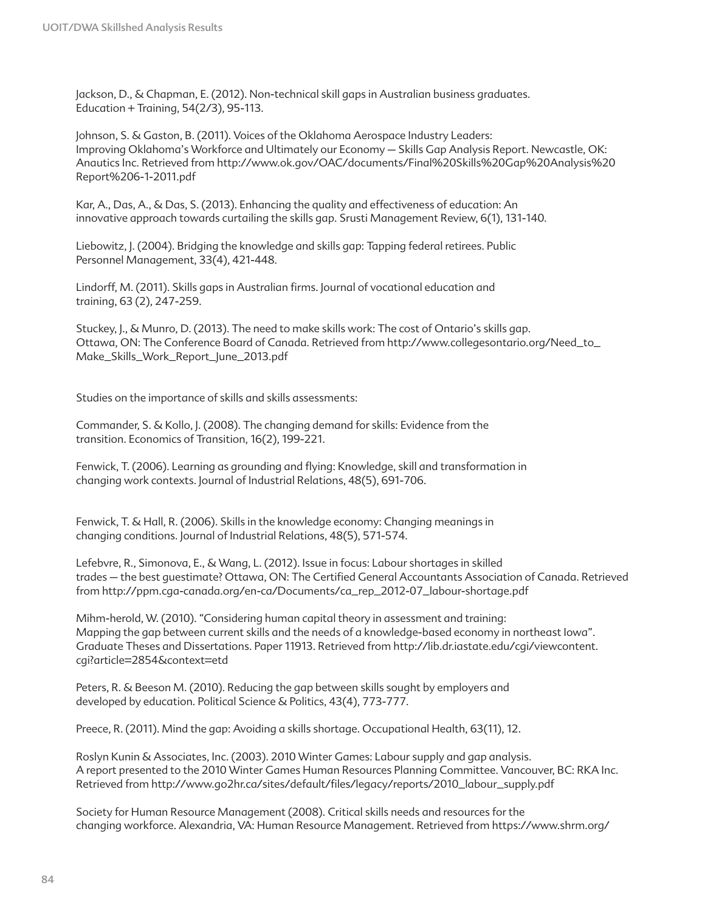Jackson, D., & Chapman, E. (2012). Non-technical skill gaps in Australian business graduates. Education + Training, 54(2/3), 95-113.

Johnson, S. & Gaston, B. (2011). Voices of the Oklahoma Aerospace Industry Leaders: Improving Oklahoma's Workforce and Ultimately our Economy – Skills Gap Analysis Report. Newcastle, OK: Anautics Inc. Retrieved from http://www.ok.gov/OAC/documents/Final%20Skills%20Gap%20Analysis%20 Report%206-1-2011.pdf

Kar, A., Das, A., & Das, S. (2013). Enhancing the quality and effectiveness of education: An innovative approach towards curtailing the skills gap. Srusti Management Review, 6(1), 131-140.

Liebowitz, J. (2004). Bridging the knowledge and skills gap: Tapping federal retirees. Public Personnel Management, 33(4), 421-448.

Lindorff, M. (2011). Skills gaps in Australian firms. Journal of vocational education and training, 63 (2), 247-259.

Stuckey, J., & Munro, D. (2013). The need to make skills work: The cost of Ontario's skills gap. Ottawa, ON: The Conference Board of Canada. Retrieved from http://www.collegesontario.org/Need\_to\_ Make\_Skills\_Work\_Report\_June\_2013.pdf

Studies on the importance of skills and skills assessments:

Commander, S. & Kollo, J. (2008). The changing demand for skills: Evidence from the transition. Economics of Transition, 16(2), 199-221.

Fenwick, T. (2006). Learning as grounding and flying: Knowledge, skill and transformation in changing work contexts. Journal of Industrial Relations, 48(5), 691-706.

Fenwick, T. & Hall, R. (2006). Skills in the knowledge economy: Changing meanings in changing conditions. Journal of Industrial Relations, 48(5), 571-574.

Lefebvre, R., Simonova, E., & Wang, L. (2012). Issue in focus: Labour shortages in skilled trades – the best guestimate? Ottawa, ON: The Certified General Accountants Association of Canada. Retrieved from http://ppm.cga-canada.org/en-ca/Documents/ca\_rep\_2012-07\_labour-shortage.pdf

Mihm-herold, W. (2010). "Considering human capital theory in assessment and training: Mapping the gap between current skills and the needs of a knowledge-based economy in northeast Iowa". Graduate Theses and Dissertations. Paper 11913. Retrieved from http://lib.dr.iastate.edu/cgi/viewcontent. cgi?article=2854&context=etd

Peters, R. & Beeson M. (2010). Reducing the gap between skills sought by employers and developed by education. Political Science & Politics, 43(4), 773-777.

Preece, R. (2011). Mind the gap: Avoiding a skills shortage. Occupational Health, 63(11), 12.

Roslyn Kunin & Associates, Inc. (2003). 2010 Winter Games: Labour supply and gap analysis. A report presented to the 2010 Winter Games Human Resources Planning Committee. Vancouver, BC: RKA Inc. Retrieved from http://www.go2hr.ca/sites/default/files/legacy/reports/2010\_labour\_supply.pdf

Society for Human Resource Management (2008). Critical skills needs and resources for the changing workforce. Alexandria, VA: Human Resource Management. Retrieved from https://www.shrm.org/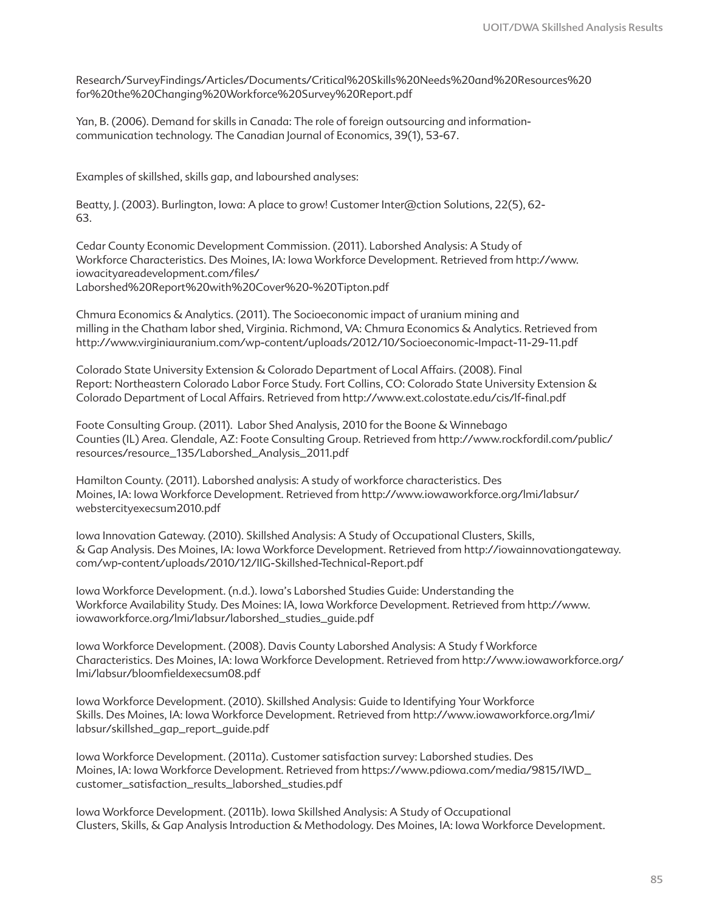Research/SurveyFindings/Articles/Documents/Critical%20Skills%20Needs%20and%20Resources%20 for%20the%20Changing%20Workforce%20Survey%20Report.pdf

Yan, B. (2006). Demand for skills in Canada: The role of foreign outsourcing and informationcommunication technology. The Canadian Journal of Economics, 39(1), 53-67.

Examples of skillshed, skills gap, and labourshed analyses:

Beatty, J. (2003). Burlington, Iowa: A place to grow! Customer Inter@ction Solutions, 22(5), 62- 63.

Cedar County Economic Development Commission. (2011). Laborshed Analysis: A Study of Workforce Characteristics. Des Moines, IA: Iowa Workforce Development. Retrieved from http://www. iowacityareadevelopment.com/files/ Laborshed%20Report%20with%20Cover%20-%20Tipton.pdf

Chmura Economics & Analytics. (2011). The Socioeconomic impact of uranium mining and milling in the Chatham labor shed, Virginia. Richmond, VA: Chmura Economics & Analytics. Retrieved from http://www.virginiauranium.com/wp-content/uploads/2012/10/Socioeconomic-Impact-11-29-11.pdf

Colorado State University Extension & Colorado Department of Local Affairs. (2008). Final Report: Northeastern Colorado Labor Force Study. Fort Collins, CO: Colorado State University Extension & Colorado Department of Local Affairs. Retrieved from http://www.ext.colostate.edu/cis/lf-final.pdf

Foote Consulting Group. (2011). Labor Shed Analysis, 2010 for the Boone & Winnebago Counties (IL) Area. Glendale, AZ: Foote Consulting Group. Retrieved from http://www.rockfordil.com/public/ resources/resource\_135/Laborshed\_Analysis\_2011.pdf

Hamilton County. (2011). Laborshed analysis: A study of workforce characteristics. Des Moines, IA: Iowa Workforce Development. Retrieved from http://www.iowaworkforce.org/lmi/labsur/ webstercityexecsum2010.pdf

Iowa Innovation Gateway. (2010). Skillshed Analysis: A Study of Occupational Clusters, Skills, & Gap Analysis. Des Moines, IA: Iowa Workforce Development. Retrieved from http://iowainnovationgateway. com/wp-content/uploads/2010/12/IIG-Skillshed-Technical-Report.pdf

Iowa Workforce Development. (n.d.). Iowa's Laborshed Studies Guide: Understanding the Workforce Availability Study. Des Moines: IA, Iowa Workforce Development. Retrieved from http://www. iowaworkforce.org/lmi/labsur/laborshed\_studies\_guide.pdf

Iowa Workforce Development. (2008). Davis County Laborshed Analysis: A Study f Workforce Characteristics. Des Moines, IA: Iowa Workforce Development. Retrieved from http://www.iowaworkforce.org/ lmi/labsur/bloomfieldexecsum08.pdf

Iowa Workforce Development. (2010). Skillshed Analysis: Guide to Identifying Your Workforce Skills. Des Moines, IA: Iowa Workforce Development. Retrieved from http://www.iowaworkforce.org/lmi/ labsur/skillshed\_gap\_report\_guide.pdf

Iowa Workforce Development. (2011a). Customer satisfaction survey: Laborshed studies. Des Moines, IA: Iowa Workforce Development. Retrieved from https://www.pdiowa.com/media/9815/IWD\_ customer\_satisfaction\_results\_laborshed\_studies.pdf

Iowa Workforce Development. (2011b). Iowa Skillshed Analysis: A Study of Occupational Clusters, Skills, & Gap Analysis Introduction & Methodology. Des Moines, IA: Iowa Workforce Development.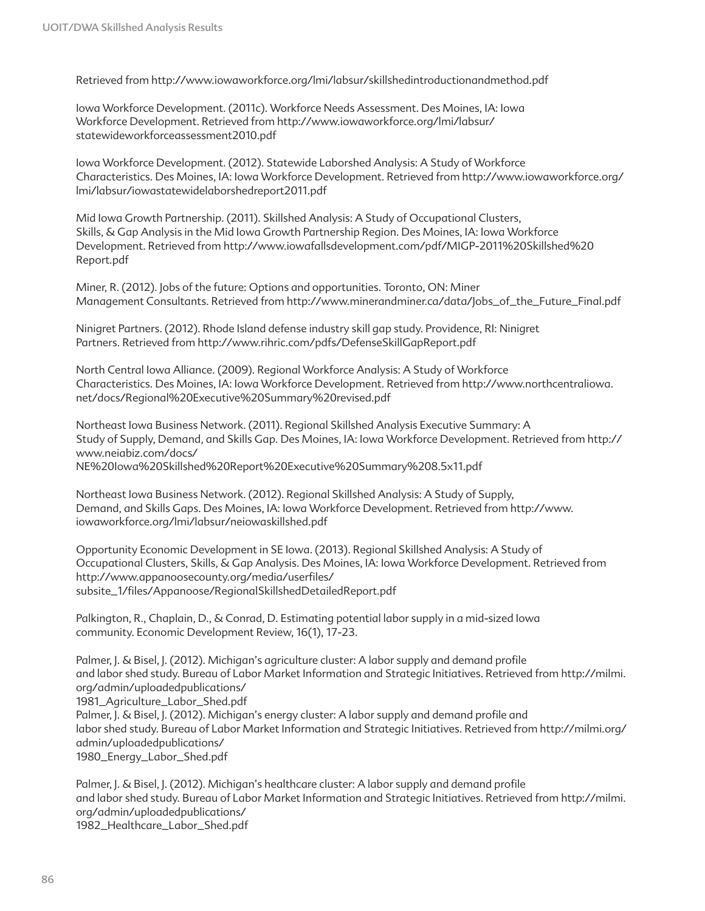Retrieved from http://www.iowaworkforce.org/lmi/labsur/skillshedintroductionandmethod.pdf

Iowa Workforce Development. (2011c). Workforce Needs Assessment. Des Moines, IA: Iowa Workforce Development. Retrieved from http://www.iowaworkforce.org/lmi/labsur/ statewideworkforceassessment2010.pdf

Iowa Workforce Development. (2012). Statewide Laborshed Analysis: A Study of Workforce Characteristics. Des Moines, IA: Iowa Workforce Development. Retrieved from http://www.iowaworkforce.org/ lmi/labsur/iowastatewidelaborshedreport2011.pdf

Mid Iowa Growth Partnership. (2011). Skillshed Analysis: A Study of Occupational Clusters, Skills, & Gap Analysis in the Mid Iowa Growth Partnership Region. Des Moines, IA: Iowa Workforce Development. Retrieved from http://www.iowafallsdevelopment.com/pdf/MIGP-2011%20Skillshed%20 Report.pdf

Miner, R. (2012). Jobs of the future: Options and opportunities. Toronto, ON: Miner Management Consultants. Retrieved from http://www.minerandminer.ca/data/Jobs\_of\_the\_Future\_Final.pdf

Ninigret Partners. (2012). Rhode Island defense industry skill gap study. Providence, RI: Ninigret Partners. Retrieved from http://www.rihric.com/pdfs/DefenseSkillGapReport.pdf

North Central Iowa Alliance. (2009). Regional Workforce Analysis: A Study of Workforce Characteristics. Des Moines, IA: Iowa Workforce Development. Retrieved from http://www.northcentraliowa. net/docs/Regional%20Executive%20Summary%20revised.pdf

Northeast Iowa Business Network. (2011). Regional Skillshed Analysis Executive Summary: A Study of Supply, Demand, and Skills Gap. Des Moines, IA: Iowa Workforce Development. Retrieved from http:// www.neiabiz.com/docs/ NE%20Iowa%20Skillshed%20Report%20Executive%20Summary%208.5x11.pdf

Northeast Iowa Business Network. (2012). Regional Skillshed Analysis: A Study of Supply, Demand, and Skills Gaps. Des Moines, IA: Iowa Workforce Development. Retrieved from http://www. iowaworkforce.org/lmi/labsur/neiowaskillshed.pdf

Opportunity Economic Development in SE Iowa. (2013). Regional Skillshed Analysis: A Study of Occupational Clusters, Skills, & Gap Analysis. Des Moines, IA: Iowa Workforce Development. Retrieved from http://www.appanoosecounty.org/media/userfiles/ subsite\_1/files/Appanoose/RegionalSkillshedDetailedReport.pdf

Palkington, R., Chaplain, D., & Conrad, D. Estimating potential labor supply in a mid-sized Iowa community. Economic Development Review, 16(1), 17-23.

Palmer, J. & Bisel, J. (2012). Michigan's agriculture cluster: A labor supply and demand profile and labor shed study. Bureau of Labor Market Information and Strategic Initiatives. Retrieved from http://milmi. org/admin/uploadedpublications/ 1981\_Agriculture\_Labor\_Shed.pdf Palmer, J. & Bisel, J. (2012). Michigan's energy cluster: A labor supply and demand profile and labor shed study. Bureau of Labor Market Information and Strategic Initiatives. Retrieved from http://milmi.org/ admin/uploadedpublications/ 1980\_Energy\_Labor\_Shed.pdf

Palmer, J. & Bisel, J. (2012). Michigan's healthcare cluster: A labor supply and demand profile and labor shed study. Bureau of Labor Market Information and Strategic Initiatives. Retrieved from http://milmi. org/admin/uploadedpublications/ 1982\_Healthcare\_Labor\_Shed.pdf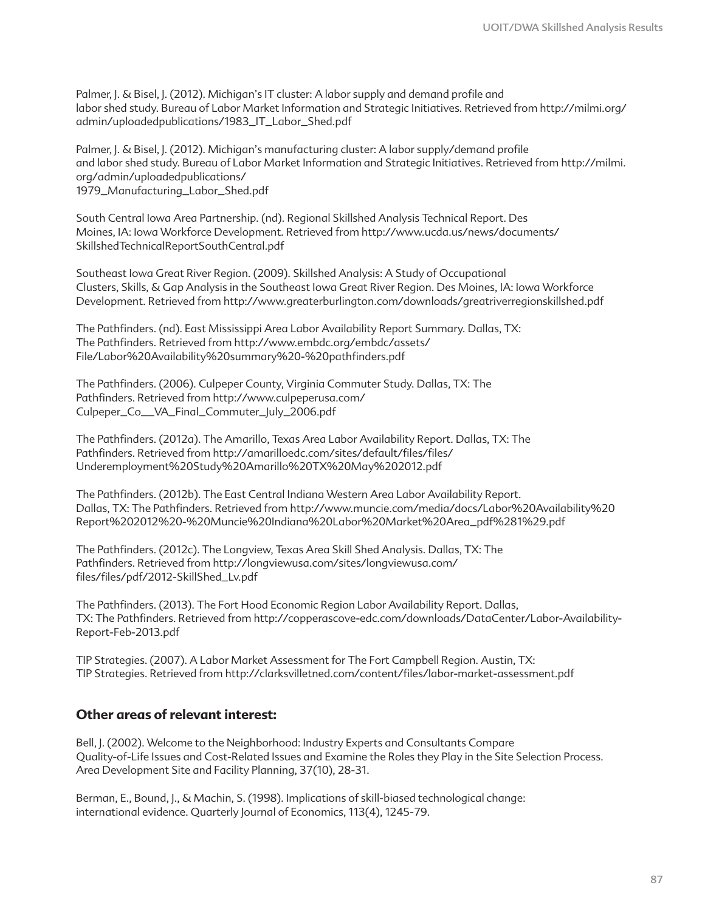Palmer, J. & Bisel, J. (2012). Michigan's IT cluster: A labor supply and demand profile and labor shed study. Bureau of Labor Market Information and Strategic Initiatives. Retrieved from http://milmi.org/ admin/uploadedpublications/1983\_IT\_Labor\_Shed.pdf

Palmer, J. & Bisel, J. (2012). Michigan's manufacturing cluster: A labor supply/demand profile and labor shed study. Bureau of Labor Market Information and Strategic Initiatives. Retrieved from http://milmi. org/admin/uploadedpublications/ 1979\_Manufacturing\_Labor\_Shed.pdf

South Central Iowa Area Partnership. (nd). Regional Skillshed Analysis Technical Report. Des Moines, IA: Iowa Workforce Development. Retrieved from http://www.ucda.us/news/documents/ SkillshedTechnicalReportSouthCentral.pdf

Southeast Iowa Great River Region. (2009). Skillshed Analysis: A Study of Occupational Clusters, Skills, & Gap Analysis in the Southeast Iowa Great River Region. Des Moines, IA: Iowa Workforce Development. Retrieved from http://www.greaterburlington.com/downloads/greatriverregionskillshed.pdf

The Pathfinders. (nd). East Mississippi Area Labor Availability Report Summary. Dallas, TX: The Pathfinders. Retrieved from http://www.embdc.org/embdc/assets/ File/Labor%20Availability%20summary%20-%20pathfinders.pdf

The Pathfinders. (2006). Culpeper County, Virginia Commuter Study. Dallas, TX: The Pathfinders. Retrieved from http://www.culpeperusa.com/ Culpeper\_Co\_\_VA\_Final\_Commuter\_July\_2006.pdf

The Pathfinders. (2012a). The Amarillo, Texas Area Labor Availability Report. Dallas, TX: The Pathfinders. Retrieved from http://amarilloedc.com/sites/default/files/files/ Underemployment%20Study%20Amarillo%20TX%20May%202012.pdf

The Pathfinders. (2012b). The East Central Indiana Western Area Labor Availability Report. Dallas, TX: The Pathfinders. Retrieved from http://www.muncie.com/media/docs/Labor%20Availability%20 Report%202012%20-%20Muncie%20Indiana%20Labor%20Market%20Area\_pdf%281%29.pdf

The Pathfinders. (2012c). The Longview, Texas Area Skill Shed Analysis. Dallas, TX: The Pathfinders. Retrieved from http://longviewusa.com/sites/longviewusa.com/ files/files/pdf/2012-SkillShed\_Lv.pdf

The Pathfinders. (2013). The Fort Hood Economic Region Labor Availability Report. Dallas, TX: The Pathfinders. Retrieved from http://copperascove-edc.com/downloads/DataCenter/Labor-Availability-Report-Feb-2013.pdf

TIP Strategies. (2007). A Labor Market Assessment for The Fort Campbell Region. Austin, TX: TIP Strategies. Retrieved from http://clarksvilletned.com/content/files/labor-market-assessment.pdf

# **Other areas of relevant interest:**

Bell, J. (2002). Welcome to the Neighborhood: Industry Experts and Consultants Compare Quality-of-Life Issues and Cost-Related Issues and Examine the Roles they Play in the Site Selection Process. Area Development Site and Facility Planning, 37(10), 28-31.

Berman, E., Bound, J., & Machin, S. (1998). Implications of skill-biased technological change: international evidence. Quarterly Journal of Economics, 113(4), 1245-79.